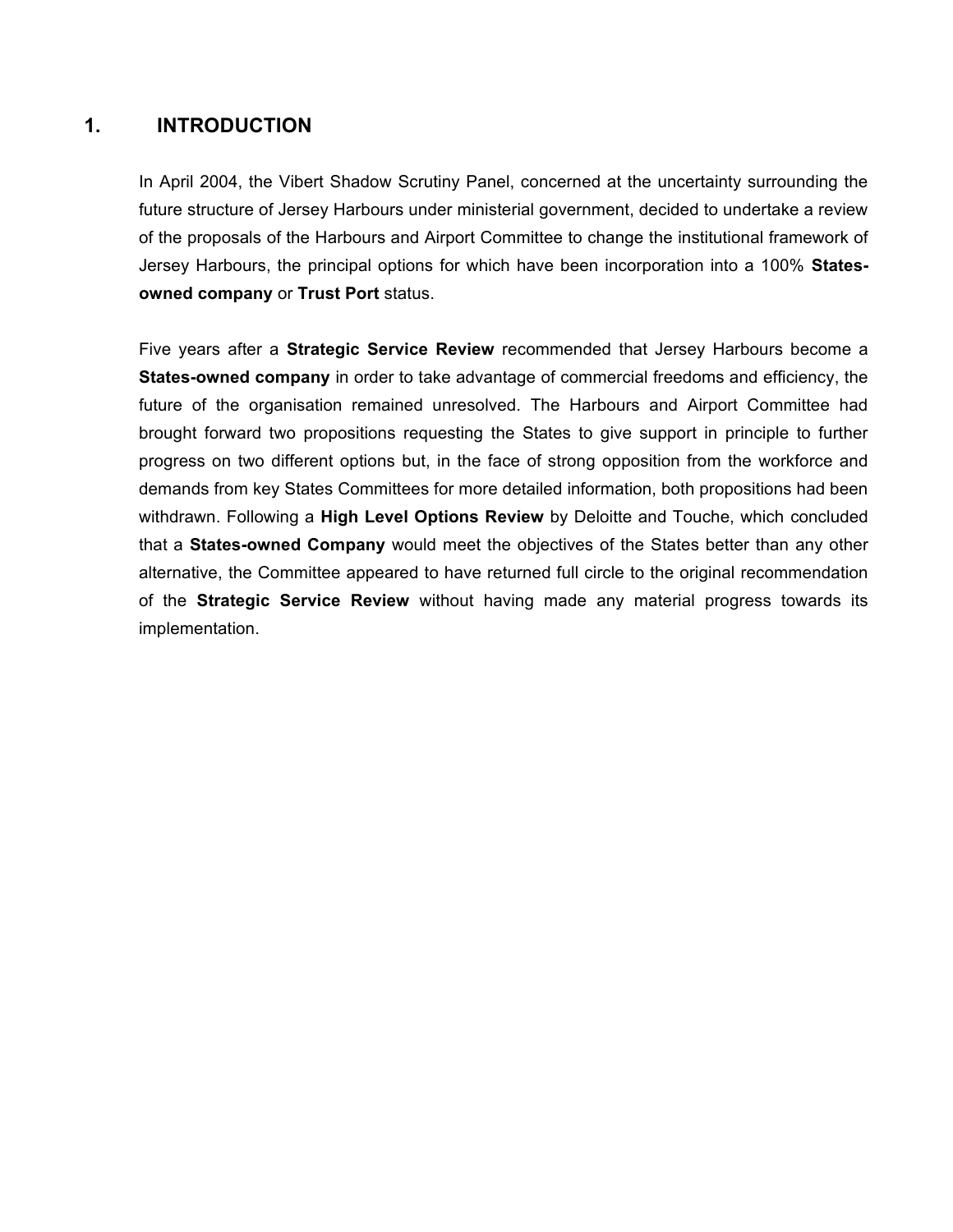### **1. INTRODUCTION**

In April 2004, the Vibert Shadow Scrutiny Panel, concerned at the uncertainty surrounding the future structure of Jersey Harbours under ministerial government, decided to undertake a review of the proposals of the Harbours and Airport Committee to change the institutional framework of Jersey Harbours, the principal options for which have been incorporation into a 100% **Statesowned company** or **Trust Port** status.

Five years after a **Strategic Service Review** recommended that Jersey Harbours become a **States-owned company** in order to take advantage of commercial freedoms and efficiency, the future of the organisation remained unresolved. The Harbours and Airport Committee had brought forward two propositions requesting the States to give support in principle to further progress on two different options but, in the face of strong opposition from the workforce and demands from key States Committees for more detailed information, both propositions had been withdrawn. Following a **High Level Options Review** by Deloitte and Touche, which concluded that a **States-owned Company** would meet the objectives of the States better than any other alternative, the Committee appeared to have returned full circle to the original recommendation of the **Strategic Service Review** without having made any material progress towards its implementation.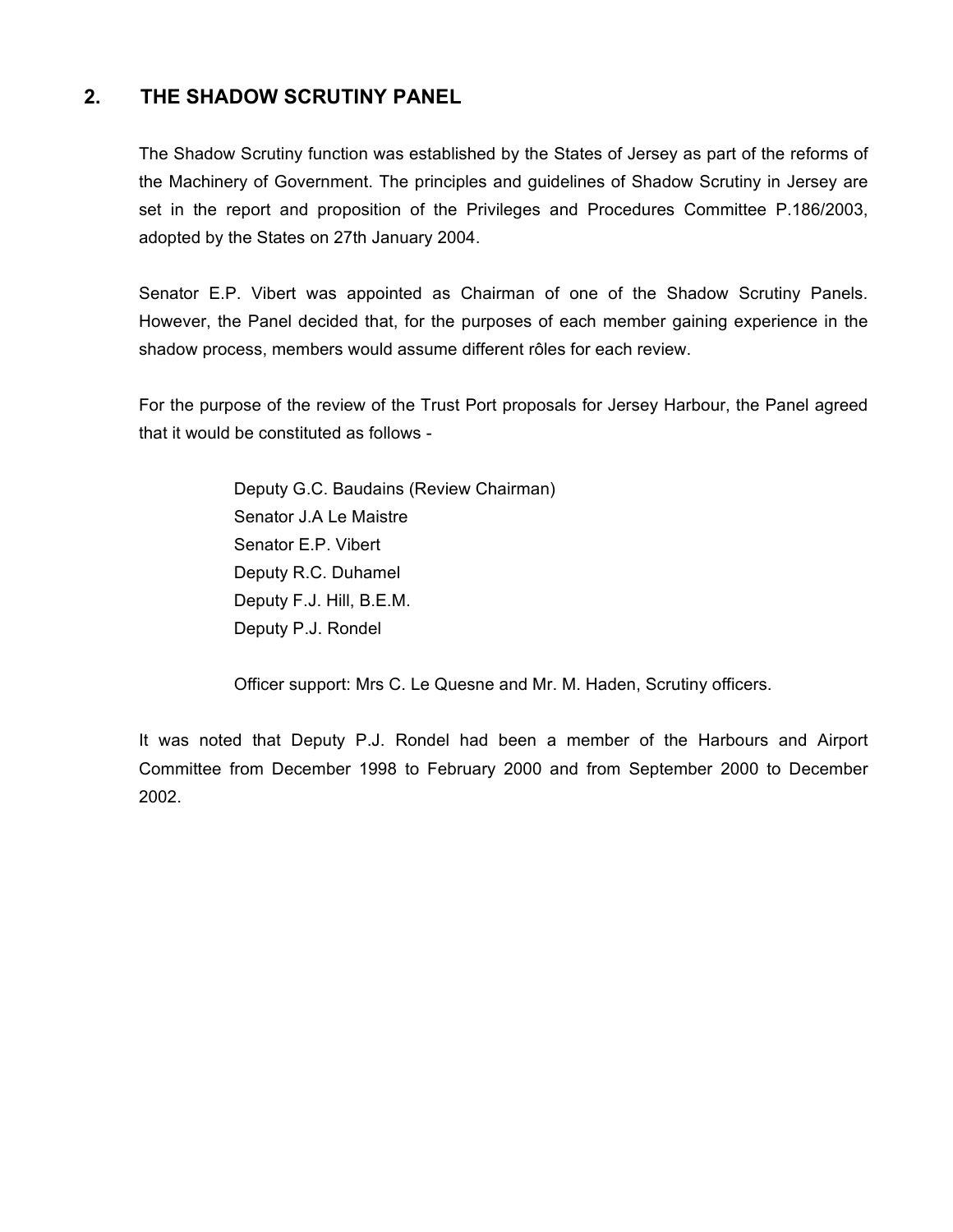## **2. THE SHADOW SCRUTINY PANEL**

The Shadow Scrutiny function was established by the States of Jersey as part of the reforms of the Machinery of Government. The principles and guidelines of Shadow Scrutiny in Jersey are set in the report and proposition of the Privileges and Procedures Committee P.186/2003, adopted by the States on 27th January 2004.

Senator E.P. Vibert was appointed as Chairman of one of the Shadow Scrutiny Panels. However, the Panel decided that, for the purposes of each member gaining experience in the shadow process, members would assume different rôles for each review.

For the purpose of the review of the Trust Port proposals for Jersey Harbour, the Panel agreed that it would be constituted as follows -

> Deputy G.C. Baudains (Review Chairman) Senator J.A Le Maistre Senator E.P. Vibert Deputy R.C. Duhamel Deputy F.J. Hill, B.E.M. Deputy P.J. Rondel

Officer support: Mrs C. Le Quesne and Mr. M. Haden, Scrutiny officers.

It was noted that Deputy P.J. Rondel had been a member of the Harbours and Airport Committee from December 1998 to February 2000 and from September 2000 to December 2002.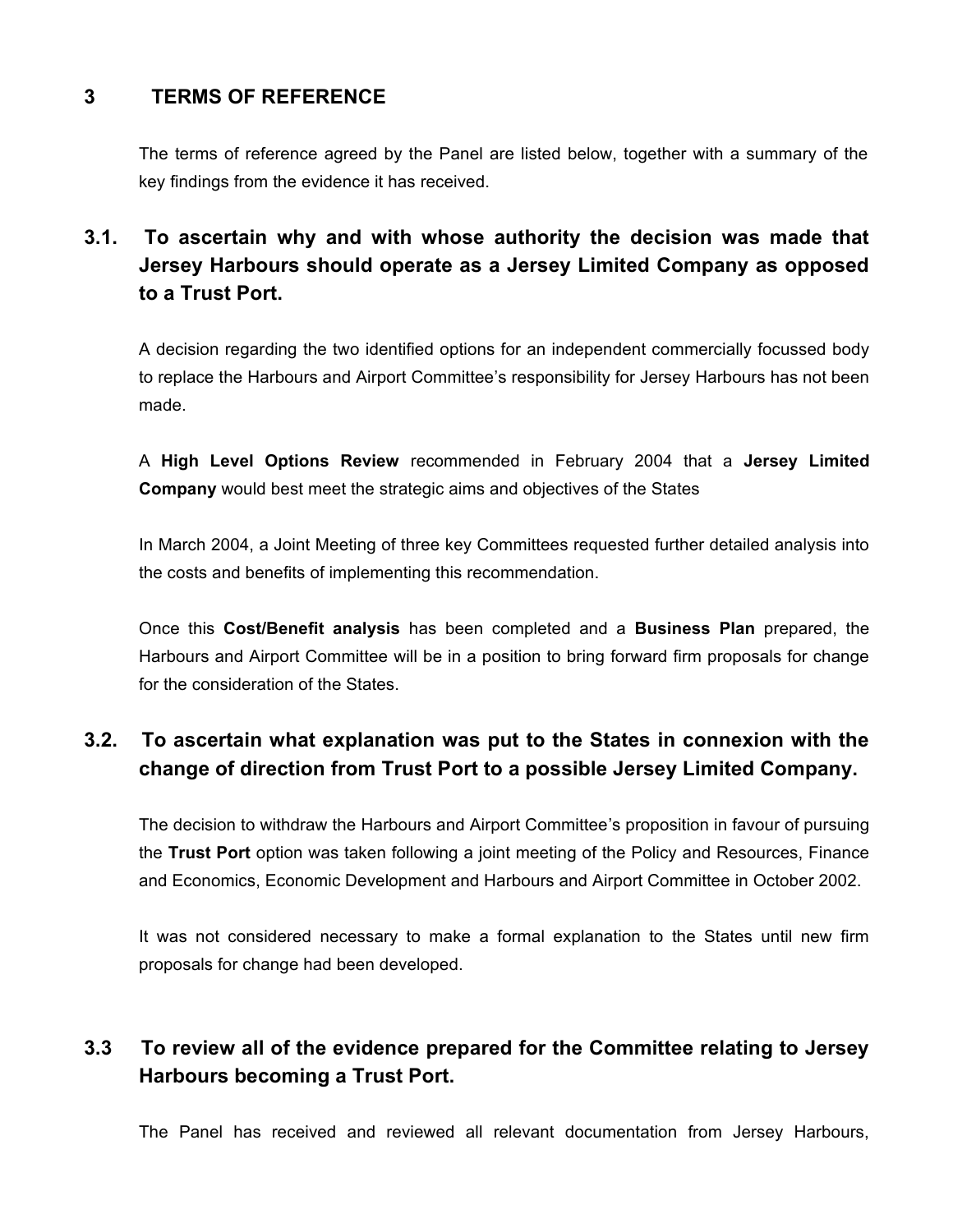## **3 TERMS OF REFERENCE**

The terms of reference agreed by the Panel are listed below, together with a summary of the key findings from the evidence it has received.

# **3.1. To ascertain why and with whose authority the decision was made that Jersey Harbours should operate as a Jersey Limited Company as opposed to a Trust Port.**

A decision regarding the two identified options for an independent commercially focussed body to replace the Harbours and Airport Committee's responsibility for Jersey Harbours has not been made.

A **High Level Options Review** recommended in February 2004 that a **Jersey Limited Company** would best meet the strategic aims and objectives of the States

In March 2004, a Joint Meeting of three key Committees requested further detailed analysis into the costs and benefits of implementing this recommendation.

Once this **Cost/Benefit analysis** has been completed and a **Business Plan** prepared, the Harbours and Airport Committee will be in a position to bring forward firm proposals for change for the consideration of the States.

## **3.2. To ascertain what explanation was put to the States in connexion with the change of direction from Trust Port to a possible Jersey Limited Company.**

The decision to withdraw the Harbours and Airport Committee's proposition in favour of pursuing the **Trust Port** option was taken following a joint meeting of the Policy and Resources, Finance and Economics, Economic Development and Harbours and Airport Committee in October 2002.

It was not considered necessary to make a formal explanation to the States until new firm proposals for change had been developed.

## **3.3 To review all of the evidence prepared for the Committee relating to Jersey Harbours becoming a Trust Port.**

The Panel has received and reviewed all relevant documentation from Jersey Harbours,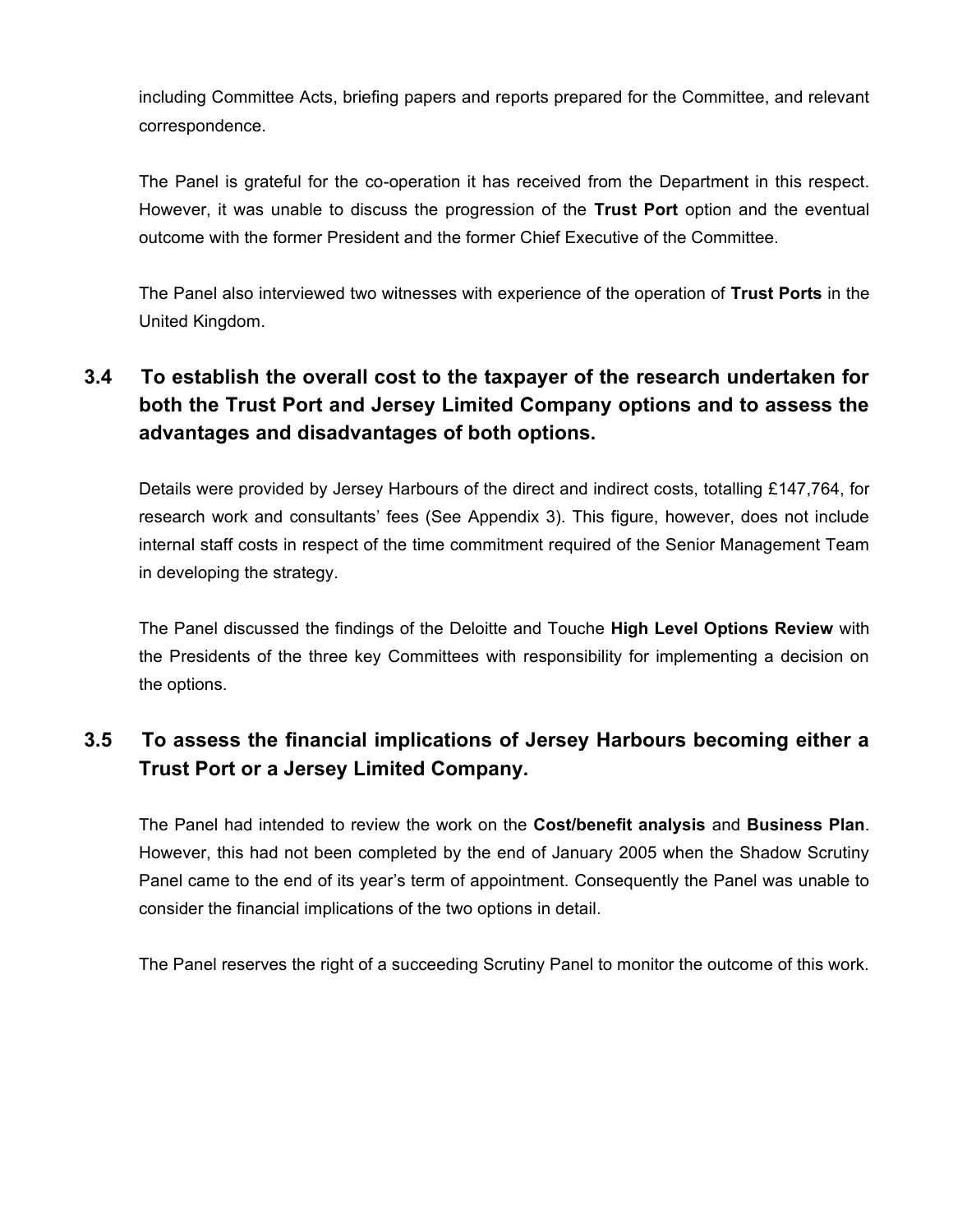including Committee Acts, briefing papers and reports prepared for the Committee, and relevant correspondence.

The Panel is grateful for the co-operation it has received from the Department in this respect. However, it was unable to discuss the progression of the **Trust Port** option and the eventual outcome with the former President and the former Chief Executive of the Committee.

The Panel also interviewed two witnesses with experience of the operation of **Trust Ports** in the United Kingdom.

# **3.4 To establish the overall cost to the taxpayer of the research undertaken for both the Trust Port and Jersey Limited Company options and to assess the advantages and disadvantages of both options.**

Details were provided by Jersey Harbours of the direct and indirect costs, totalling £147,764, for research work and consultants' fees (See Appendix 3). This figure, however, does not include internal staff costs in respect of the time commitment required of the Senior Management Team in developing the strategy.

The Panel discussed the findings of the Deloitte and Touche **High Level Options Review** with the Presidents of the three key Committees with responsibility for implementing a decision on the options.

## **3.5 To assess the financial implications of Jersey Harbours becoming either a Trust Port or a Jersey Limited Company.**

The Panel had intended to review the work on the **Cost/benefit analysis** and **Business Plan**. However, this had not been completed by the end of January 2005 when the Shadow Scrutiny Panel came to the end of its year's term of appointment. Consequently the Panel was unable to consider the financial implications of the two options in detail.

The Panel reserves the right of a succeeding Scrutiny Panel to monitor the outcome of this work.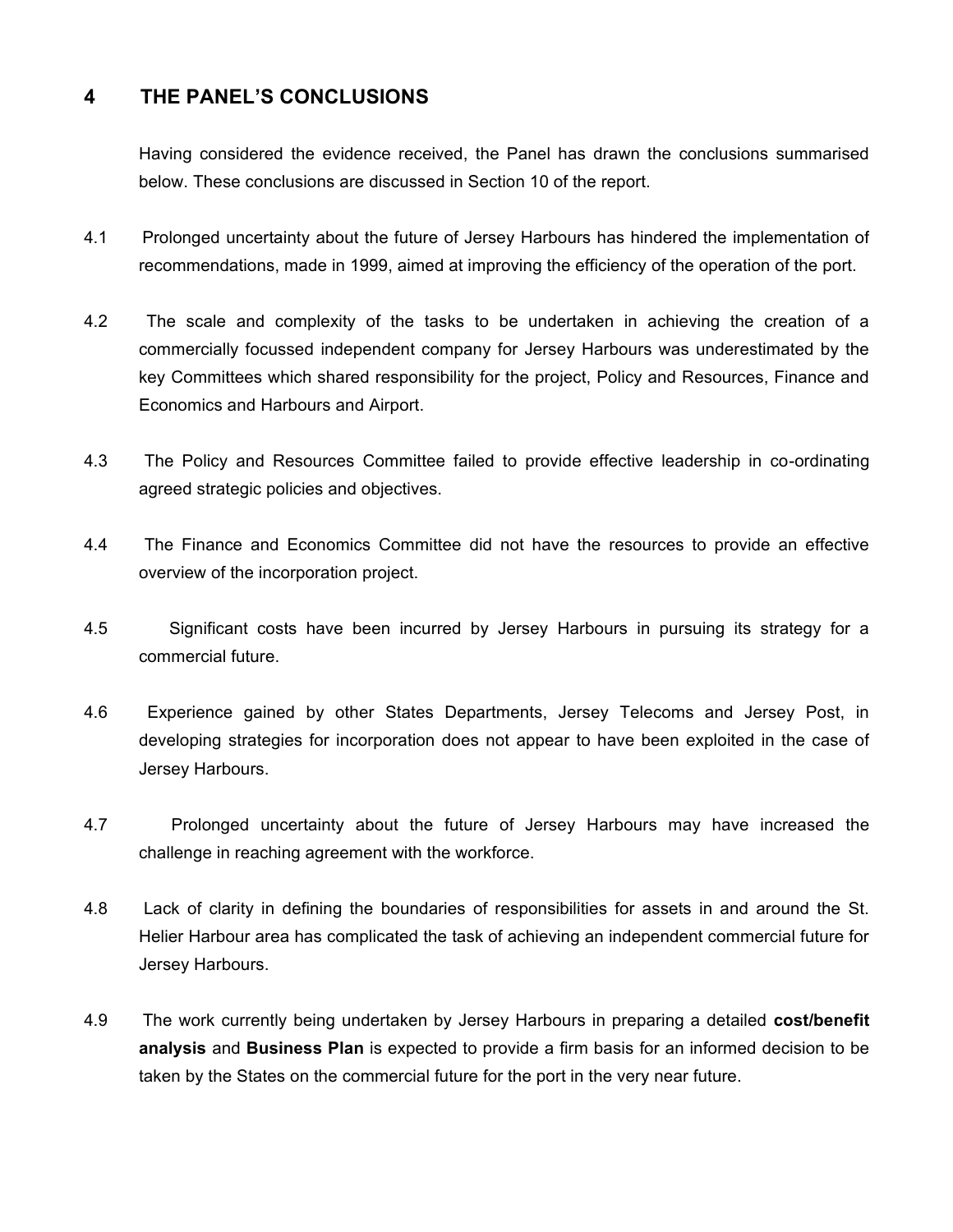## **4 THE PANEL'S CONCLUSIONS**

Having considered the evidence received, the Panel has drawn the conclusions summarised below. These conclusions are discussed in Section 10 of the report.

- 4.1 Prolonged uncertainty about the future of Jersey Harbours has hindered the implementation of recommendations, made in 1999, aimed at improving the efficiency of the operation of the port.
- 4.2 The scale and complexity of the tasks to be undertaken in achieving the creation of a commercially focussed independent company for Jersey Harbours was underestimated by the key Committees which shared responsibility for the project, Policy and Resources, Finance and Economics and Harbours and Airport.
- 4.3 The Policy and Resources Committee failed to provide effective leadership in co-ordinating agreed strategic policies and objectives.
- 4.4 The Finance and Economics Committee did not have the resources to provide an effective overview of the incorporation project.
- 4.5 Significant costs have been incurred by Jersey Harbours in pursuing its strategy for a commercial future.
- 4.6 Experience gained by other States Departments, Jersey Telecoms and Jersey Post, in developing strategies for incorporation does not appear to have been exploited in the case of Jersey Harbours.
- 4.7 Prolonged uncertainty about the future of Jersey Harbours may have increased the challenge in reaching agreement with the workforce.
- 4.8 Lack of clarity in defining the boundaries of responsibilities for assets in and around the St. Helier Harbour area has complicated the task of achieving an independent commercial future for Jersey Harbours.
- 4.9 The work currently being undertaken by Jersey Harbours in preparing a detailed **cost/benefit analysis** and **Business Plan** is expected to provide a firm basis for an informed decision to be taken by the States on the commercial future for the port in the very near future.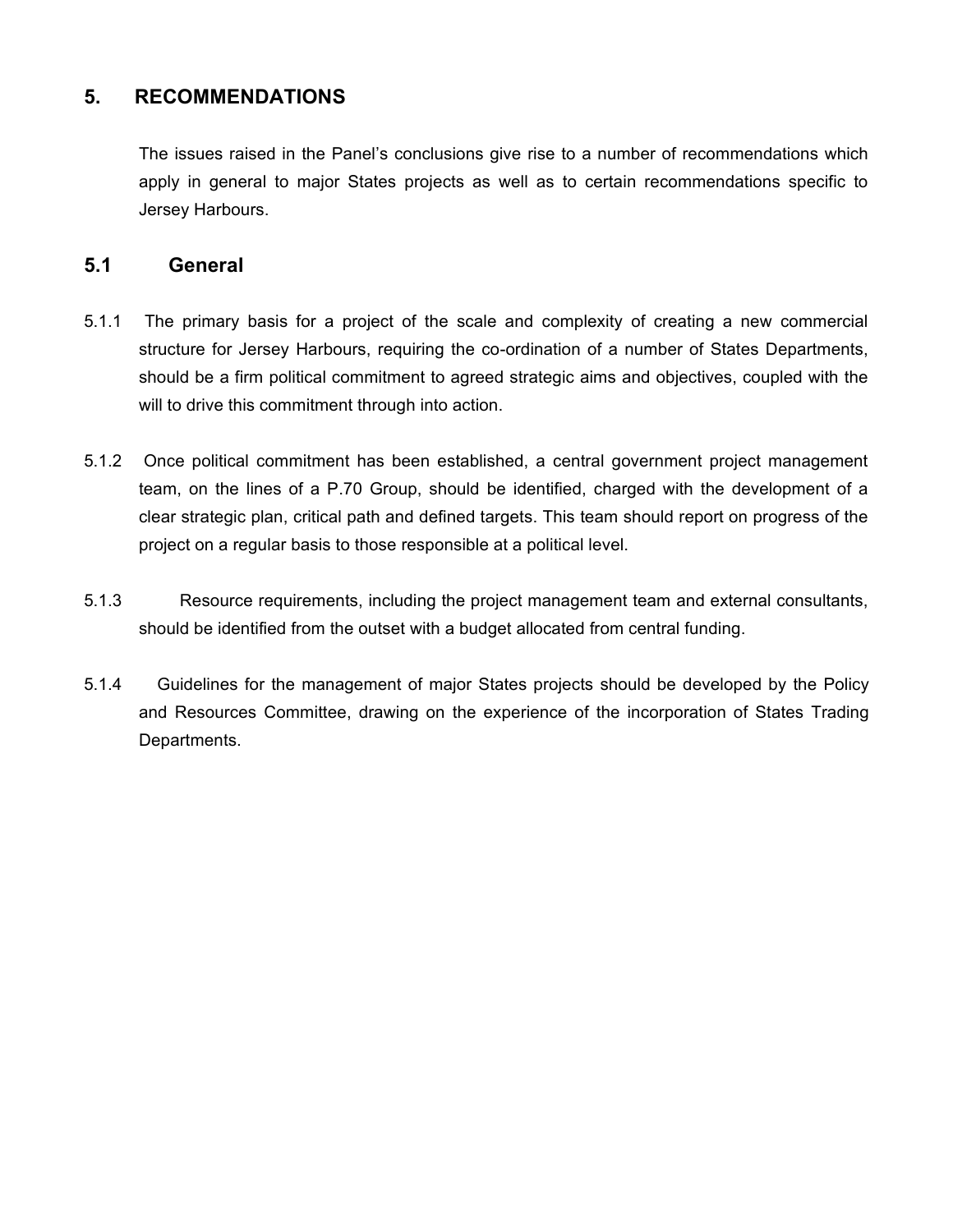## **5. RECOMMENDATIONS**

The issues raised in the Panel's conclusions give rise to a number of recommendations which apply in general to major States projects as well as to certain recommendations specific to Jersey Harbours.

#### **5.1 General**

- 5.1.1 The primary basis for a project of the scale and complexity of creating a new commercial structure for Jersey Harbours, requiring the co-ordination of a number of States Departments, should be a firm political commitment to agreed strategic aims and objectives, coupled with the will to drive this commitment through into action.
- 5.1.2 Once political commitment has been established, a central government project management team, on the lines of a P.70 Group, should be identified, charged with the development of a clear strategic plan, critical path and defined targets. This team should report on progress of the project on a regular basis to those responsible at a political level.
- 5.1.3 Resource requirements, including the project management team and external consultants, should be identified from the outset with a budget allocated from central funding.
- 5.1.4 Guidelines for the management of major States projects should be developed by the Policy and Resources Committee, drawing on the experience of the incorporation of States Trading Departments.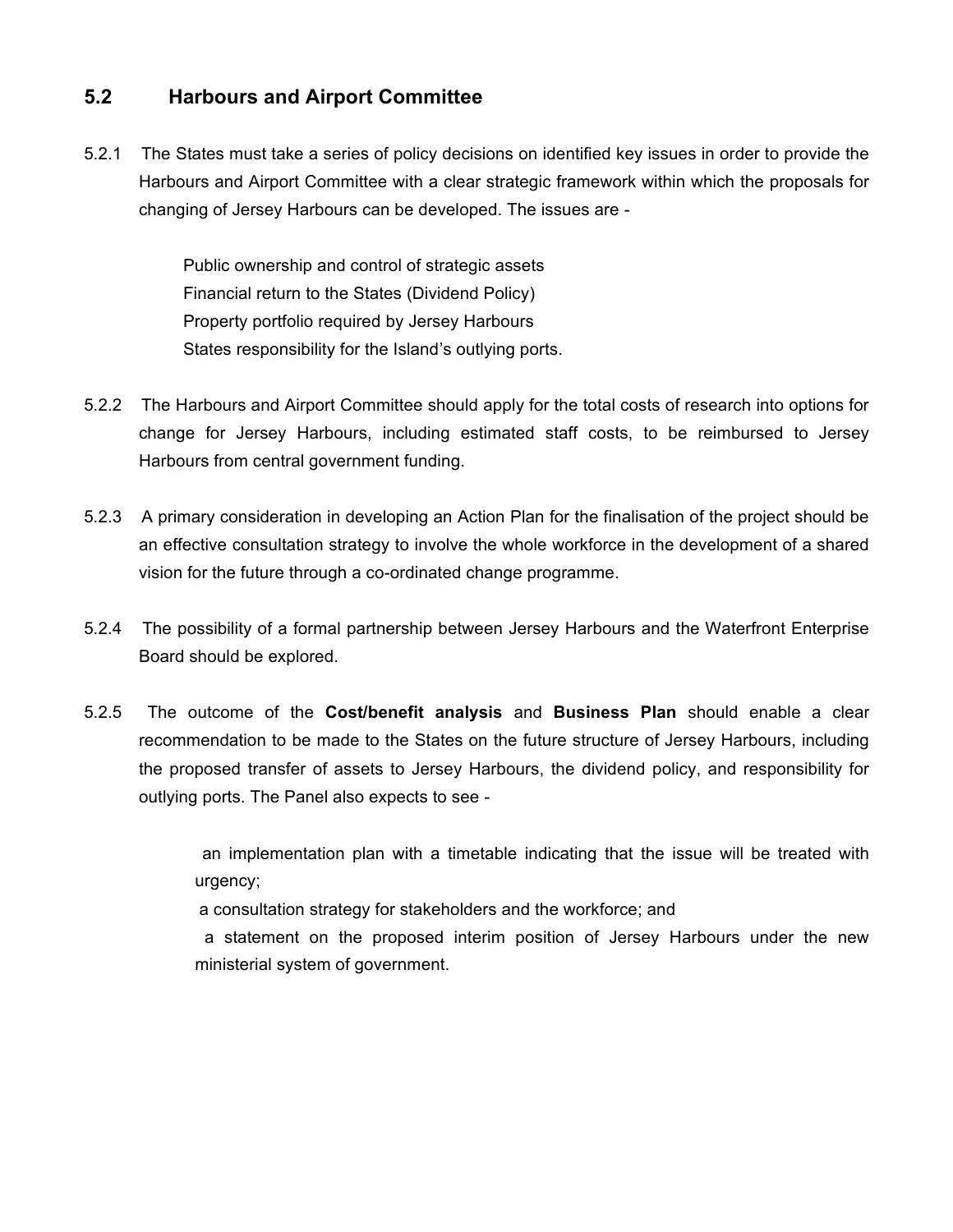## **5.2 Harbours and Airport Committee**

5.2.1 The States must take a series of policy decisions on identified key issues in order to provide the Harbours and Airport Committee with a clear strategic framework within which the proposals for changing of Jersey Harbours can be developed. The issues are -

> Public ownership and control of strategic assets Financial return to the States (Dividend Policy) Property portfolio required by Jersey Harbours States responsibility for the Island's outlying ports.

- 5.2.2 The Harbours and Airport Committee should apply for the total costs of research into options for change for Jersey Harbours, including estimated staff costs, to be reimbursed to Jersey Harbours from central government funding.
- 5.2.3 A primary consideration in developing an Action Plan for the finalisation of the project should be an effective consultation strategy to involve the whole workforce in the development of a shared vision for the future through a co-ordinated change programme.
- 5.2.4 The possibility of a formal partnership between Jersey Harbours and the Waterfront Enterprise Board should be explored.
- 5.2.5 The outcome of the **Cost/benefit analysis** and **Business Plan** should enable a clear recommendation to be made to the States on the future structure of Jersey Harbours, including the proposed transfer of assets to Jersey Harbours, the dividend policy, and responsibility for outlying ports. The Panel also expects to see -

 an implementation plan with a timetable indicating that the issue will be treated with urgency;

a consultation strategy for stakeholders and the workforce; and

 a statement on the proposed interim position of Jersey Harbours under the new ministerial system of government.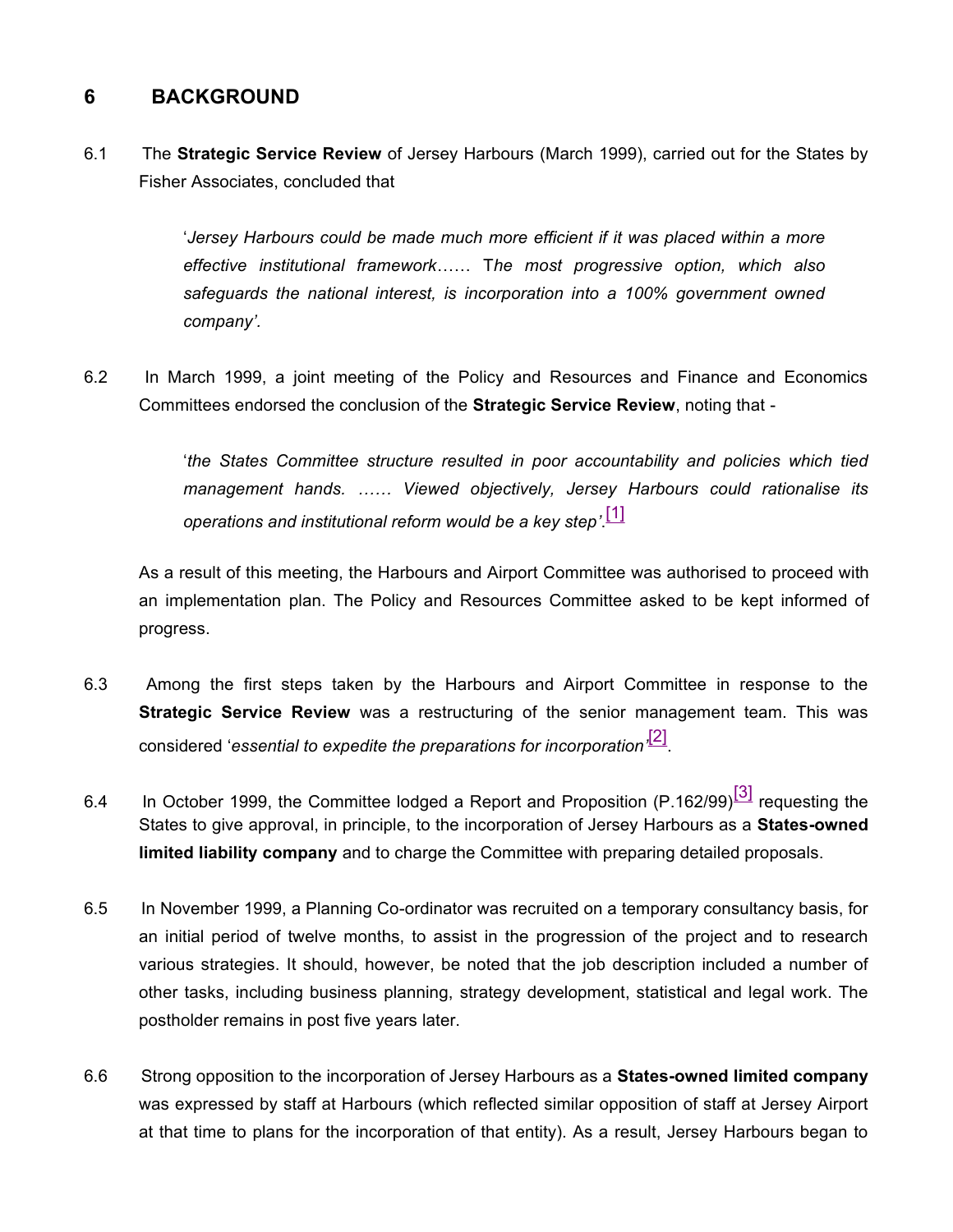## **6 BACKGROUND**

6.1 The **Strategic Service Review** of Jersey Harbours (March 1999), carried out for the States by Fisher Associates, concluded that

> '*Jersey Harbours could be made much more efficient if it was placed within a more effective institutional framework*…… T*he most progressive option, which also safeguards the national interest, is incorporation into a 100% government owned company'.*

6.2 In March 1999, a joint meeting of the Policy and Resources and Finance and Economics Committees endorsed the conclusion of the **Strategic Service Review**, noting that -

> '*the States Committee structure resulted in poor accountability and policies which tied management hands. …… Viewed objectively, Jersey Harbours could rationalise its operations and institutional reform would be a key step'*. [1]

As a result of this meeting, the Harbours and Airport Committee was authorised to proceed with an implementation plan. The Policy and Resources Committee asked to be kept informed of progress.

- 6.3 Among the first steps taken by the Harbours and Airport Committee in response to the **Strategic Service Review** was a restructuring of the senior management team. This was considered '*essential to expedite the preparations for incorporation'* [2] .
- 6.4 In October 1999, the Committee lodged a Report and Proposition  $(P.162/99)^{3}$  requesting the States to give approval, in principle, to the incorporation of Jersey Harbours as a **States-owned limited liability company** and to charge the Committee with preparing detailed proposals.
- 6.5 In November 1999, a Planning Co-ordinator was recruited on a temporary consultancy basis, for an initial period of twelve months, to assist in the progression of the project and to research various strategies. It should, however, be noted that the job description included a number of other tasks, including business planning, strategy development, statistical and legal work. The postholder remains in post five years later.
- 6.6 Strong opposition to the incorporation of Jersey Harbours as a **States-owned limited company** was expressed by staff at Harbours (which reflected similar opposition of staff at Jersey Airport at that time to plans for the incorporation of that entity). As a result, Jersey Harbours began to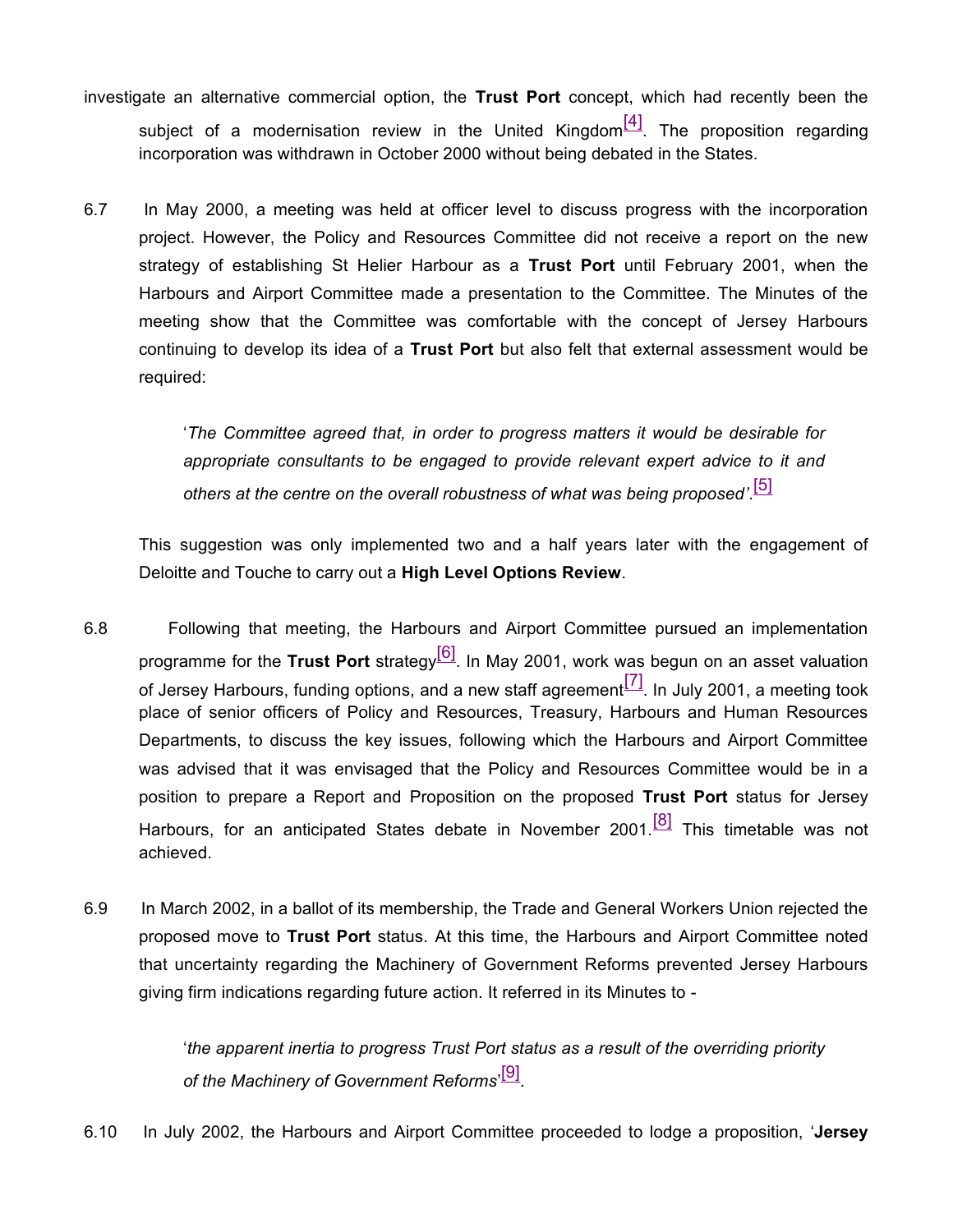- investigate an alternative commercial option, the **Trust Port** concept, which had recently been the subject of a modernisation review in the United Kingdom $\frac{[4]}{[4]}$ . The proposition regarding incorporation was withdrawn in October 2000 without being debated in the States.
- 6.7 In May 2000, a meeting was held at officer level to discuss progress with the incorporation project. However, the Policy and Resources Committee did not receive a report on the new strategy of establishing St Helier Harbour as a **Trust Port** until February 2001, when the Harbours and Airport Committee made a presentation to the Committee. The Minutes of the meeting show that the Committee was comfortable with the concept of Jersey Harbours continuing to develop its idea of a **Trust Port** but also felt that external assessment would be required:

'*The Committee agreed that, in order to progress matters it would be desirable for appropriate consultants to be engaged to provide relevant expert advice to it and others at the centre on the overall robustness of what was being proposed'*. [5]

This suggestion was only implemented two and a half years later with the engagement of Deloitte and Touche to carry out a **High Level Options Review**.

- 6.8 Following that meeting, the Harbours and Airport Committee pursued an implementation programme for the **Trust Port** strategy[6]. In May 2001, work was begun on an asset valuation of Jersey Harbours, funding options, and a new staff agreement $\begin{bmatrix} 7 \end{bmatrix}$ . In July 2001, a meeting took place of senior officers of Policy and Resources, Treasury, Harbours and Human Resources Departments, to discuss the key issues, following which the Harbours and Airport Committee was advised that it was envisaged that the Policy and Resources Committee would be in a position to prepare a Report and Proposition on the proposed **Trust Port** status for Jersey Harbours, for an anticipated States debate in November 2001.<sup>[8]</sup> This timetable was not achieved.
- 6.9 In March 2002, in a ballot of its membership, the Trade and General Workers Union rejected the proposed move to **Trust Port** status. At this time, the Harbours and Airport Committee noted that uncertainty regarding the Machinery of Government Reforms prevented Jersey Harbours giving firm indications regarding future action. It referred in its Minutes to -

'*the apparent inertia to progress Trust Port status as a result of the overriding priority of the Machinery of Government Reforms*' [9] .

6.10 In July 2002, the Harbours and Airport Committee proceeded to lodge a proposition, '**Jersey**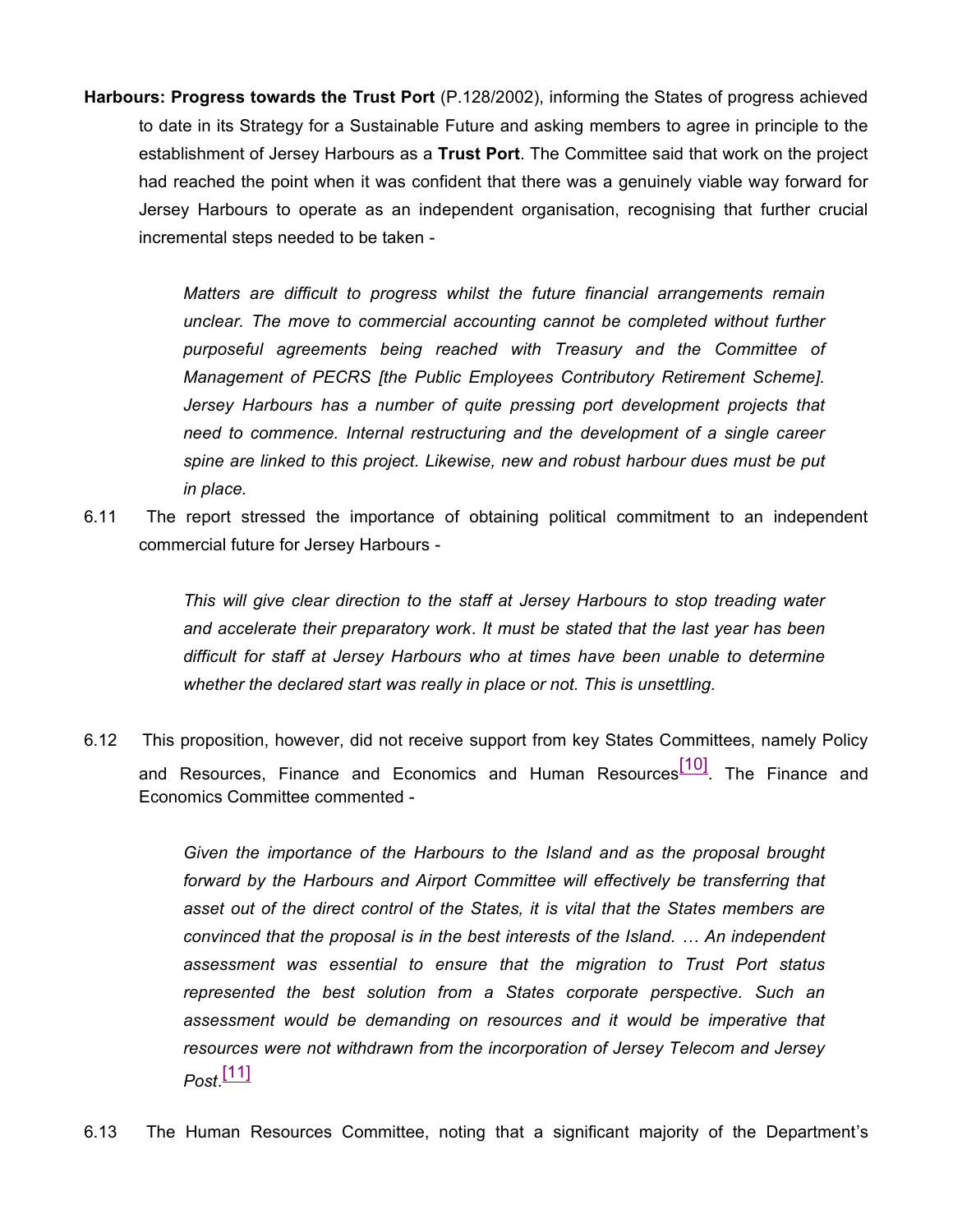**Harbours: Progress towards the Trust Port** (P.128/2002), informing the States of progress achieved to date in its Strategy for a Sustainable Future and asking members to agree in principle to the establishment of Jersey Harbours as a **Trust Port**. The Committee said that work on the project had reached the point when it was confident that there was a genuinely viable way forward for Jersey Harbours to operate as an independent organisation, recognising that further crucial incremental steps needed to be taken -

> *Matters are difficult to progress whilst the future financial arrangements remain unclear. The move to commercial accounting cannot be completed without further purposeful agreements being reached with Treasury and the Committee of Management of PECRS [the Public Employees Contributory Retirement Scheme]. Jersey Harbours has a number of quite pressing port development projects that need to commence. Internal restructuring and the development of a single career spine are linked to this project. Likewise, new and robust harbour dues must be put in place.*

6.11 The report stressed the importance of obtaining political commitment to an independent commercial future for Jersey Harbours -

> *This will give clear direction to the staff at Jersey Harbours to stop treading water and accelerate their preparatory work*. *It must be stated that the last year has been difficult for staff at Jersey Harbours who at times have been unable to determine whether the declared start was really in place or not. This is unsettling.*

6.12 This proposition, however, did not receive support from key States Committees, namely Policy and Resources, Finance and Economics and Human Resources<sup>[10]</sup>. The Finance and Economics Committee commented -

> *Given the importance of the Harbours to the Island and as the proposal brought forward by the Harbours and Airport Committee will effectively be transferring that asset out of the direct control of the States, it is vital that the States members are convinced that the proposal is in the best interests of the Island. … An independent assessment was essential to ensure that the migration to Trust Port status represented the best solution from a States corporate perspective. Such an assessment would be demanding on resources and it would be imperative that resources were not withdrawn from the incorporation of Jersey Telecom and Jersey Post*. [11]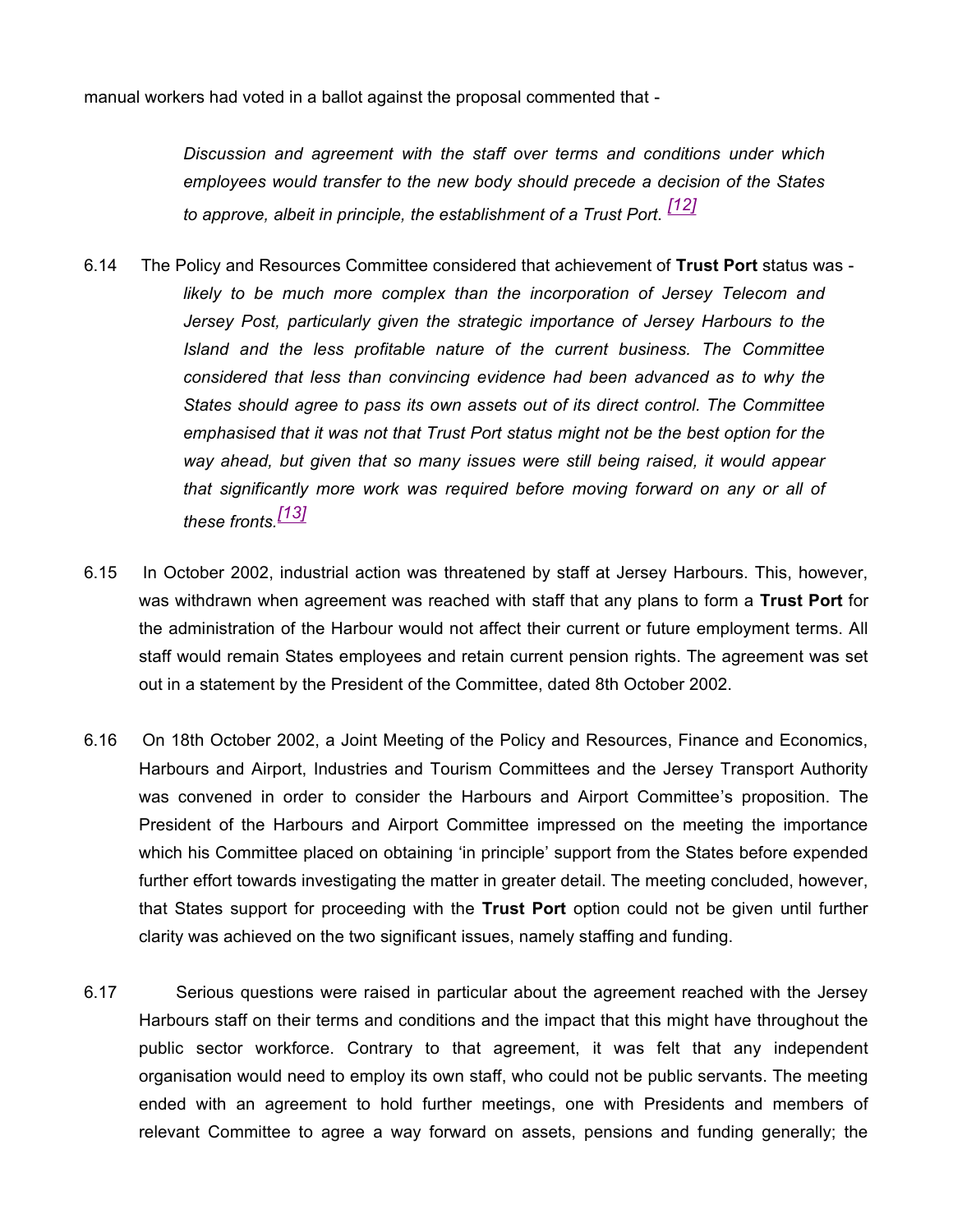manual workers had voted in a ballot against the proposal commented that -

*Discussion and agreement with the staff over terms and conditions under which employees would transfer to the new body should precede a decision of the States to approve, albeit in principle, the establishment of a Trust Port. [12]*

- 6.14 The Policy and Resources Committee considered that achievement of **Trust Port** status was *likely to be much more complex than the incorporation of Jersey Telecom and Jersey Post, particularly given the strategic importance of Jersey Harbours to the Island and the less profitable nature of the current business. The Committee considered that less than convincing evidence had been advanced as to why the States should agree to pass its own assets out of its direct control. The Committee emphasised that it was not that Trust Port status might not be the best option for the way ahead, but given that so many issues were still being raised, it would appear that significantly more work was required before moving forward on any or all of these fronts.[13]*
- 6.15 In October 2002, industrial action was threatened by staff at Jersey Harbours. This, however, was withdrawn when agreement was reached with staff that any plans to form a **Trust Port** for the administration of the Harbour would not affect their current or future employment terms. All staff would remain States employees and retain current pension rights. The agreement was set out in a statement by the President of the Committee, dated 8th October 2002.
- 6.16 On 18th October 2002, a Joint Meeting of the Policy and Resources, Finance and Economics, Harbours and Airport, Industries and Tourism Committees and the Jersey Transport Authority was convened in order to consider the Harbours and Airport Committee's proposition. The President of the Harbours and Airport Committee impressed on the meeting the importance which his Committee placed on obtaining 'in principle' support from the States before expended further effort towards investigating the matter in greater detail. The meeting concluded, however, that States support for proceeding with the **Trust Port** option could not be given until further clarity was achieved on the two significant issues, namely staffing and funding.
- 6.17 Serious questions were raised in particular about the agreement reached with the Jersey Harbours staff on their terms and conditions and the impact that this might have throughout the public sector workforce. Contrary to that agreement, it was felt that any independent organisation would need to employ its own staff, who could not be public servants. The meeting ended with an agreement to hold further meetings, one with Presidents and members of relevant Committee to agree a way forward on assets, pensions and funding generally; the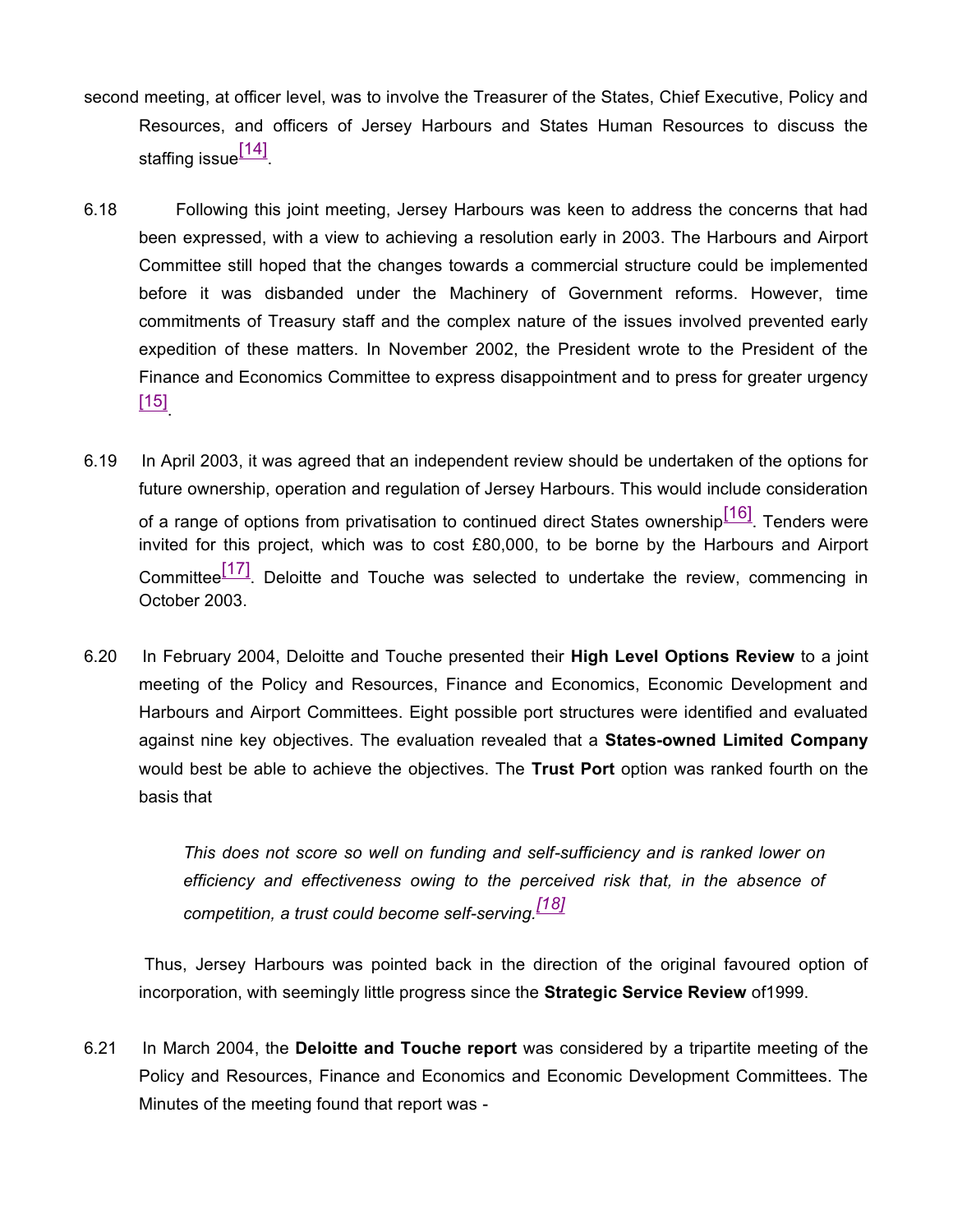- second meeting, at officer level, was to involve the Treasurer of the States, Chief Executive, Policy and Resources, and officers of Jersey Harbours and States Human Resources to discuss the staffing issue<sup>[14]</sup>.
- 6.18 Following this joint meeting, Jersey Harbours was keen to address the concerns that had been expressed, with a view to achieving a resolution early in 2003. The Harbours and Airport Committee still hoped that the changes towards a commercial structure could be implemented before it was disbanded under the Machinery of Government reforms. However, time commitments of Treasury staff and the complex nature of the issues involved prevented early expedition of these matters. In November 2002, the President wrote to the President of the Finance and Economics Committee to express disappointment and to press for greater urgency  $\left[15\right]$
- 6.19 In April 2003, it was agreed that an independent review should be undertaken of the options for future ownership, operation and regulation of Jersey Harbours. This would include consideration of a range of options from privatisation to continued direct States ownership<sup>[16]</sup>. Tenders were invited for this project, which was to cost £80,000, to be borne by the Harbours and Airport Committee<sup>[17]</sup>. Deloitte and Touche was selected to undertake the review, commencing in October 2003.
- 6.20 In February 2004, Deloitte and Touche presented their **High Level Options Review** to a joint meeting of the Policy and Resources, Finance and Economics, Economic Development and Harbours and Airport Committees. Eight possible port structures were identified and evaluated against nine key objectives. The evaluation revealed that a **States-owned Limited Company** would best be able to achieve the objectives. The **Trust Port** option was ranked fourth on the basis that

*This does not score so well on funding and self-sufficiency and is ranked lower on efficiency and effectiveness owing to the perceived risk that, in the absence of competition, a trust could become self-serving.[18]*

 Thus, Jersey Harbours was pointed back in the direction of the original favoured option of incorporation, with seemingly little progress since the **Strategic Service Review** of1999.

6.21 In March 2004, the **Deloitte and Touche report** was considered by a tripartite meeting of the Policy and Resources, Finance and Economics and Economic Development Committees. The Minutes of the meeting found that report was -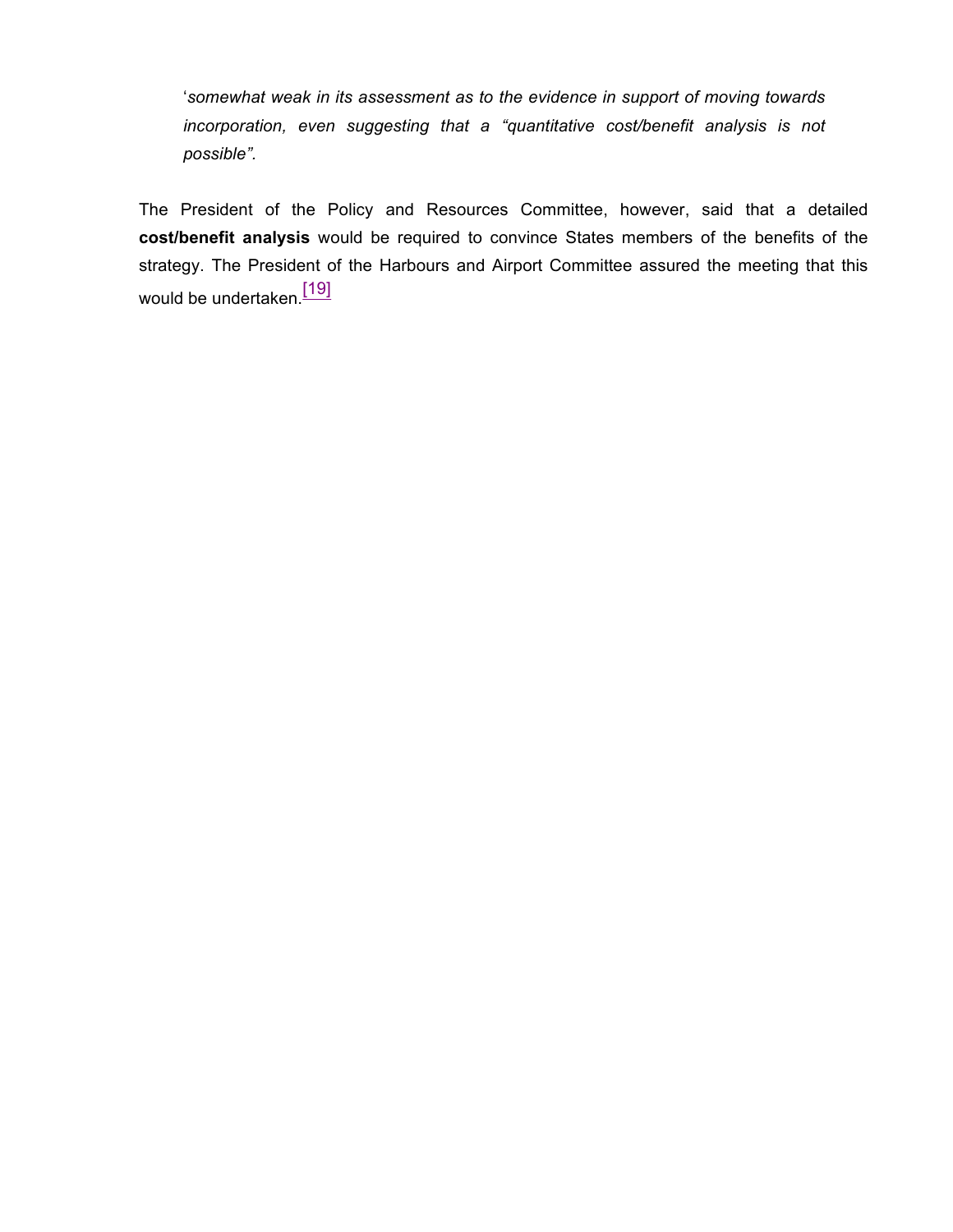'*somewhat weak in its assessment as to the evidence in support of moving towards incorporation, even suggesting that a "quantitative cost/benefit analysis is not possible".*

The President of the Policy and Resources Committee, however, said that a detailed **cost/benefit analysis** would be required to convince States members of the benefits of the strategy. The President of the Harbours and Airport Committee assured the meeting that this would be undertaken.<sup>[19]</sup>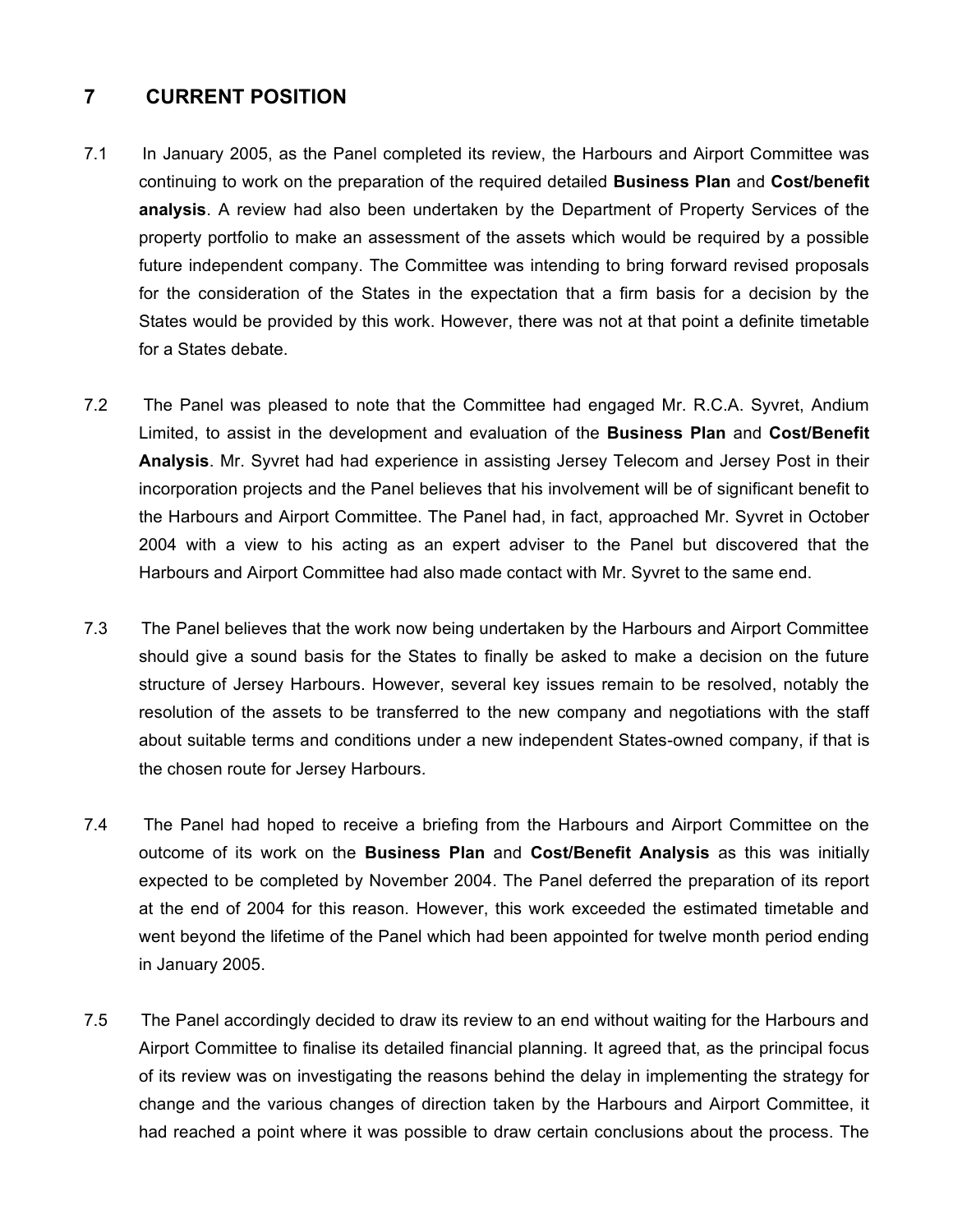### **7 CURRENT POSITION**

- 7.1 In January 2005, as the Panel completed its review, the Harbours and Airport Committee was continuing to work on the preparation of the required detailed **Business Plan** and **Cost/benefit analysis**. A review had also been undertaken by the Department of Property Services of the property portfolio to make an assessment of the assets which would be required by a possible future independent company. The Committee was intending to bring forward revised proposals for the consideration of the States in the expectation that a firm basis for a decision by the States would be provided by this work. However, there was not at that point a definite timetable for a States debate.
- 7.2 The Panel was pleased to note that the Committee had engaged Mr. R.C.A. Syvret, Andium Limited, to assist in the development and evaluation of the **Business Plan** and **Cost/Benefit Analysis**. Mr. Syvret had had experience in assisting Jersey Telecom and Jersey Post in their incorporation projects and the Panel believes that his involvement will be of significant benefit to the Harbours and Airport Committee. The Panel had, in fact, approached Mr. Syvret in October 2004 with a view to his acting as an expert adviser to the Panel but discovered that the Harbours and Airport Committee had also made contact with Mr. Syvret to the same end.
- 7.3 The Panel believes that the work now being undertaken by the Harbours and Airport Committee should give a sound basis for the States to finally be asked to make a decision on the future structure of Jersey Harbours. However, several key issues remain to be resolved, notably the resolution of the assets to be transferred to the new company and negotiations with the staff about suitable terms and conditions under a new independent States-owned company, if that is the chosen route for Jersey Harbours.
- 7.4 The Panel had hoped to receive a briefing from the Harbours and Airport Committee on the outcome of its work on the **Business Plan** and **Cost/Benefit Analysis** as this was initially expected to be completed by November 2004. The Panel deferred the preparation of its report at the end of 2004 for this reason. However, this work exceeded the estimated timetable and went beyond the lifetime of the Panel which had been appointed for twelve month period ending in January 2005.
- 7.5 The Panel accordingly decided to draw its review to an end without waiting for the Harbours and Airport Committee to finalise its detailed financial planning. It agreed that, as the principal focus of its review was on investigating the reasons behind the delay in implementing the strategy for change and the various changes of direction taken by the Harbours and Airport Committee, it had reached a point where it was possible to draw certain conclusions about the process. The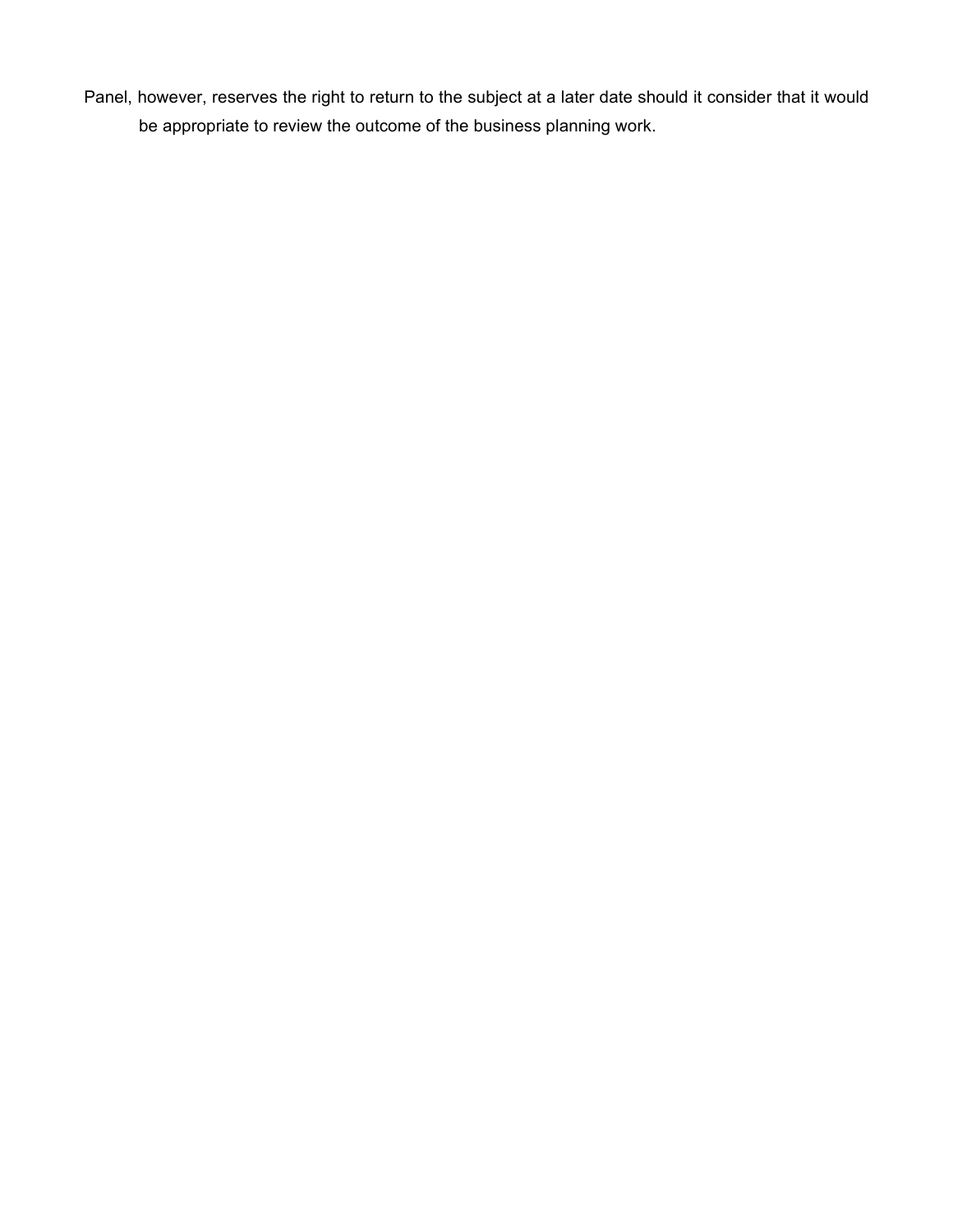Panel, however, reserves the right to return to the subject at a later date should it consider that it would be appropriate to review the outcome of the business planning work.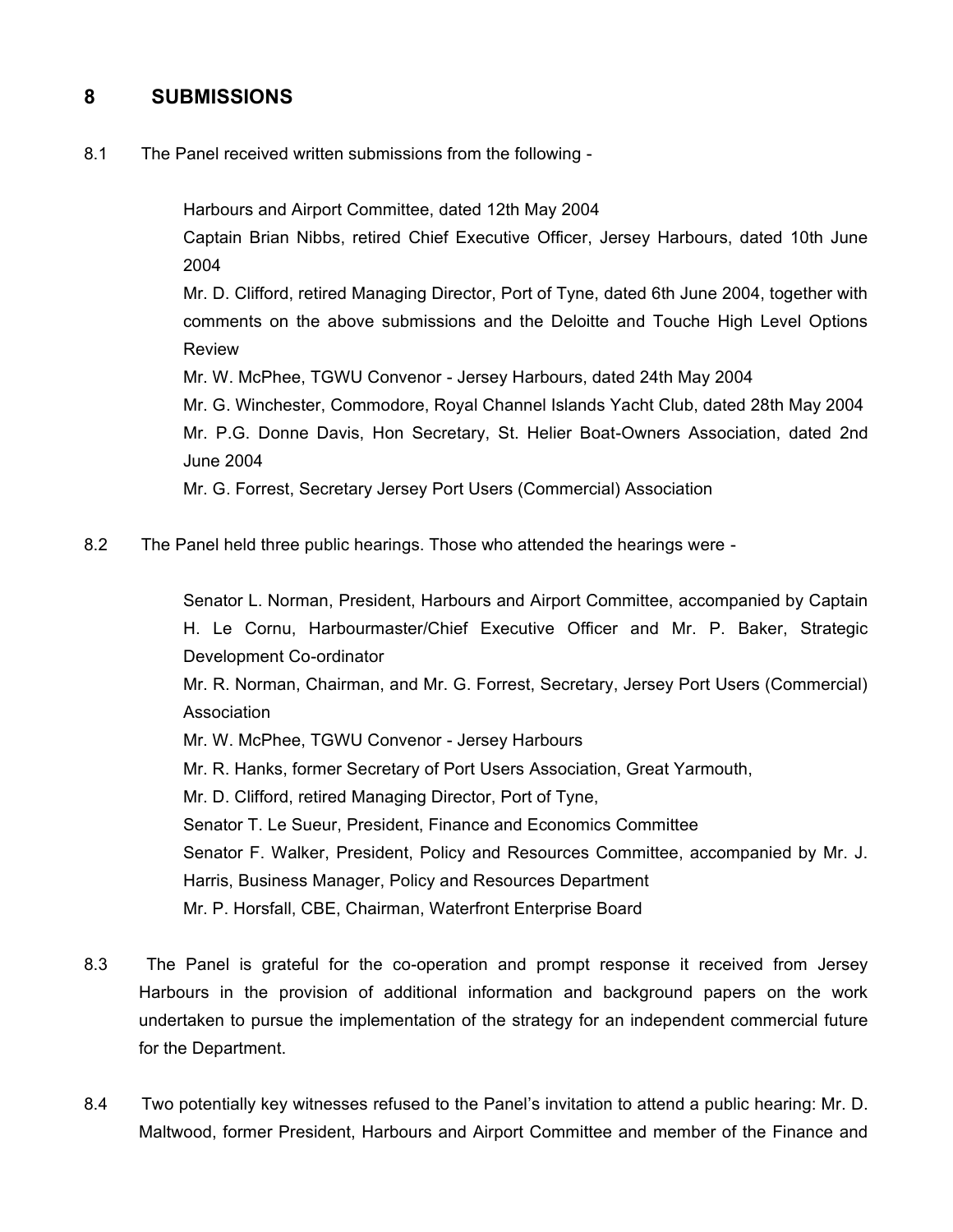## **8 SUBMISSIONS**

8.1 The Panel received written submissions from the following -

Harbours and Airport Committee, dated 12th May 2004

Captain Brian Nibbs, retired Chief Executive Officer, Jersey Harbours, dated 10th June 2004

Mr. D. Clifford, retired Managing Director, Port of Tyne, dated 6th June 2004, together with comments on the above submissions and the Deloitte and Touche High Level Options Review

Mr. W. McPhee, TGWU Convenor - Jersey Harbours, dated 24th May 2004

Mr. G. Winchester, Commodore, Royal Channel Islands Yacht Club, dated 28th May 2004 Mr. P.G. Donne Davis, Hon Secretary, St. Helier Boat-Owners Association, dated 2nd June 2004

Mr. G. Forrest, Secretary Jersey Port Users (Commercial) Association

8.2 The Panel held three public hearings. Those who attended the hearings were -

Senator L. Norman, President, Harbours and Airport Committee, accompanied by Captain H. Le Cornu, Harbourmaster/Chief Executive Officer and Mr. P. Baker, Strategic Development Co-ordinator

Mr. R. Norman, Chairman, and Mr. G. Forrest, Secretary, Jersey Port Users (Commercial) Association

Mr. W. McPhee, TGWU Convenor - Jersey Harbours

Mr. R. Hanks, former Secretary of Port Users Association, Great Yarmouth,

Mr. D. Clifford, retired Managing Director, Port of Tyne,

Senator T. Le Sueur, President, Finance and Economics Committee

Senator F. Walker, President, Policy and Resources Committee, accompanied by Mr. J. Harris, Business Manager, Policy and Resources Department

Mr. P. Horsfall, CBE, Chairman, Waterfront Enterprise Board

- 8.3 The Panel is grateful for the co-operation and prompt response it received from Jersey Harbours in the provision of additional information and background papers on the work undertaken to pursue the implementation of the strategy for an independent commercial future for the Department.
- 8.4 Two potentially key witnesses refused to the Panel's invitation to attend a public hearing: Mr. D. Maltwood, former President, Harbours and Airport Committee and member of the Finance and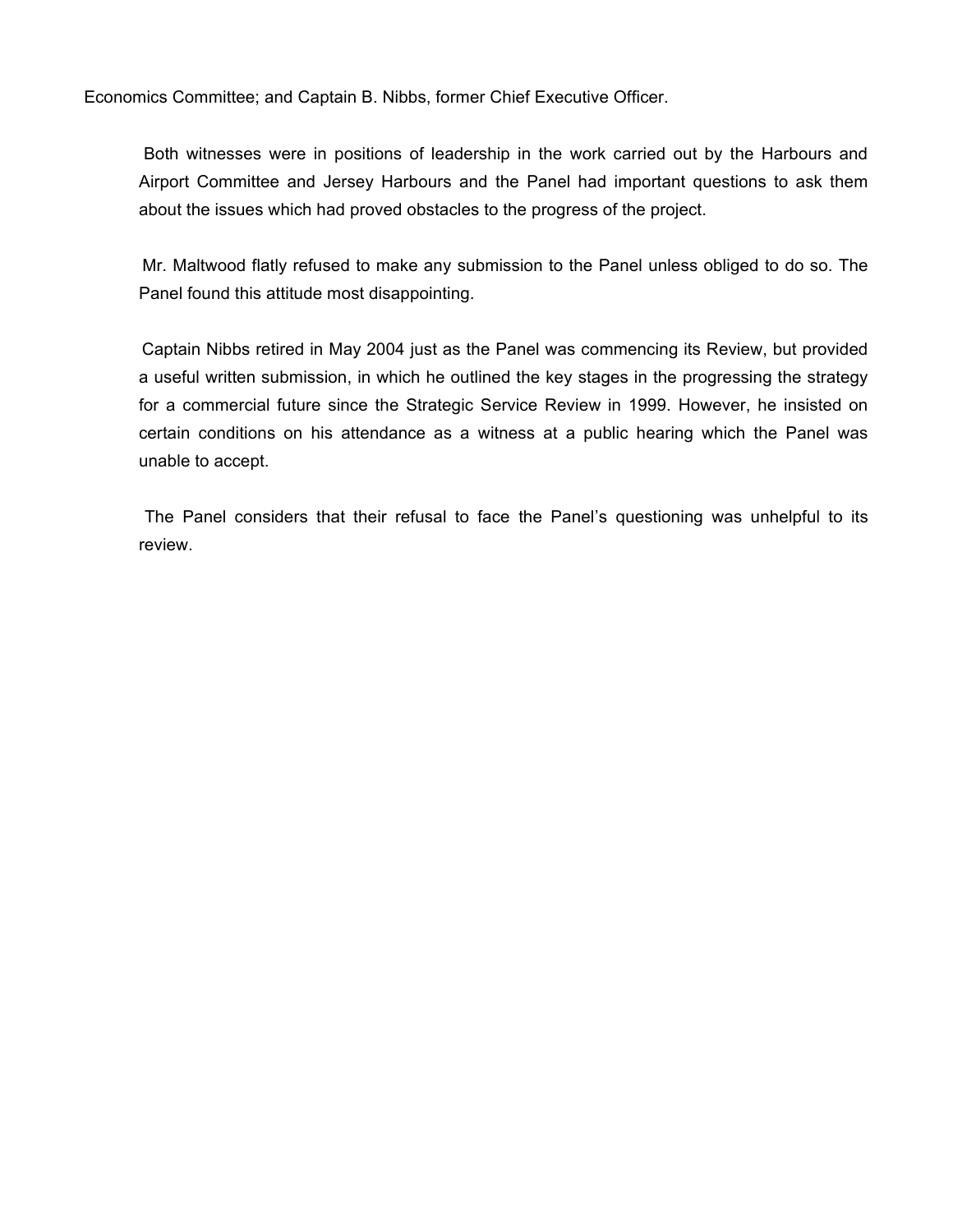Economics Committee; and Captain B. Nibbs, former Chief Executive Officer.

 Both witnesses were in positions of leadership in the work carried out by the Harbours and Airport Committee and Jersey Harbours and the Panel had important questions to ask them about the issues which had proved obstacles to the progress of the project.

 Mr. Maltwood flatly refused to make any submission to the Panel unless obliged to do so. The Panel found this attitude most disappointing.

 Captain Nibbs retired in May 2004 just as the Panel was commencing its Review, but provided a useful written submission, in which he outlined the key stages in the progressing the strategy for a commercial future since the Strategic Service Review in 1999. However, he insisted on certain conditions on his attendance as a witness at a public hearing which the Panel was unable to accept.

 The Panel considers that their refusal to face the Panel's questioning was unhelpful to its review.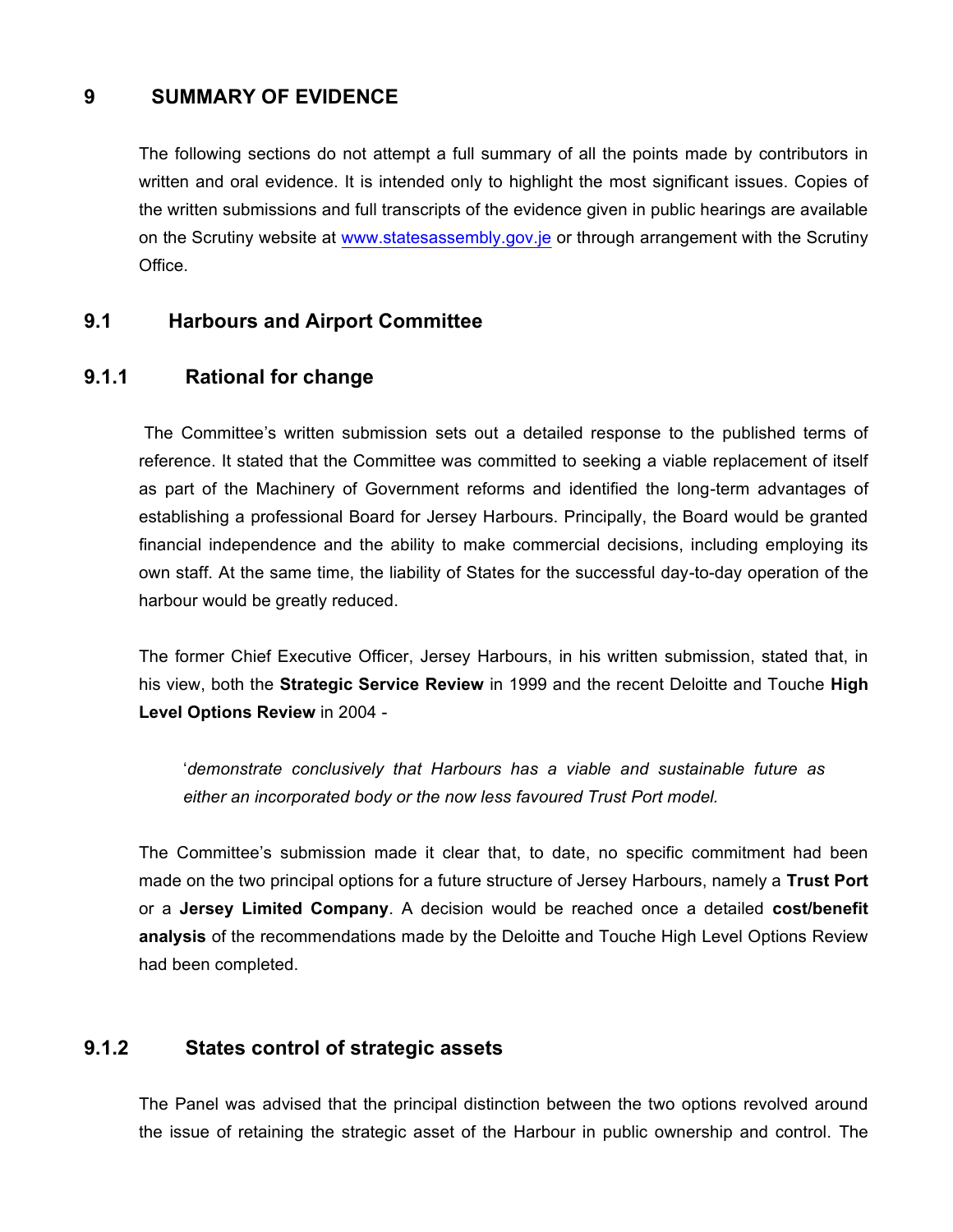## **9 SUMMARY OF EVIDENCE**

The following sections do not attempt a full summary of all the points made by contributors in written and oral evidence. It is intended only to highlight the most significant issues. Copies of the written submissions and full transcripts of the evidence given in public hearings are available on the Scrutiny website at <www.statesassembly.gov.je> or through arrangement with the Scrutiny Office.

### **9.1 Harbours and Airport Committee**

#### **9.1.1 Rational for change**

 The Committee's written submission sets out a detailed response to the published terms of reference. It stated that the Committee was committed to seeking a viable replacement of itself as part of the Machinery of Government reforms and identified the long-term advantages of establishing a professional Board for Jersey Harbours. Principally, the Board would be granted financial independence and the ability to make commercial decisions, including employing its own staff. At the same time, the liability of States for the successful day-to-day operation of the harbour would be greatly reduced.

The former Chief Executive Officer, Jersey Harbours, in his written submission, stated that, in his view, both the **Strategic Service Review** in 1999 and the recent Deloitte and Touche **High Level Options Review** in 2004 -

'*demonstrate conclusively that Harbours has a viable and sustainable future as either an incorporated body or the now less favoured Trust Port model.*

The Committee's submission made it clear that, to date, no specific commitment had been made on the two principal options for a future structure of Jersey Harbours, namely a **Trust Port** or a **Jersey Limited Company**. A decision would be reached once a detailed **cost/benefit analysis** of the recommendations made by the Deloitte and Touche High Level Options Review had been completed.

## **9.1.2 States control of strategic assets**

The Panel was advised that the principal distinction between the two options revolved around the issue of retaining the strategic asset of the Harbour in public ownership and control. The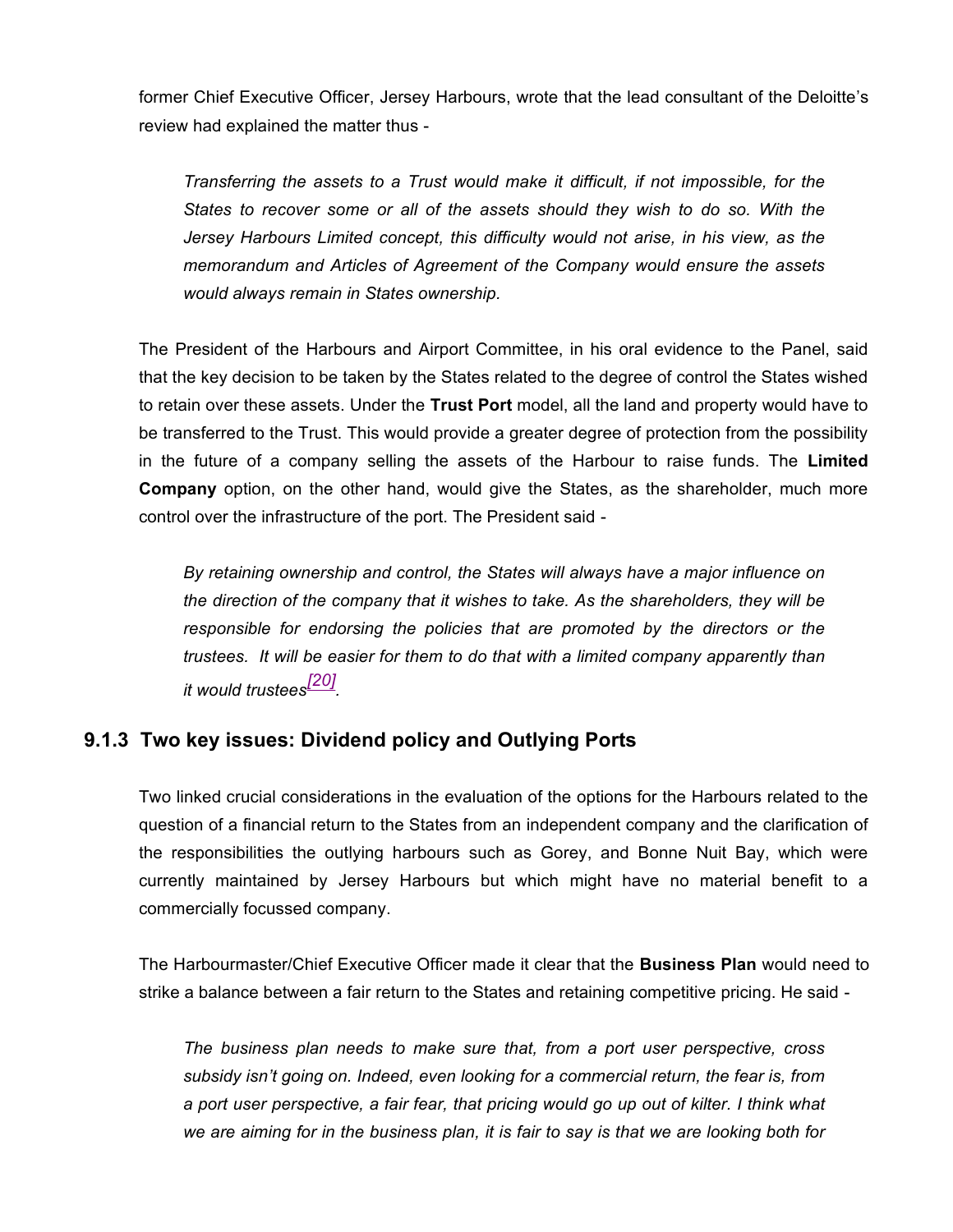former Chief Executive Officer, Jersey Harbours, wrote that the lead consultant of the Deloitte's review had explained the matter thus -

*Transferring the assets to a Trust would make it difficult, if not impossible, for the States to recover some or all of the assets should they wish to do so. With the Jersey Harbours Limited concept, this difficulty would not arise, in his view, as the memorandum and Articles of Agreement of the Company would ensure the assets would always remain in States ownership.*

The President of the Harbours and Airport Committee, in his oral evidence to the Panel, said that the key decision to be taken by the States related to the degree of control the States wished to retain over these assets. Under the **Trust Port** model, all the land and property would have to be transferred to the Trust. This would provide a greater degree of protection from the possibility in the future of a company selling the assets of the Harbour to raise funds. The **Limited Company** option, on the other hand, would give the States, as the shareholder, much more control over the infrastructure of the port. The President said -

*By retaining ownership and control, the States will always have a major influence on the direction of the company that it wishes to take. As the shareholders, they will be responsible for endorsing the policies that are promoted by the directors or the trustees. It will be easier for them to do that with a limited company apparently than it would trustees[20] .*

#### **9.1.3 Two key issues: Dividend policy and Outlying Ports**

Two linked crucial considerations in the evaluation of the options for the Harbours related to the question of a financial return to the States from an independent company and the clarification of the responsibilities the outlying harbours such as Gorey, and Bonne Nuit Bay, which were currently maintained by Jersey Harbours but which might have no material benefit to a commercially focussed company.

The Harbourmaster/Chief Executive Officer made it clear that the **Business Plan** would need to strike a balance between a fair return to the States and retaining competitive pricing. He said -

*The business plan needs to make sure that, from a port user perspective, cross subsidy isn't going on. Indeed, even looking for a commercial return, the fear is, from a port user perspective, a fair fear, that pricing would go up out of kilter. I think what we are aiming for in the business plan, it is fair to say is that we are looking both for*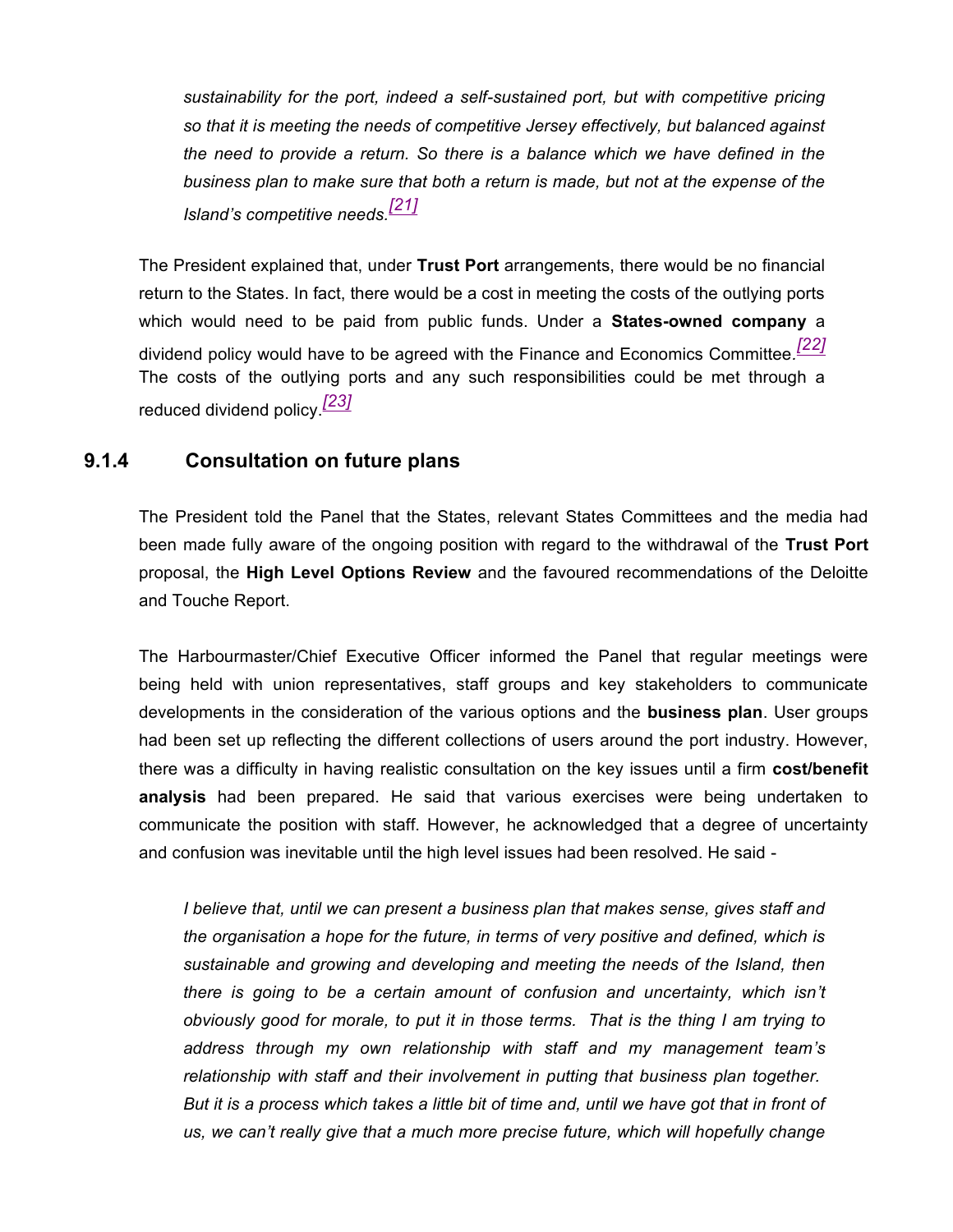*sustainability for the port, indeed a self-sustained port, but with competitive pricing so that it is meeting the needs of competitive Jersey effectively, but balanced against the need to provide a return. So there is a balance which we have defined in the business plan to make sure that both a return is made, but not at the expense of the Island's competitive needs.[21]*

The President explained that, under **Trust Port** arrangements, there would be no financial return to the States. In fact, there would be a cost in meeting the costs of the outlying ports which would need to be paid from public funds. Under a **States-owned company** a dividend policy would have to be agreed with the Finance and Economics Committee*. [22]* The costs of the outlying ports and any such responsibilities could be met through a reduced dividend policy.*[23]*

#### **9.1.4 Consultation on future plans**

The President told the Panel that the States, relevant States Committees and the media had been made fully aware of the ongoing position with regard to the withdrawal of the **Trust Port** proposal, the **High Level Options Review** and the favoured recommendations of the Deloitte and Touche Report.

The Harbourmaster/Chief Executive Officer informed the Panel that regular meetings were being held with union representatives, staff groups and key stakeholders to communicate developments in the consideration of the various options and the **business plan**. User groups had been set up reflecting the different collections of users around the port industry. However, there was a difficulty in having realistic consultation on the key issues until a firm **cost/benefit analysis** had been prepared. He said that various exercises were being undertaken to communicate the position with staff. However, he acknowledged that a degree of uncertainty and confusion was inevitable until the high level issues had been resolved. He said -

*I believe that, until we can present a business plan that makes sense, gives staff and the organisation a hope for the future, in terms of very positive and defined, which is sustainable and growing and developing and meeting the needs of the Island, then there is going to be a certain amount of confusion and uncertainty, which isn't obviously good for morale, to put it in those terms. That is the thing I am trying to address through my own relationship with staff and my management team's relationship with staff and their involvement in putting that business plan together. But it is a process which takes a little bit of time and, until we have got that in front of us, we can't really give that a much more precise future, which will hopefully change*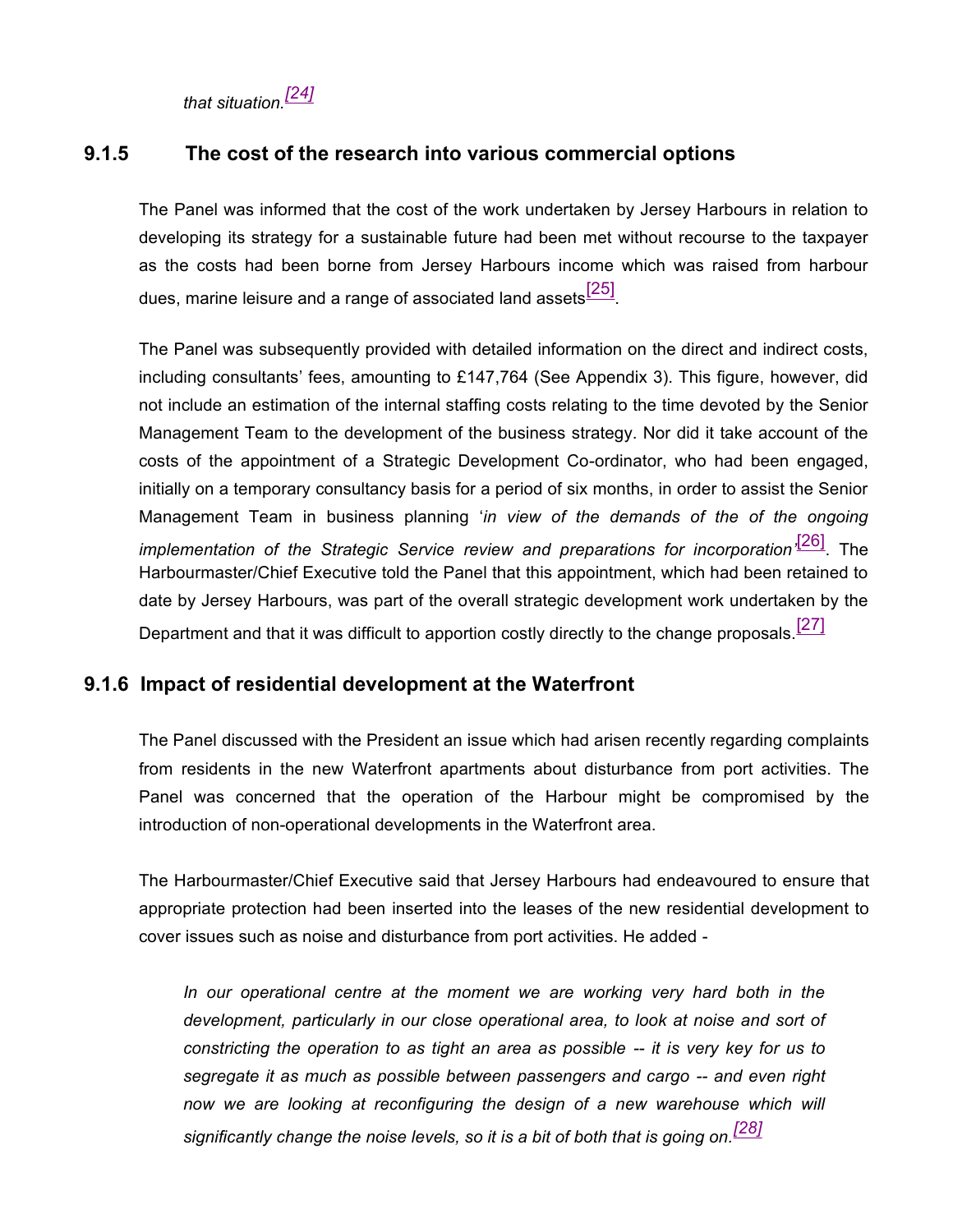*that situation.[24]*

### **9.1.5 The cost of the research into various commercial options**

The Panel was informed that the cost of the work undertaken by Jersey Harbours in relation to developing its strategy for a sustainable future had been met without recourse to the taxpayer as the costs had been borne from Jersey Harbours income which was raised from harbour dues, marine leisure and a range of associated land assets<sup>[25]</sup>

The Panel was subsequently provided with detailed information on the direct and indirect costs, including consultants' fees, amounting to £147,764 (See Appendix 3). This figure, however, did not include an estimation of the internal staffing costs relating to the time devoted by the Senior Management Team to the development of the business strategy. Nor did it take account of the costs of the appointment of a Strategic Development Co-ordinator, who had been engaged, initially on a temporary consultancy basis for a period of six months, in order to assist the Senior Management Team in business planning '*in view of the demands of the of the ongoing implementation of the Strategic Service review and preparations for incorporation'* [26]. The Harbourmaster/Chief Executive told the Panel that this appointment, which had been retained to date by Jersey Harbours, was part of the overall strategic development work undertaken by the Department and that it was difficult to apportion costly directly to the change proposals.<sup>[27]</sup>

#### **9.1.6 Impact of residential development at the Waterfront**

The Panel discussed with the President an issue which had arisen recently regarding complaints from residents in the new Waterfront apartments about disturbance from port activities. The Panel was concerned that the operation of the Harbour might be compromised by the introduction of non-operational developments in the Waterfront area.

The Harbourmaster/Chief Executive said that Jersey Harbours had endeavoured to ensure that appropriate protection had been inserted into the leases of the new residential development to cover issues such as noise and disturbance from port activities. He added -

*In our operational centre at the moment we are working very hard both in the development, particularly in our close operational area, to look at noise and sort of constricting the operation to as tight an area as possible -- it is very key for us to segregate it as much as possible between passengers and cargo -- and even right* now we are looking at reconfiguring the design of a new warehouse which will *significantly change the noise levels, so it is a bit of both that is going on.[28]*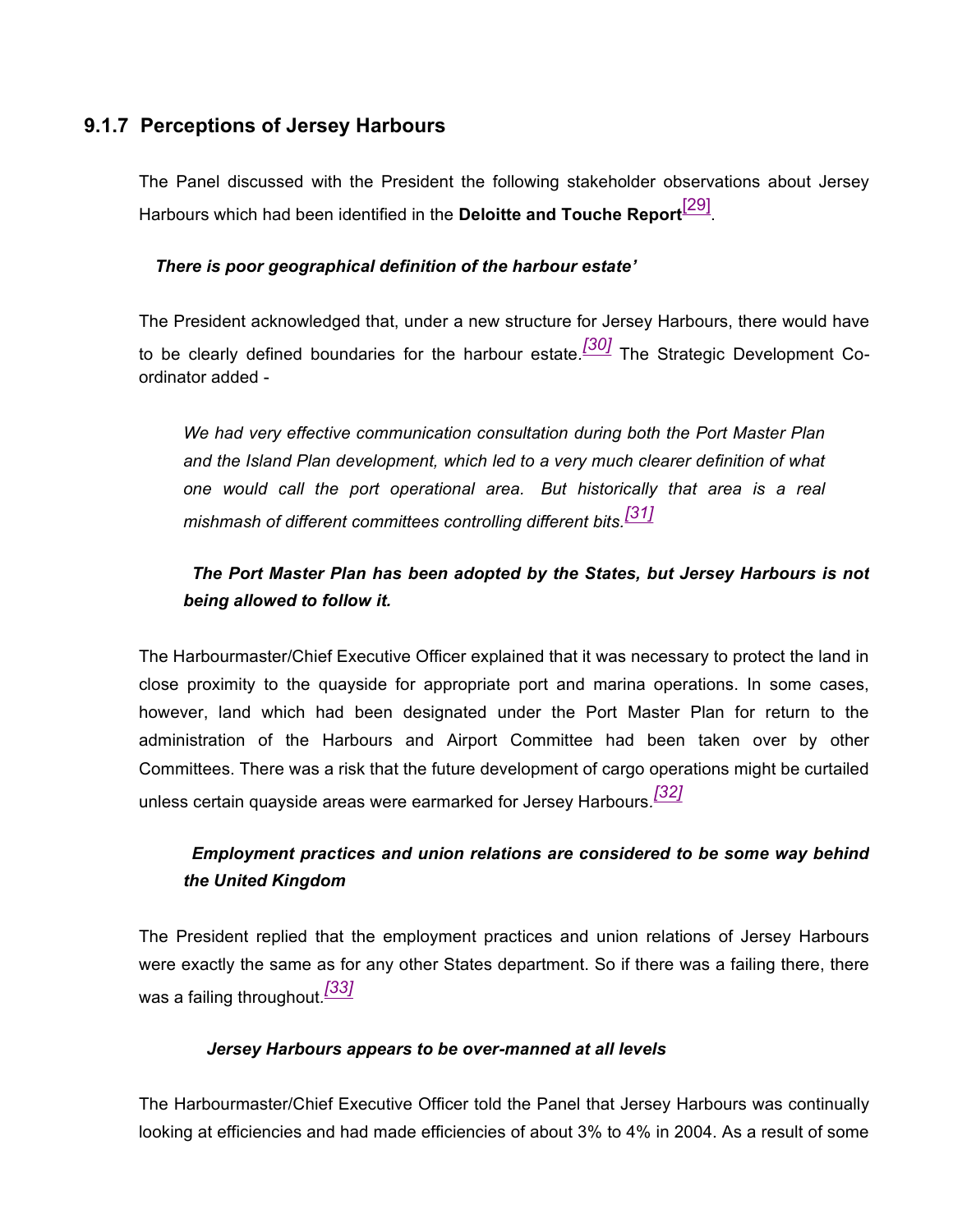### **9.1.7 Perceptions of Jersey Harbours**

The Panel discussed with the President the following stakeholder observations about Jersey Harbours which had been identified in the **Deloitte and Touche Report**[29] .

#### *There is poor geographical definition of the harbour estate'*

The President acknowledged that, under a new structure for Jersey Harbours, there would have to be clearly defined boundaries for the harbour estate*. [30]* The Strategic Development Coordinator added -

*We had very effective communication consultation during both the Port Master Plan and the Island Plan development, which led to a very much clearer definition of what one would call the port operational area. But historically that area is a real mishmash of different committees controlling different bits.[31]*

## *The Port Master Plan has been adopted by the States, but Jersey Harbours is not being allowed to follow it.*

The Harbourmaster/Chief Executive Officer explained that it was necessary to protect the land in close proximity to the quayside for appropriate port and marina operations. In some cases, however, land which had been designated under the Port Master Plan for return to the administration of the Harbours and Airport Committee had been taken over by other Committees. There was a risk that the future development of cargo operations might be curtailed unless certain quayside areas were earmarked for Jersey Harbours*. [32]*

## *Employment practices and union relations are considered to be some way behind the United Kingdom*

The President replied that the employment practices and union relations of Jersey Harbours were exactly the same as for any other States department. So if there was a failing there, there was a failing throughout*. [33]*

#### *Jersey Harbours appears to be over-manned at all levels*

The Harbourmaster/Chief Executive Officer told the Panel that Jersey Harbours was continually looking at efficiencies and had made efficiencies of about 3% to 4% in 2004. As a result of some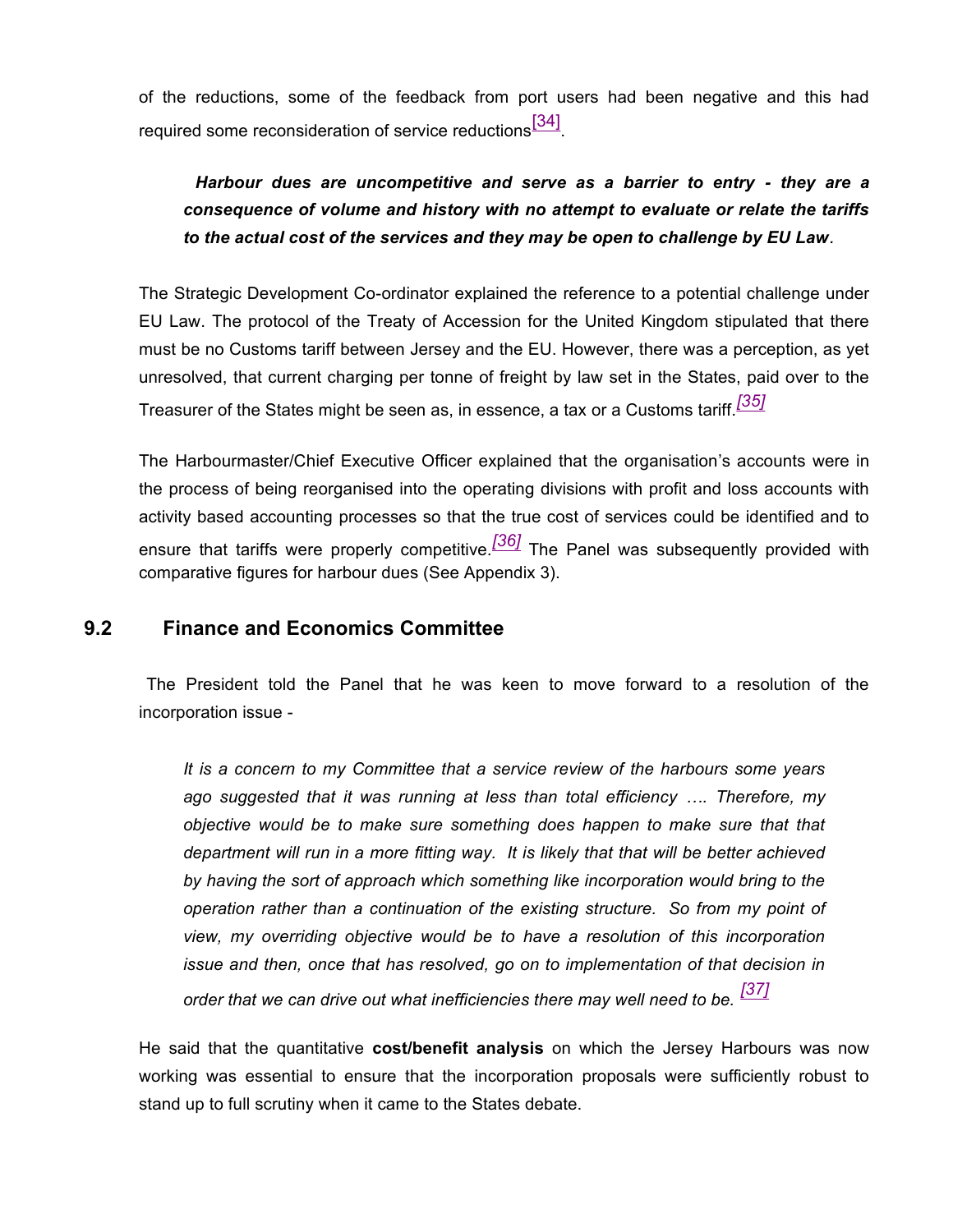of the reductions, some of the feedback from port users had been negative and this had required some reconsideration of service reductions $^{\text{[34]}}$ .

# *Harbour dues are uncompetitive and serve as a barrier to entry - they are a consequence of volume and history with no attempt to evaluate or relate the tariffs to the actual cost of the services and they may be open to challenge by EU Law.*

The Strategic Development Co-ordinator explained the reference to a potential challenge under EU Law. The protocol of the Treaty of Accession for the United Kingdom stipulated that there must be no Customs tariff between Jersey and the EU. However, there was a perception, as yet unresolved, that current charging per tonne of freight by law set in the States, paid over to the Treasurer of the States might be seen as, in essence, a tax or a Customs tariff*. [35]*

The Harbourmaster/Chief Executive Officer explained that the organisation's accounts were in the process of being reorganised into the operating divisions with profit and loss accounts with activity based accounting processes so that the true cost of services could be identified and to ensure that tariffs were properly competitive*. [36]* The Panel was subsequently provided with comparative figures for harbour dues (See Appendix 3).

#### **9.2 Finance and Economics Committee**

 The President told the Panel that he was keen to move forward to a resolution of the incorporation issue -

*It is a concern to my Committee that a service review of the harbours some years ago suggested that it was running at less than total efficiency …. Therefore, my objective would be to make sure something does happen to make sure that that department will run in a more fitting way. It is likely that that will be better achieved by having the sort of approach which something like incorporation would bring to the operation rather than a continuation of the existing structure. So from my point of view, my overriding objective would be to have a resolution of this incorporation issue and then, once that has resolved, go on to implementation of that decision in order that we can drive out what inefficiencies there may well need to be. [37]*

He said that the quantitative **cost/benefit analysis** on which the Jersey Harbours was now working was essential to ensure that the incorporation proposals were sufficiently robust to stand up to full scrutiny when it came to the States debate.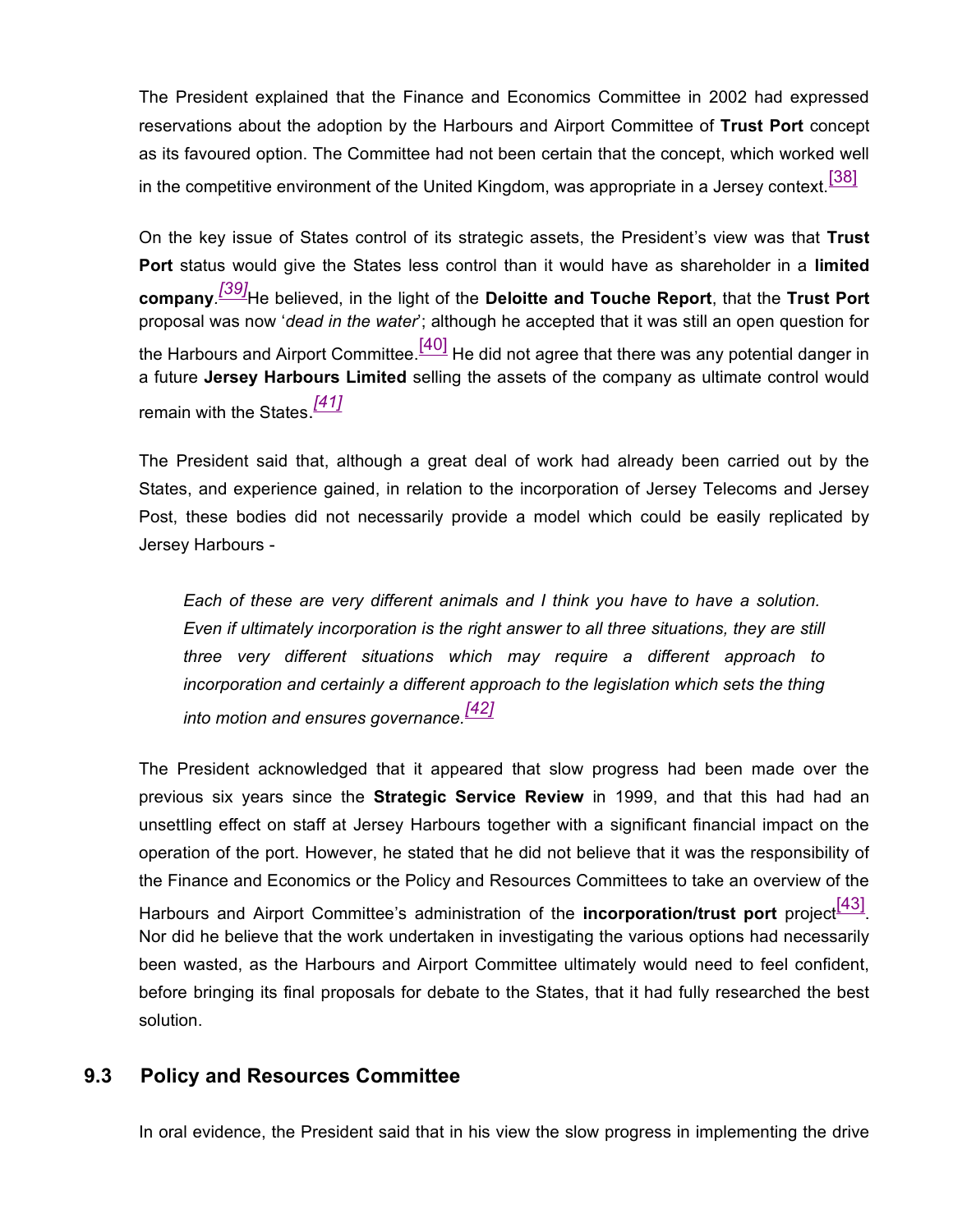The President explained that the Finance and Economics Committee in 2002 had expressed reservations about the adoption by the Harbours and Airport Committee of **Trust Port** concept as its favoured option. The Committee had not been certain that the concept, which worked well in the competitive environment of the United Kingdom, was appropriate in a Jersey context.  $[38]$ 

On the key issue of States control of its strategic assets, the President's view was that **Trust Port** status would give the States less control than it would have as shareholder in a **limited company***. [39]*He believed, in the light of the **Deloitte and Touche Report**, that the **Trust Port** proposal was now '*dead in the water*'; although he accepted that it was still an open question for the Harbours and Airport Committee. $\frac{[40]}{[40]}$  He did not agree that there was any potential danger in a future **Jersey Harbours Limited** selling the assets of the company as ultimate control would remain with the States. *[41]*

The President said that, although a great deal of work had already been carried out by the States, and experience gained, in relation to the incorporation of Jersey Telecoms and Jersey Post, these bodies did not necessarily provide a model which could be easily replicated by Jersey Harbours -

*Each of these are very different animals and I think you have to have a solution. Even if ultimately incorporation is the right answer to all three situations, they are still three very different situations which may require a different approach to incorporation and certainly a different approach to the legislation which sets the thing into motion and ensures governance.[42]*

The President acknowledged that it appeared that slow progress had been made over the previous six years since the **Strategic Service Review** in 1999, and that this had had an unsettling effect on staff at Jersey Harbours together with a significant financial impact on the operation of the port. However, he stated that he did not believe that it was the responsibility of the Finance and Economics or the Policy and Resources Committees to take an overview of the Harbours and Airport Committee's administration of the **incorporation/trust port** project<sup>[43]</sup>. Nor did he believe that the work undertaken in investigating the various options had necessarily been wasted, as the Harbours and Airport Committee ultimately would need to feel confident, before bringing its final proposals for debate to the States, that it had fully researched the best solution.

#### **9.3 Policy and Resources Committee**

In oral evidence, the President said that in his view the slow progress in implementing the drive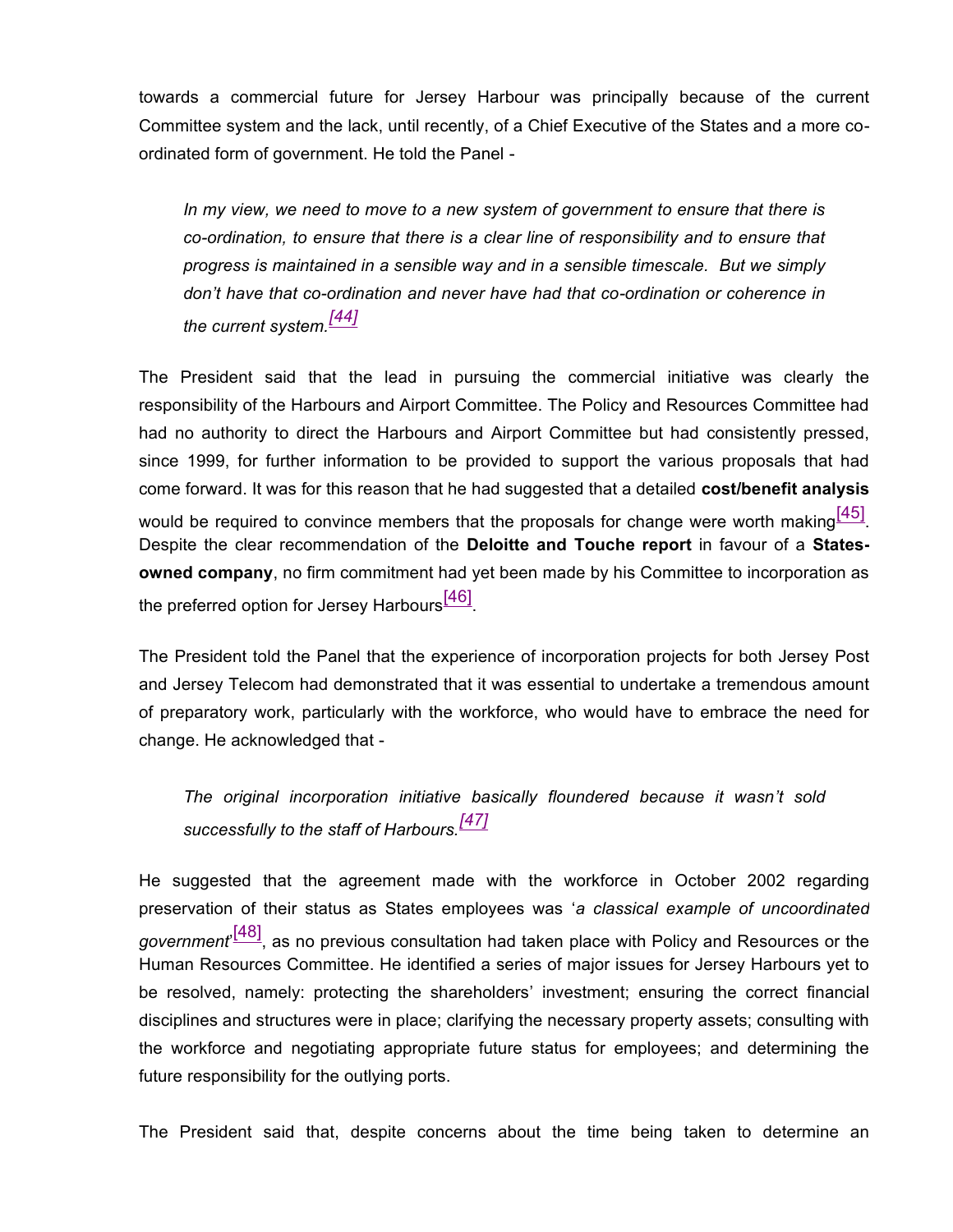towards a commercial future for Jersey Harbour was principally because of the current Committee system and the lack, until recently, of a Chief Executive of the States and a more coordinated form of government. He told the Panel -

*In my view, we need to move to a new system of government to ensure that there is co-ordination, to ensure that there is a clear line of responsibility and to ensure that progress is maintained in a sensible way and in a sensible timescale. But we simply don't have that co-ordination and never have had that co-ordination or coherence in the current system.[44]*

The President said that the lead in pursuing the commercial initiative was clearly the responsibility of the Harbours and Airport Committee. The Policy and Resources Committee had had no authority to direct the Harbours and Airport Committee but had consistently pressed, since 1999, for further information to be provided to support the various proposals that had come forward. It was for this reason that he had suggested that a detailed **cost/benefit analysis** would be required to convince members that the proposals for change were worth making  $[45]$ . Despite the clear recommendation of the **Deloitte and Touche report** in favour of a **Statesowned company**, no firm commitment had yet been made by his Committee to incorporation as the preferred option for Jersey Harbours<sup>[46]</sup>.

The President told the Panel that the experience of incorporation projects for both Jersey Post and Jersey Telecom had demonstrated that it was essential to undertake a tremendous amount of preparatory work, particularly with the workforce, who would have to embrace the need for change. He acknowledged that -

*The original incorporation initiative basically floundered because it wasn't sold successfully to the staff of Harbours.[47]*

He suggested that the agreement made with the workforce in October 2002 regarding preservation of their status as States employees was '*a classical example of uncoordinated government*' [48], as no previous consultation had taken place with Policy and Resources or the Human Resources Committee. He identified a series of major issues for Jersey Harbours yet to be resolved, namely: protecting the shareholders' investment; ensuring the correct financial disciplines and structures were in place; clarifying the necessary property assets; consulting with the workforce and negotiating appropriate future status for employees; and determining the future responsibility for the outlying ports.

The President said that, despite concerns about the time being taken to determine an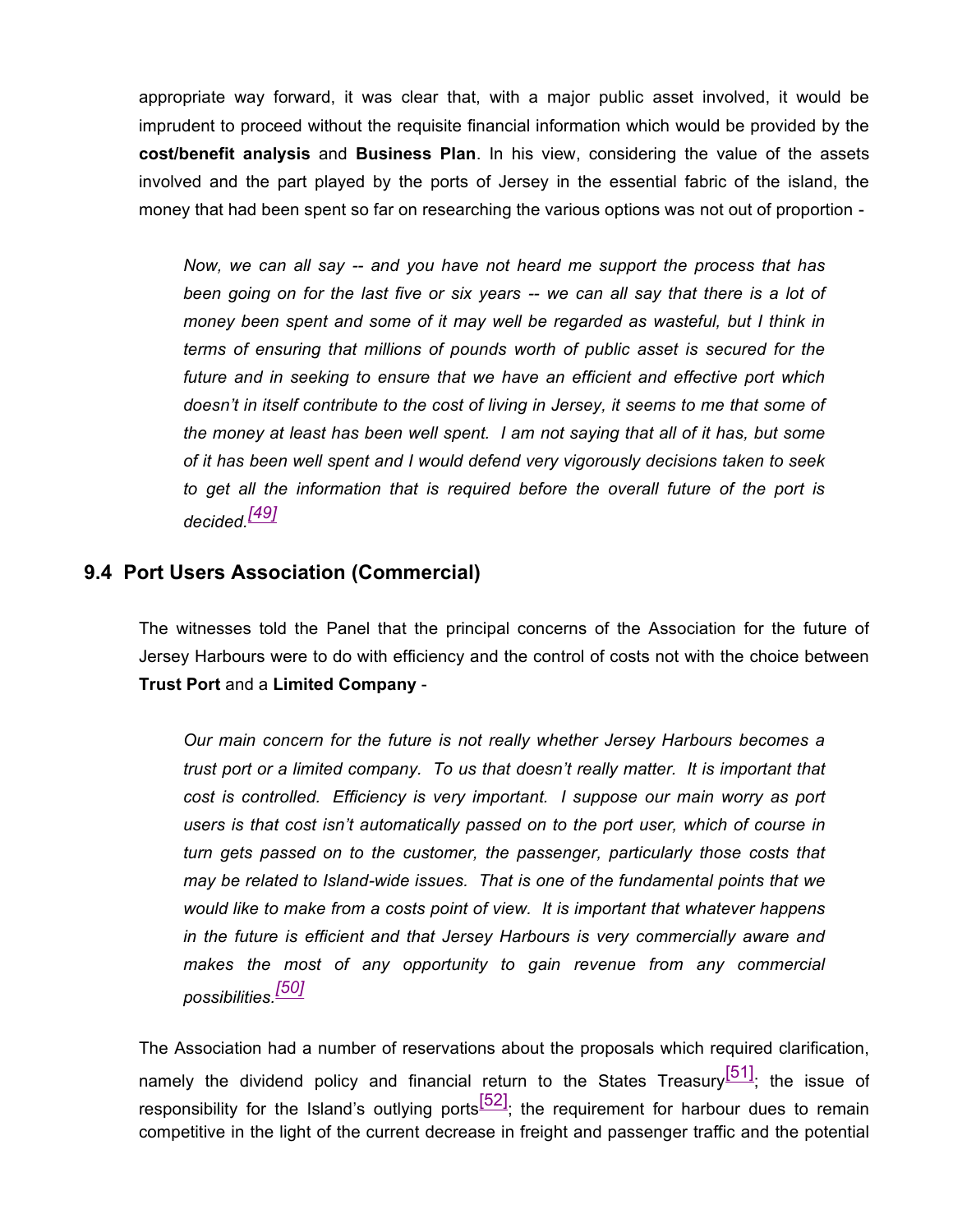appropriate way forward, it was clear that, with a major public asset involved, it would be imprudent to proceed without the requisite financial information which would be provided by the **cost/benefit analysis** and **Business Plan**. In his view, considering the value of the assets involved and the part played by the ports of Jersey in the essential fabric of the island, the money that had been spent so far on researching the various options was not out of proportion -

*Now, we can all say -- and you have not heard me support the process that has been going on for the last five or six years -- we can all say that there is a lot of money been spent and some of it may well be regarded as wasteful, but I think in terms of ensuring that millions of pounds worth of public asset is secured for the future and in seeking to ensure that we have an efficient and effective port which doesn't in itself contribute to the cost of living in Jersey, it seems to me that some of the money at least has been well spent. I am not saying that all of it has, but some of it has been well spent and I would defend very vigorously decisions taken to seek to get all the information that is required before the overall future of the port is decided.[49]*

#### **9.4 Port Users Association (Commercial)**

The witnesses told the Panel that the principal concerns of the Association for the future of Jersey Harbours were to do with efficiency and the control of costs not with the choice between **Trust Port** and a **Limited Company** -

*Our main concern for the future is not really whether Jersey Harbours becomes a trust port or a limited company. To us that doesn't really matter. It is important that cost is controlled. Efficiency is very important. I suppose our main worry as port users is that cost isn't automatically passed on to the port user, which of course in turn gets passed on to the customer, the passenger, particularly those costs that may be related to Island-wide issues. That is one of the fundamental points that we would like to make from a costs point of view. It is important that whatever happens in the future is efficient and that Jersey Harbours is very commercially aware and makes the most of any opportunity to gain revenue from any commercial possibilities.[50]*

The Association had a number of reservations about the proposals which required clarification, namely the dividend policy and financial return to the States Treasury $\frac{[51]}{;}$  the issue of responsibility for the Island's outlying ports $\frac{52}{2}$ ; the requirement for harbour dues to remain competitive in the light of the current decrease in freight and passenger traffic and the potential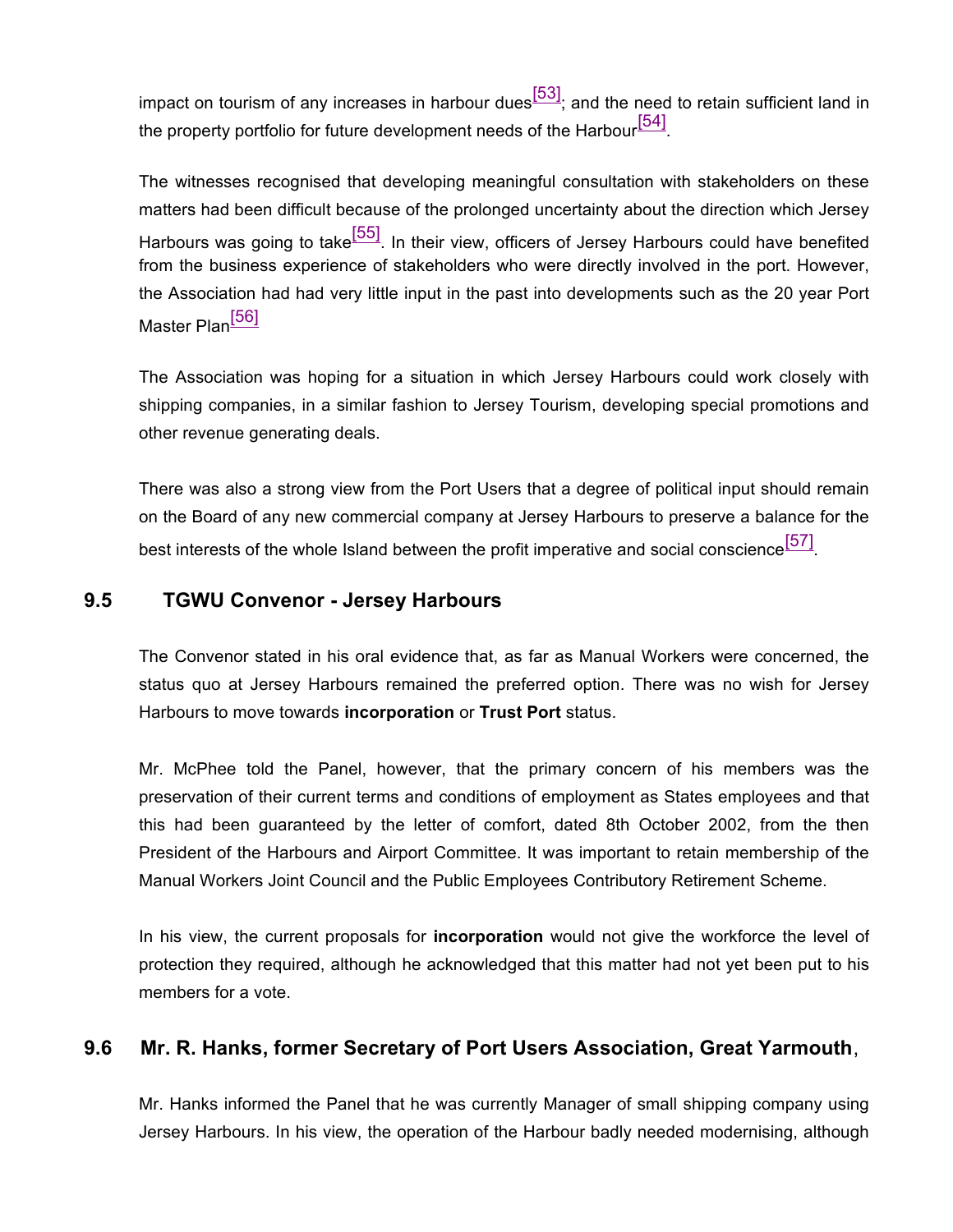impact on tourism of any increases in harbour dues $\frac{[53]}{[53]}$ ; and the need to retain sufficient land in the property portfolio for future development needs of the Harbour $^{[54]}$ .

The witnesses recognised that developing meaningful consultation with stakeholders on these matters had been difficult because of the prolonged uncertainty about the direction which Jersey Harbours was going to take<sup>[55]</sup>. In their view, officers of Jersey Harbours could have benefited from the business experience of stakeholders who were directly involved in the port. However, the Association had had very little input in the past into developments such as the 20 year Port Master Plan<sup>[56]</sup>

The Association was hoping for a situation in which Jersey Harbours could work closely with shipping companies, in a similar fashion to Jersey Tourism, developing special promotions and other revenue generating deals.

There was also a strong view from the Port Users that a degree of political input should remain on the Board of any new commercial company at Jersey Harbours to preserve a balance for the best interests of the whole Island between the profit imperative and social conscience<sup>[57]</sup>.

#### **9.5 TGWU Convenor - Jersey Harbours**

The Convenor stated in his oral evidence that, as far as Manual Workers were concerned, the status quo at Jersey Harbours remained the preferred option. There was no wish for Jersey Harbours to move towards **incorporation** or **Trust Port** status.

Mr. McPhee told the Panel, however, that the primary concern of his members was the preservation of their current terms and conditions of employment as States employees and that this had been guaranteed by the letter of comfort, dated 8th October 2002, from the then President of the Harbours and Airport Committee. It was important to retain membership of the Manual Workers Joint Council and the Public Employees Contributory Retirement Scheme.

In his view, the current proposals for **incorporation** would not give the workforce the level of protection they required, although he acknowledged that this matter had not yet been put to his members for a vote.

#### **9.6 Mr. R. Hanks, former Secretary of Port Users Association, Great Yarmouth**,

Mr. Hanks informed the Panel that he was currently Manager of small shipping company using Jersey Harbours. In his view, the operation of the Harbour badly needed modernising, although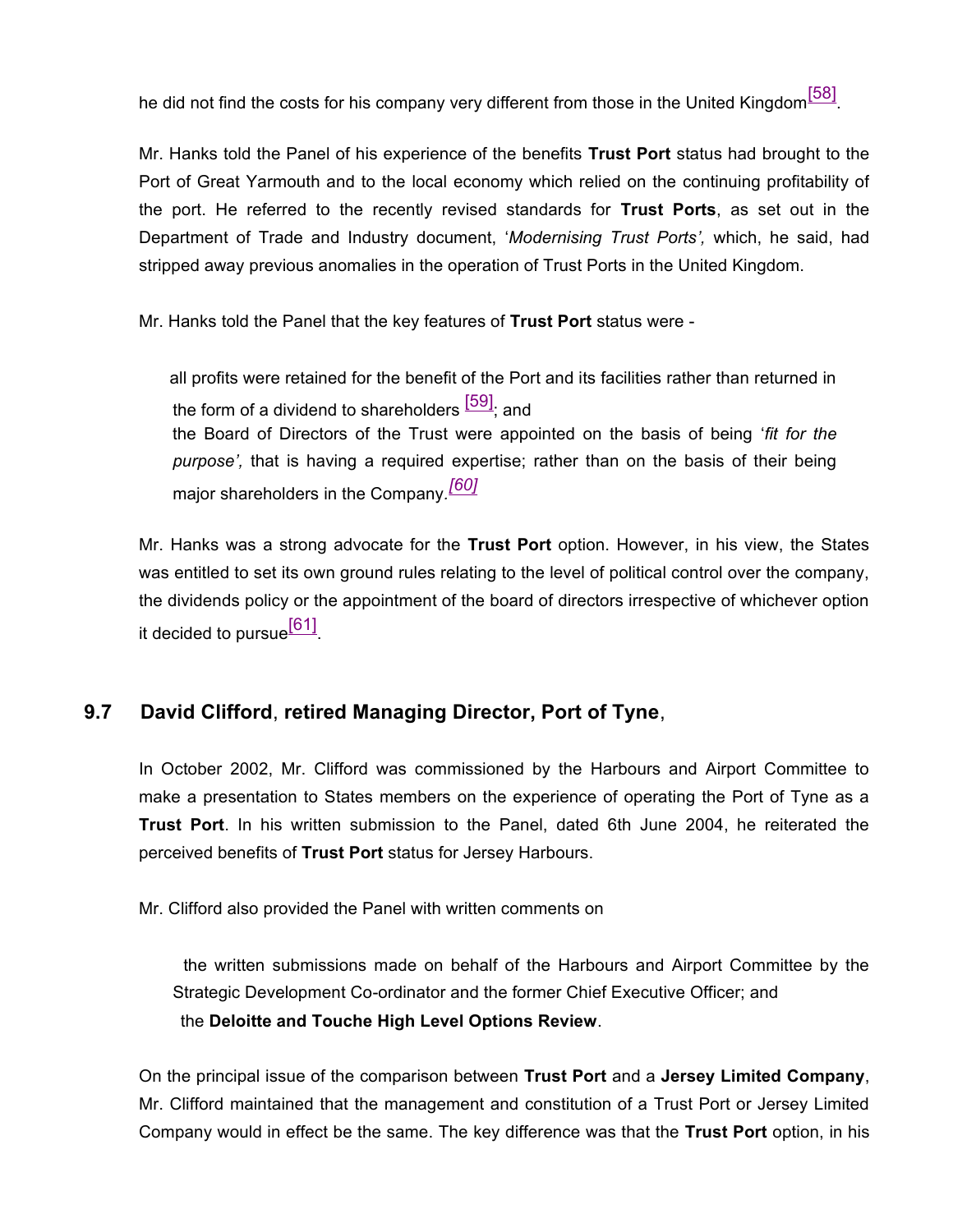he did not find the costs for his company very different from those in the United Kingdom $^{\text{[58]}}$ .

Mr. Hanks told the Panel of his experience of the benefits **Trust Port** status had brought to the Port of Great Yarmouth and to the local economy which relied on the continuing profitability of the port. He referred to the recently revised standards for **Trust Ports**, as set out in the Department of Trade and Industry document, '*Modernising Trust Ports',* which, he said, had stripped away previous anomalies in the operation of Trust Ports in the United Kingdom.

Mr. Hanks told the Panel that the key features of **Trust Port** status were -

 all profits were retained for the benefit of the Port and its facilities rather than returned in the form of a dividend to shareholders  $\frac{[59]}{[59]}$  and the Board of Directors of the Trust were appointed on the basis of being '*fit for the purpose',* that is having a required expertise; rather than on the basis of their being major shareholders in the Company*. [60]*

Mr. Hanks was a strong advocate for the **Trust Port** option. However, in his view, the States was entitled to set its own ground rules relating to the level of political control over the company, the dividends policy or the appointment of the board of directors irrespective of whichever option it decided to pursue $^{\textsf{[61]}}$ .

## **9.7 David Clifford**, **retired Managing Director, Port of Tyne**,

In October 2002, Mr. Clifford was commissioned by the Harbours and Airport Committee to make a presentation to States members on the experience of operating the Port of Tyne as a **Trust Port**. In his written submission to the Panel, dated 6th June 2004, he reiterated the perceived benefits of **Trust Port** status for Jersey Harbours.

Mr. Clifford also provided the Panel with written comments on

 the written submissions made on behalf of the Harbours and Airport Committee by the Strategic Development Co-ordinator and the former Chief Executive Officer; and the **Deloitte and Touche High Level Options Review**.

On the principal issue of the comparison between **Trust Port** and a **Jersey Limited Company**, Mr. Clifford maintained that the management and constitution of a Trust Port or Jersey Limited Company would in effect be the same. The key difference was that the **Trust Port** option, in his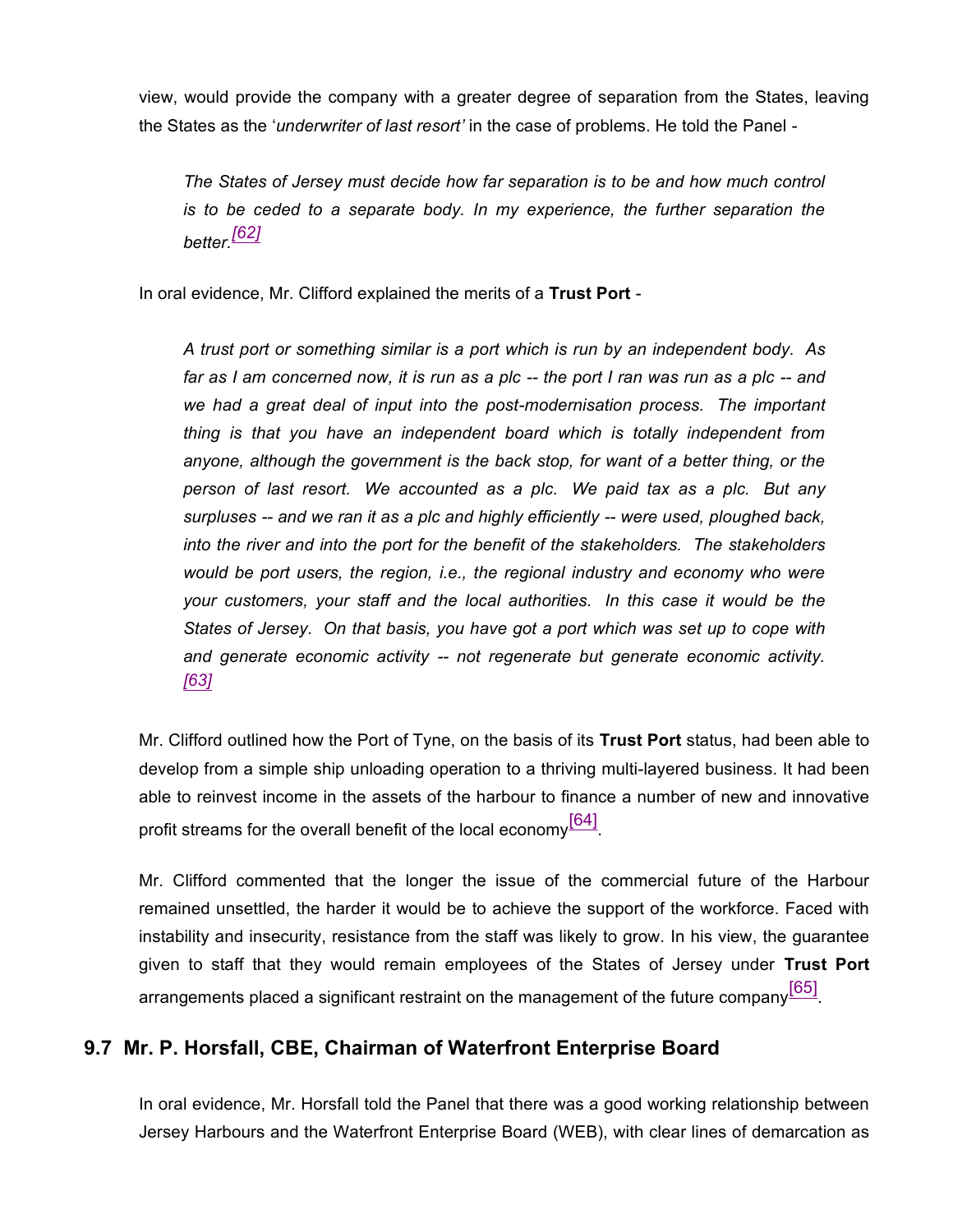view, would provide the company with a greater degree of separation from the States, leaving the States as the '*underwriter of last resort'* in the case of problems. He told the Panel -

*The States of Jersey must decide how far separation is to be and how much control is to be ceded to a separate body. In my experience, the further separation the better.[62]*

In oral evidence, Mr. Clifford explained the merits of a **Trust Port** -

*A trust port or something similar is a port which is run by an independent body. As far as I am concerned now, it is run as a plc -- the port I ran was run as a plc -- and we had a great deal of input into the post-modernisation process. The important thing is that you have an independent board which is totally independent from anyone, although the government is the back stop, for want of a better thing, or the person of last resort. We accounted as a plc. We paid tax as a plc. But any surpluses -- and we ran it as a plc and highly efficiently -- were used, ploughed back, into the river and into the port for the benefit of the stakeholders. The stakeholders would be port users, the region, i.e., the regional industry and economy who were your customers, your staff and the local authorities. In this case it would be the States of Jersey. On that basis, you have got a port which was set up to cope with and generate economic activity -- not regenerate but generate economic activity. [63]*

Mr. Clifford outlined how the Port of Tyne, on the basis of its **Trust Port** status, had been able to develop from a simple ship unloading operation to a thriving multi-layered business. It had been able to reinvest income in the assets of the harbour to finance a number of new and innovative profit streams for the overall benefit of the local economy $^{\text{[64]}}$ .

Mr. Clifford commented that the longer the issue of the commercial future of the Harbour remained unsettled, the harder it would be to achieve the support of the workforce. Faced with instability and insecurity, resistance from the staff was likely to grow. In his view, the guarantee given to staff that they would remain employees of the States of Jersey under **Trust Port** arrangements placed a significant restraint on the management of the future company<sup>[65]</sup>.

### **9.7 Mr. P. Horsfall, CBE, Chairman of Waterfront Enterprise Board**

In oral evidence, Mr. Horsfall told the Panel that there was a good working relationship between Jersey Harbours and the Waterfront Enterprise Board (WEB), with clear lines of demarcation as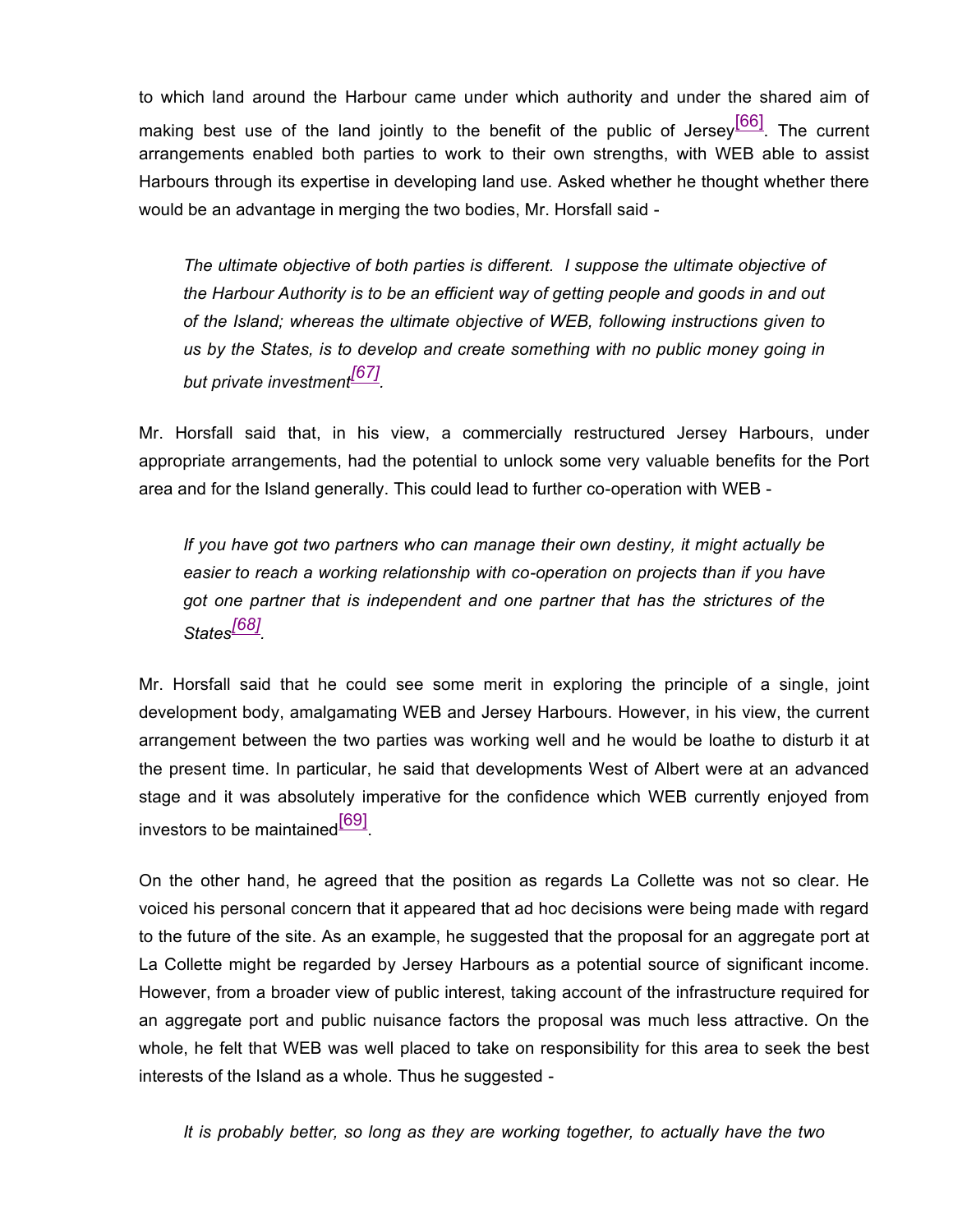to which land around the Harbour came under which authority and under the shared aim of making best use of the land jointly to the benefit of the public of Jersey $\frac{[66]}{[66]}$ . The current arrangements enabled both parties to work to their own strengths, with WEB able to assist Harbours through its expertise in developing land use. Asked whether he thought whether there would be an advantage in merging the two bodies, Mr. Horsfall said -

*The ultimate objective of both parties is different. I suppose the ultimate objective of the Harbour Authority is to be an efficient way of getting people and goods in and out of the Island; whereas the ultimate objective of WEB, following instructions given to us by the States, is to develop and create something with no public money going in but private investment[67] .*

Mr. Horsfall said that, in his view, a commercially restructured Jersey Harbours, under appropriate arrangements, had the potential to unlock some very valuable benefits for the Port area and for the Island generally. This could lead to further co-operation with WEB -

*If you have got two partners who can manage their own destiny, it might actually be easier to reach a working relationship with co-operation on projects than if you have got one partner that is independent and one partner that has the strictures of the States[68] .*

Mr. Horsfall said that he could see some merit in exploring the principle of a single, joint development body, amalgamating WEB and Jersey Harbours. However, in his view, the current arrangement between the two parties was working well and he would be loathe to disturb it at the present time. In particular, he said that developments West of Albert were at an advanced stage and it was absolutely imperative for the confidence which WEB currently enjoyed from investors to be maintained<sup>[69]</sup>.

On the other hand, he agreed that the position as regards La Collette was not so clear. He voiced his personal concern that it appeared that ad hoc decisions were being made with regard to the future of the site. As an example, he suggested that the proposal for an aggregate port at La Collette might be regarded by Jersey Harbours as a potential source of significant income. However, from a broader view of public interest, taking account of the infrastructure required for an aggregate port and public nuisance factors the proposal was much less attractive. On the whole, he felt that WEB was well placed to take on responsibility for this area to seek the best interests of the Island as a whole. Thus he suggested -

*It is probably better, so long as they are working together, to actually have the two*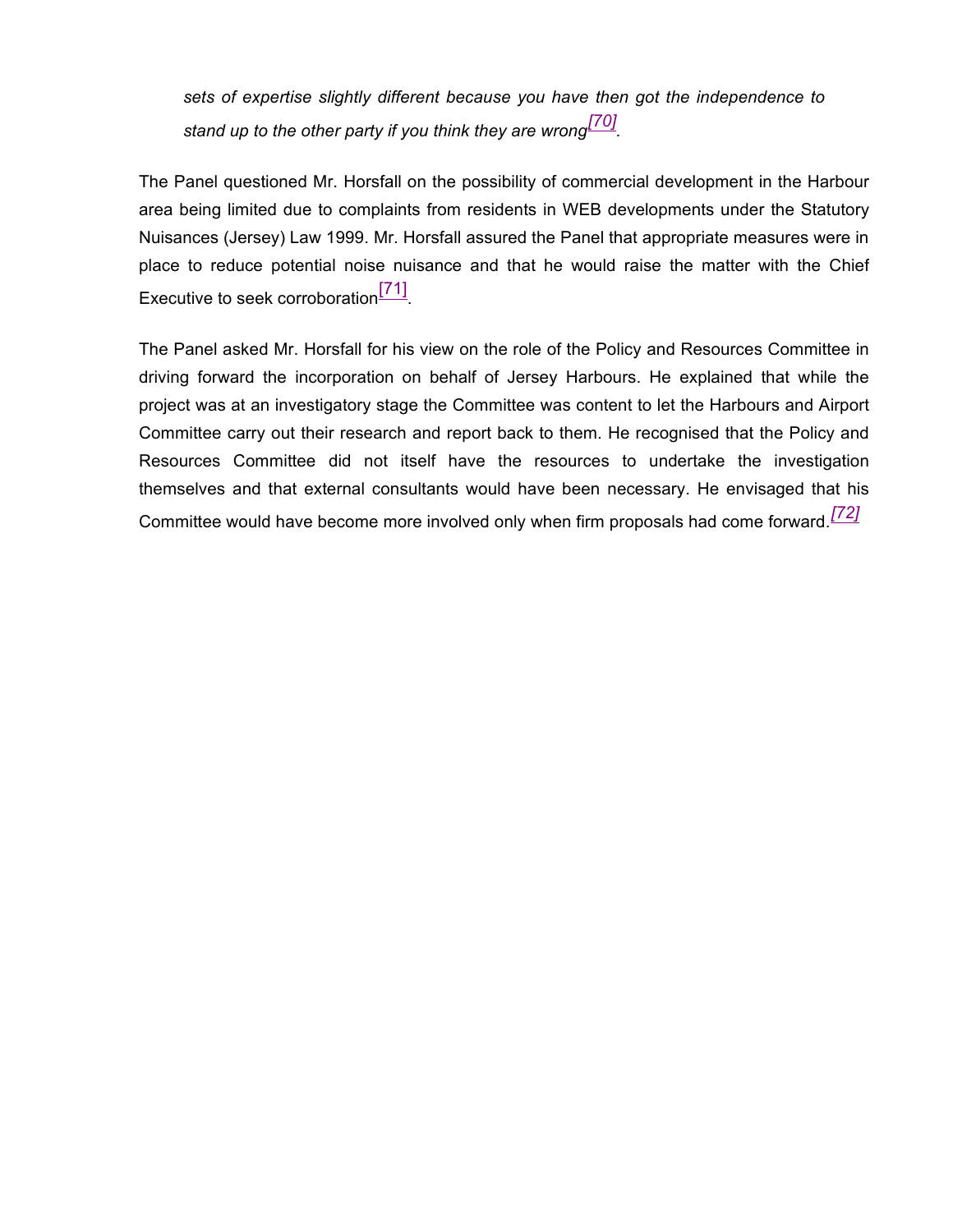*sets of expertise slightly different because you have then got the independence to stand up to the other party if you think they are wrong[70] .*

The Panel questioned Mr. Horsfall on the possibility of commercial development in the Harbour area being limited due to complaints from residents in WEB developments under the Statutory Nuisances (Jersey) Law 1999. Mr. Horsfall assured the Panel that appropriate measures were in place to reduce potential noise nuisance and that he would raise the matter with the Chief Executive to seek corroboration<sup>[71]</sup>.

The Panel asked Mr. Horsfall for his view on the role of the Policy and Resources Committee in driving forward the incorporation on behalf of Jersey Harbours. He explained that while the project was at an investigatory stage the Committee was content to let the Harbours and Airport Committee carry out their research and report back to them. He recognised that the Policy and Resources Committee did not itself have the resources to undertake the investigation themselves and that external consultants would have been necessary. He envisaged that his Committee would have become more involved only when firm proposals had come forward*. [72]*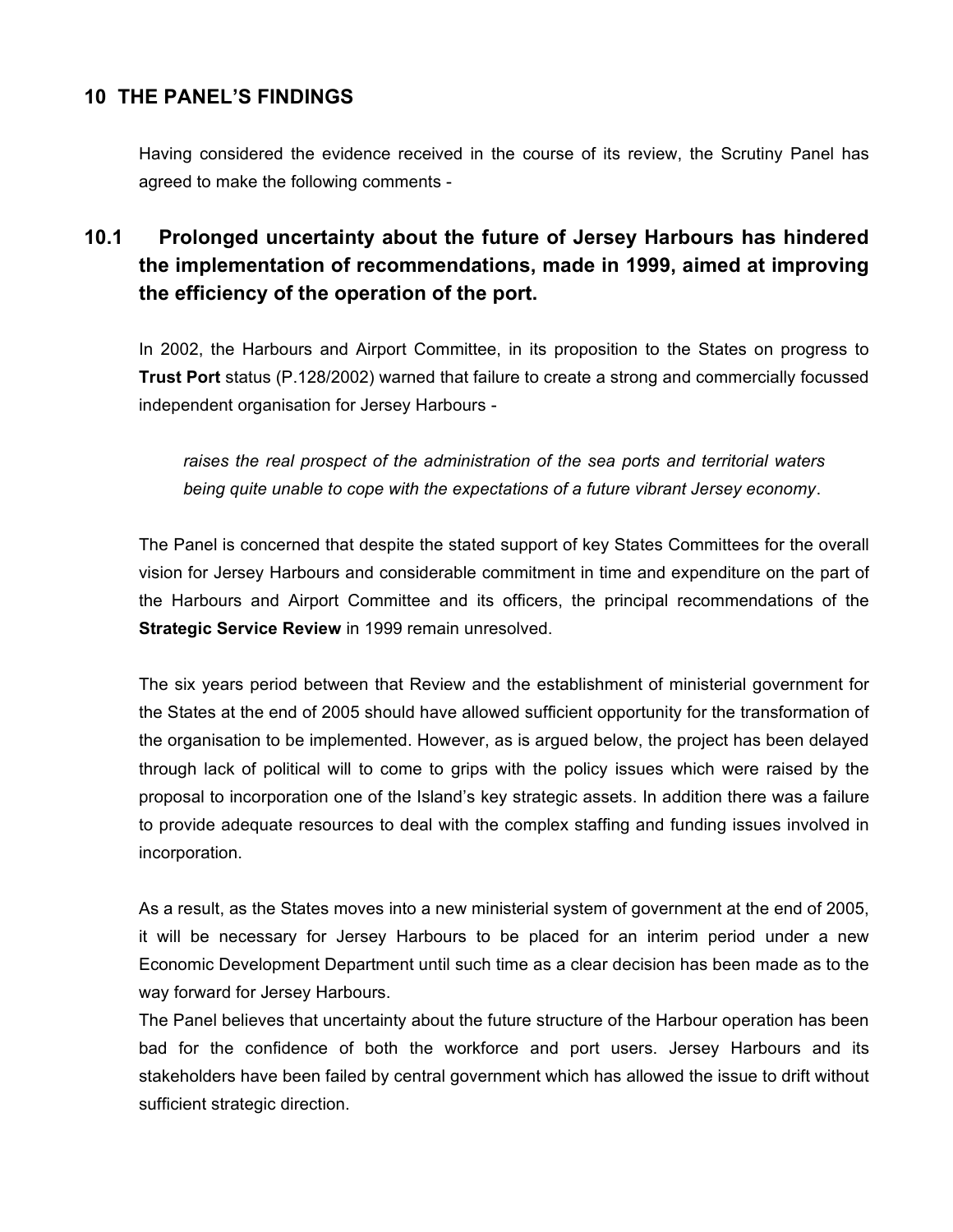## **10 THE PANEL'S FINDINGS**

Having considered the evidence received in the course of its review, the Scrutiny Panel has agreed to make the following comments -

# **10.1 Prolonged uncertainty about the future of Jersey Harbours has hindered the implementation of recommendations, made in 1999, aimed at improving the efficiency of the operation of the port.**

In 2002, the Harbours and Airport Committee, in its proposition to the States on progress to **Trust Port** status (P.128/2002) warned that failure to create a strong and commercially focussed independent organisation for Jersey Harbours -

*raises the real prospect of the administration of the sea ports and territorial waters being quite unable to cope with the expectations of a future vibrant Jersey economy*.

The Panel is concerned that despite the stated support of key States Committees for the overall vision for Jersey Harbours and considerable commitment in time and expenditure on the part of the Harbours and Airport Committee and its officers, the principal recommendations of the **Strategic Service Review** in 1999 remain unresolved.

The six years period between that Review and the establishment of ministerial government for the States at the end of 2005 should have allowed sufficient opportunity for the transformation of the organisation to be implemented. However, as is argued below, the project has been delayed through lack of political will to come to grips with the policy issues which were raised by the proposal to incorporation one of the Island's key strategic assets. In addition there was a failure to provide adequate resources to deal with the complex staffing and funding issues involved in incorporation.

As a result, as the States moves into a new ministerial system of government at the end of 2005, it will be necessary for Jersey Harbours to be placed for an interim period under a new Economic Development Department until such time as a clear decision has been made as to the way forward for Jersey Harbours.

The Panel believes that uncertainty about the future structure of the Harbour operation has been bad for the confidence of both the workforce and port users. Jersey Harbours and its stakeholders have been failed by central government which has allowed the issue to drift without sufficient strategic direction.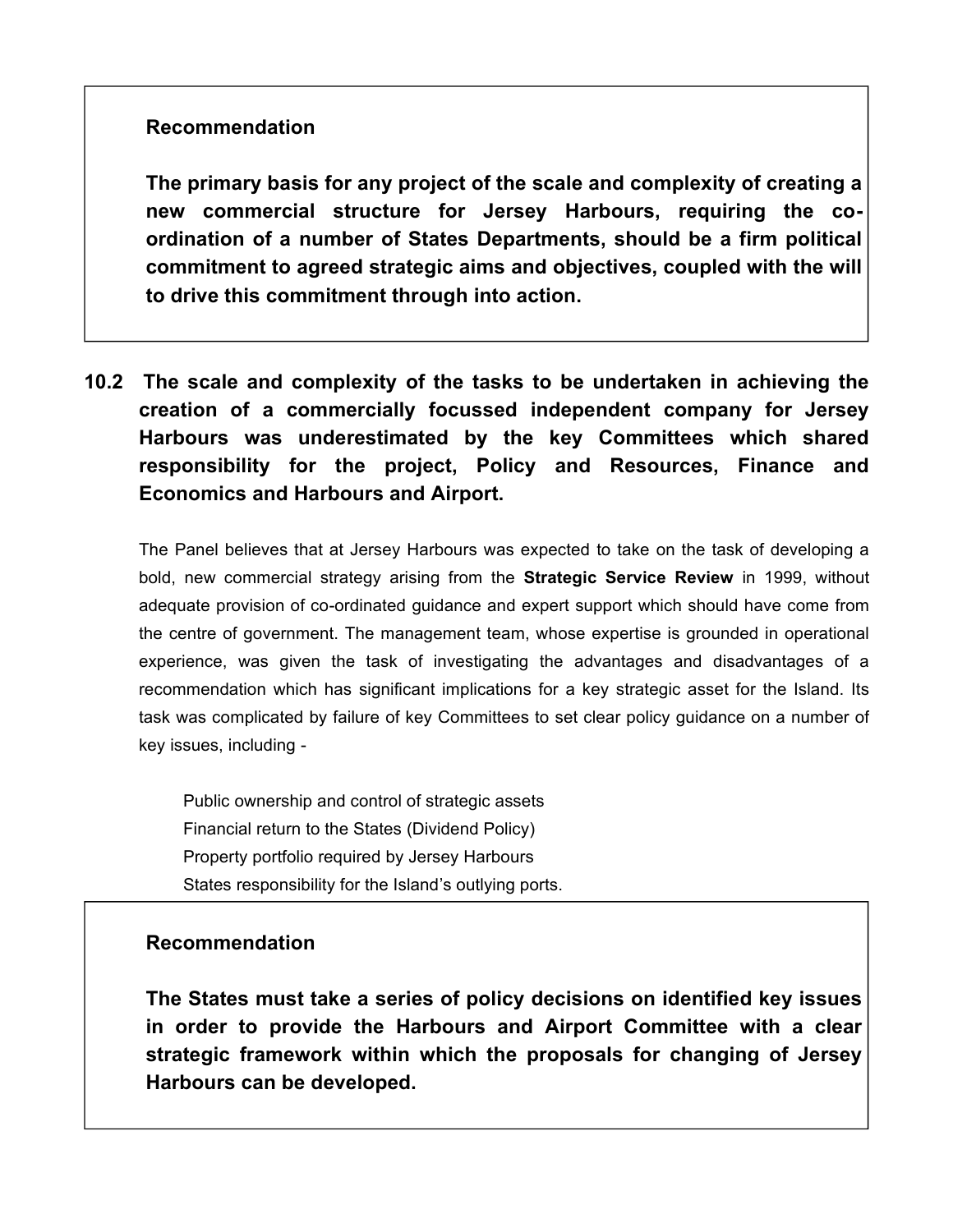## **Recommendation**

**The primary basis for any project of the scale and complexity of creating a new commercial structure for Jersey Harbours, requiring the coordination of a number of States Departments, should be a firm political commitment to agreed strategic aims and objectives, coupled with the will to drive this commitment through into action.**

**10.2 The scale and complexity of the tasks to be undertaken in achieving the creation of a commercially focussed independent company for Jersey Harbours was underestimated by the key Committees which shared responsibility for the project, Policy and Resources, Finance and Economics and Harbours and Airport.**

The Panel believes that at Jersey Harbours was expected to take on the task of developing a bold, new commercial strategy arising from the **Strategic Service Review** in 1999, without adequate provision of co-ordinated guidance and expert support which should have come from the centre of government. The management team, whose expertise is grounded in operational experience, was given the task of investigating the advantages and disadvantages of a recommendation which has significant implications for a key strategic asset for the Island. Its task was complicated by failure of key Committees to set clear policy guidance on a number of key issues, including -

Public ownership and control of strategic assets Financial return to the States (Dividend Policy) Property portfolio required by Jersey Harbours States responsibility for the Island's outlying ports.

### **Recommendation**

**The States must take a series of policy decisions on identified key issues in order to provide the Harbours and Airport Committee with a clear strategic framework within which the proposals for changing of Jersey Harbours can be developed.**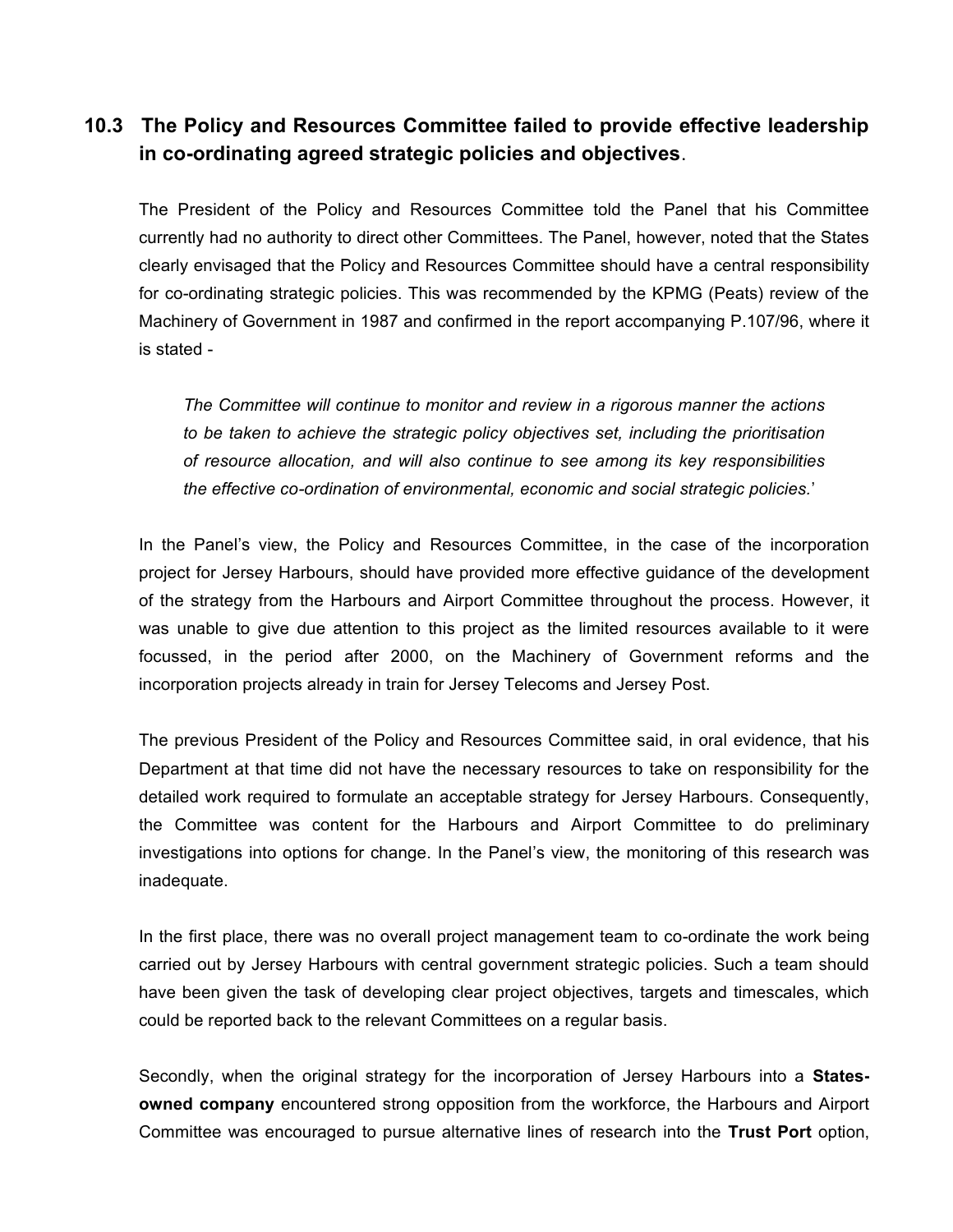## **10.3 The Policy and Resources Committee failed to provide effective leadership in co-ordinating agreed strategic policies and objectives**.

The President of the Policy and Resources Committee told the Panel that his Committee currently had no authority to direct other Committees. The Panel, however, noted that the States clearly envisaged that the Policy and Resources Committee should have a central responsibility for co-ordinating strategic policies. This was recommended by the KPMG (Peats) review of the Machinery of Government in 1987 and confirmed in the report accompanying P.107/96, where it is stated -

*The Committee will continue to monitor and review in a rigorous manner the actions to be taken to achieve the strategic policy objectives set, including the prioritisation of resource allocation, and will also continue to see among its key responsibilities the effective co-ordination of environmental, economic and social strategic policies.*'

In the Panel's view, the Policy and Resources Committee, in the case of the incorporation project for Jersey Harbours, should have provided more effective guidance of the development of the strategy from the Harbours and Airport Committee throughout the process. However, it was unable to give due attention to this project as the limited resources available to it were focussed, in the period after 2000, on the Machinery of Government reforms and the incorporation projects already in train for Jersey Telecoms and Jersey Post.

The previous President of the Policy and Resources Committee said, in oral evidence, that his Department at that time did not have the necessary resources to take on responsibility for the detailed work required to formulate an acceptable strategy for Jersey Harbours. Consequently, the Committee was content for the Harbours and Airport Committee to do preliminary investigations into options for change. In the Panel's view, the monitoring of this research was inadequate.

In the first place, there was no overall project management team to co-ordinate the work being carried out by Jersey Harbours with central government strategic policies. Such a team should have been given the task of developing clear project objectives, targets and timescales, which could be reported back to the relevant Committees on a regular basis.

Secondly, when the original strategy for the incorporation of Jersey Harbours into a **Statesowned company** encountered strong opposition from the workforce, the Harbours and Airport Committee was encouraged to pursue alternative lines of research into the **Trust Port** option,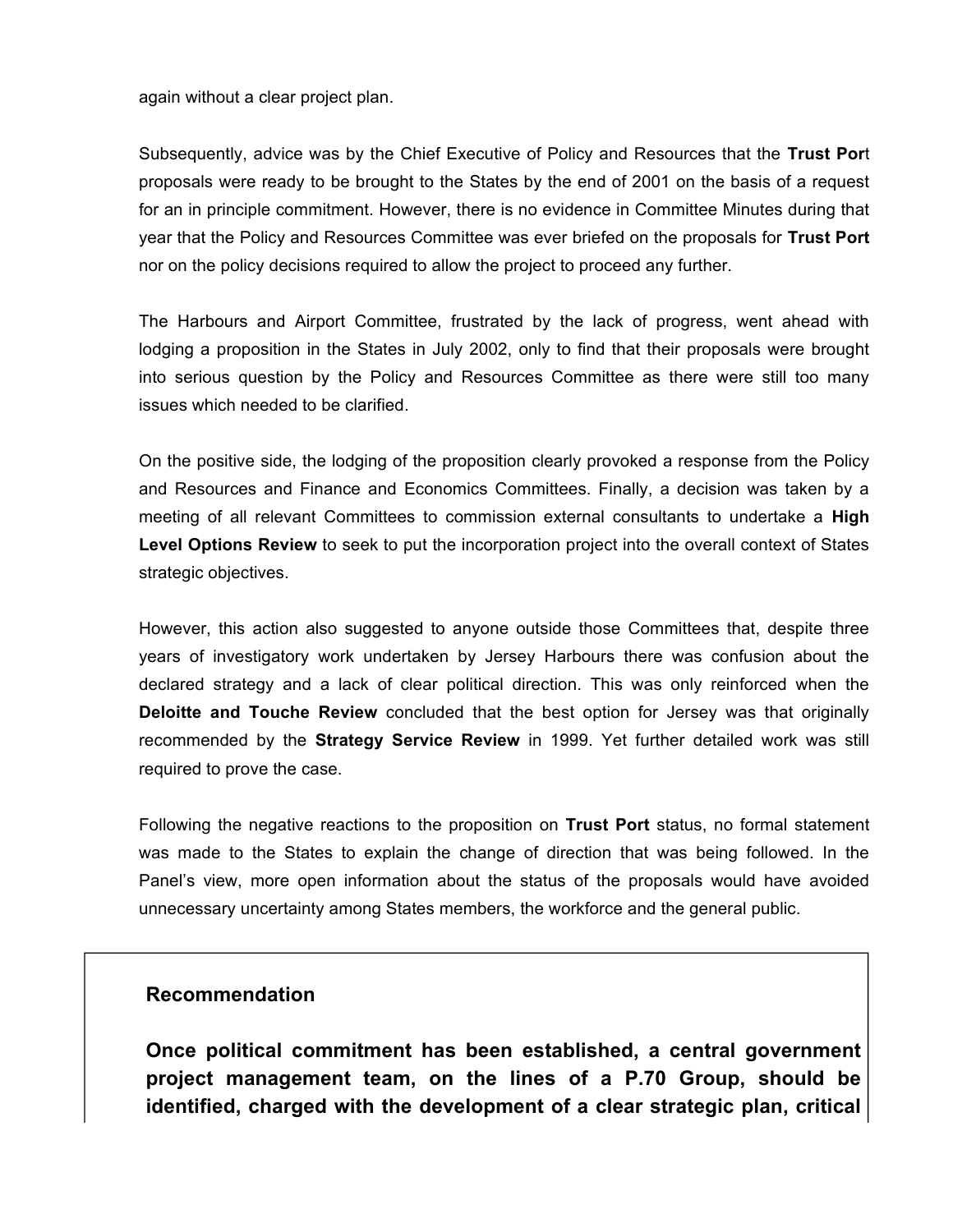again without a clear project plan.

Subsequently, advice was by the Chief Executive of Policy and Resources that the **Trust Por**t proposals were ready to be brought to the States by the end of 2001 on the basis of a request for an in principle commitment. However, there is no evidence in Committee Minutes during that year that the Policy and Resources Committee was ever briefed on the proposals for **Trust Port** nor on the policy decisions required to allow the project to proceed any further.

The Harbours and Airport Committee, frustrated by the lack of progress, went ahead with lodging a proposition in the States in July 2002, only to find that their proposals were brought into serious question by the Policy and Resources Committee as there were still too many issues which needed to be clarified.

On the positive side, the lodging of the proposition clearly provoked a response from the Policy and Resources and Finance and Economics Committees. Finally, a decision was taken by a meeting of all relevant Committees to commission external consultants to undertake a **High Level Options Review** to seek to put the incorporation project into the overall context of States strategic objectives.

However, this action also suggested to anyone outside those Committees that, despite three years of investigatory work undertaken by Jersey Harbours there was confusion about the declared strategy and a lack of clear political direction. This was only reinforced when the **Deloitte and Touche Review** concluded that the best option for Jersey was that originally recommended by the **Strategy Service Review** in 1999. Yet further detailed work was still required to prove the case.

Following the negative reactions to the proposition on **Trust Port** status, no formal statement was made to the States to explain the change of direction that was being followed. In the Panel's view, more open information about the status of the proposals would have avoided unnecessary uncertainty among States members, the workforce and the general public.

#### **Recommendation**

**Once political commitment has been established, a central government project management team, on the lines of a P.70 Group, should be identified, charged with the development of a clear strategic plan, critical**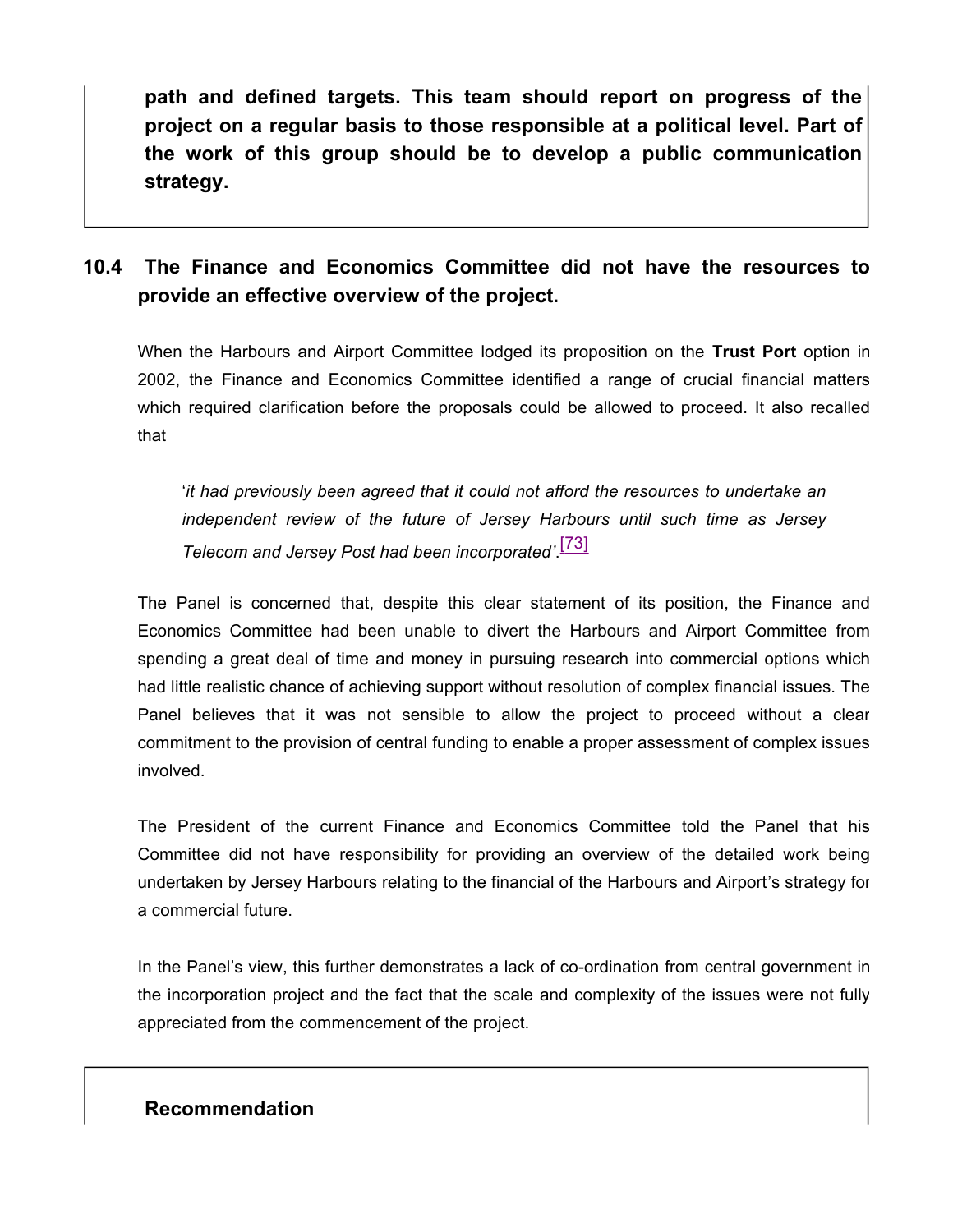**path and defined targets. This team should report on progress of the project on a regular basis to those responsible at a political level. Part of the work of this group should be to develop a public communication strategy.**

## **10.4 The Finance and Economics Committee did not have the resources to provide an effective overview of the project.**

When the Harbours and Airport Committee lodged its proposition on the **Trust Port** option in 2002, the Finance and Economics Committee identified a range of crucial financial matters which required clarification before the proposals could be allowed to proceed. It also recalled that

'*it had previously been agreed that it could not afford the resources to undertake an independent review of the future of Jersey Harbours until such time as Jersey Telecom and Jersey Post had been incorporated'*. [73]

The Panel is concerned that, despite this clear statement of its position, the Finance and Economics Committee had been unable to divert the Harbours and Airport Committee from spending a great deal of time and money in pursuing research into commercial options which had little realistic chance of achieving support without resolution of complex financial issues. The Panel believes that it was not sensible to allow the project to proceed without a clear commitment to the provision of central funding to enable a proper assessment of complex issues involved.

The President of the current Finance and Economics Committee told the Panel that his Committee did not have responsibility for providing an overview of the detailed work being undertaken by Jersey Harbours relating to the financial of the Harbours and Airport's strategy for a commercial future.

In the Panel's view, this further demonstrates a lack of co-ordination from central government in the incorporation project and the fact that the scale and complexity of the issues were not fully appreciated from the commencement of the project.

#### **Recommendation**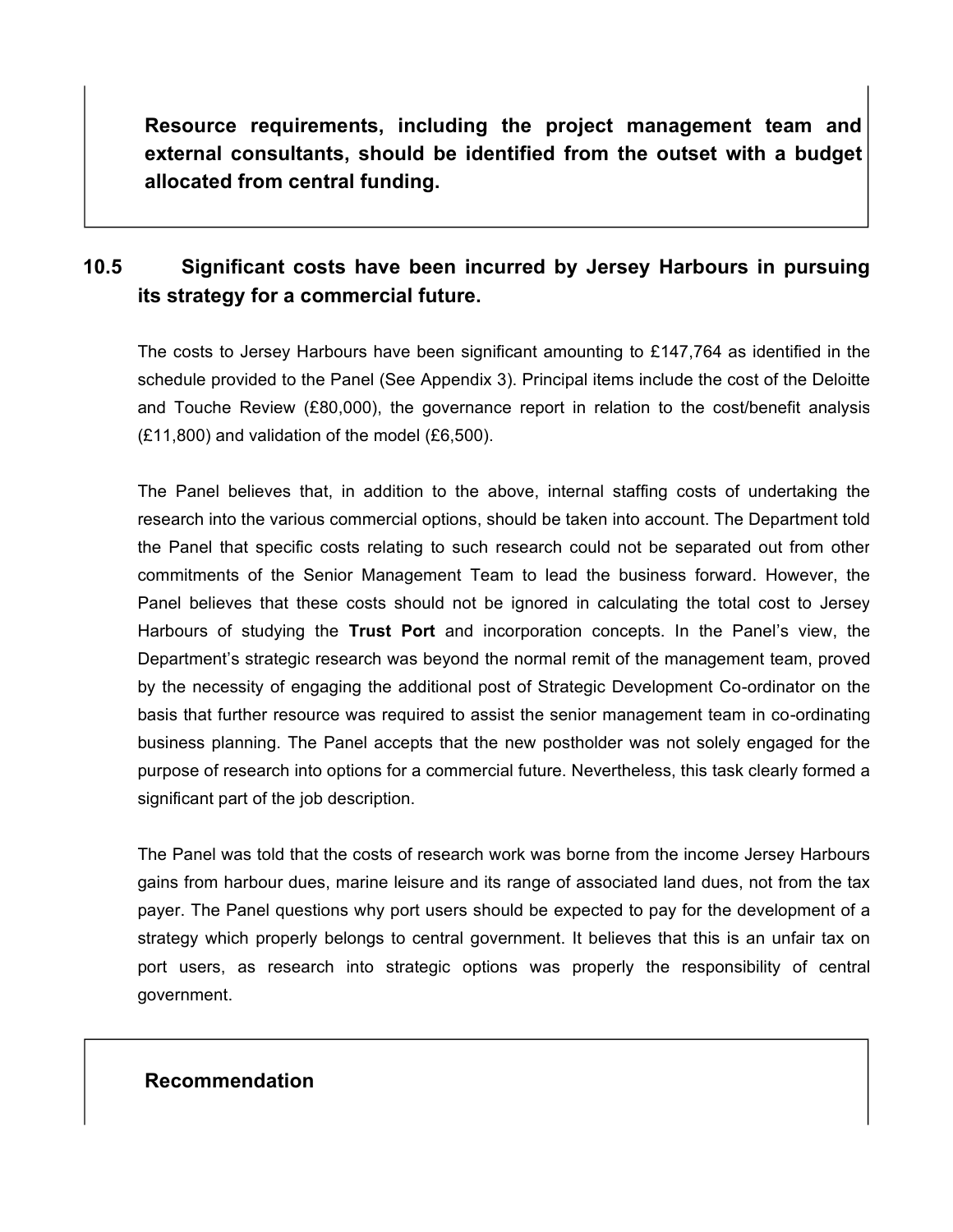**Resource requirements, including the project management team and external consultants, should be identified from the outset with a budget allocated from central funding.**

# **10.5 Significant costs have been incurred by Jersey Harbours in pursuing its strategy for a commercial future.**

The costs to Jersey Harbours have been significant amounting to £147,764 as identified in the schedule provided to the Panel (See Appendix 3). Principal items include the cost of the Deloitte and Touche Review (£80,000), the governance report in relation to the cost/benefit analysis (£11,800) and validation of the model (£6,500).

The Panel believes that, in addition to the above, internal staffing costs of undertaking the research into the various commercial options, should be taken into account. The Department told the Panel that specific costs relating to such research could not be separated out from other commitments of the Senior Management Team to lead the business forward. However, the Panel believes that these costs should not be ignored in calculating the total cost to Jersey Harbours of studying the **Trust Port** and incorporation concepts. In the Panel's view, the Department's strategic research was beyond the normal remit of the management team, proved by the necessity of engaging the additional post of Strategic Development Co-ordinator on the basis that further resource was required to assist the senior management team in co-ordinating business planning. The Panel accepts that the new postholder was not solely engaged for the purpose of research into options for a commercial future. Nevertheless, this task clearly formed a significant part of the job description.

The Panel was told that the costs of research work was borne from the income Jersey Harbours gains from harbour dues, marine leisure and its range of associated land dues, not from the tax payer. The Panel questions why port users should be expected to pay for the development of a strategy which properly belongs to central government. It believes that this is an unfair tax on port users, as research into strategic options was properly the responsibility of central government.

### **Recommendation**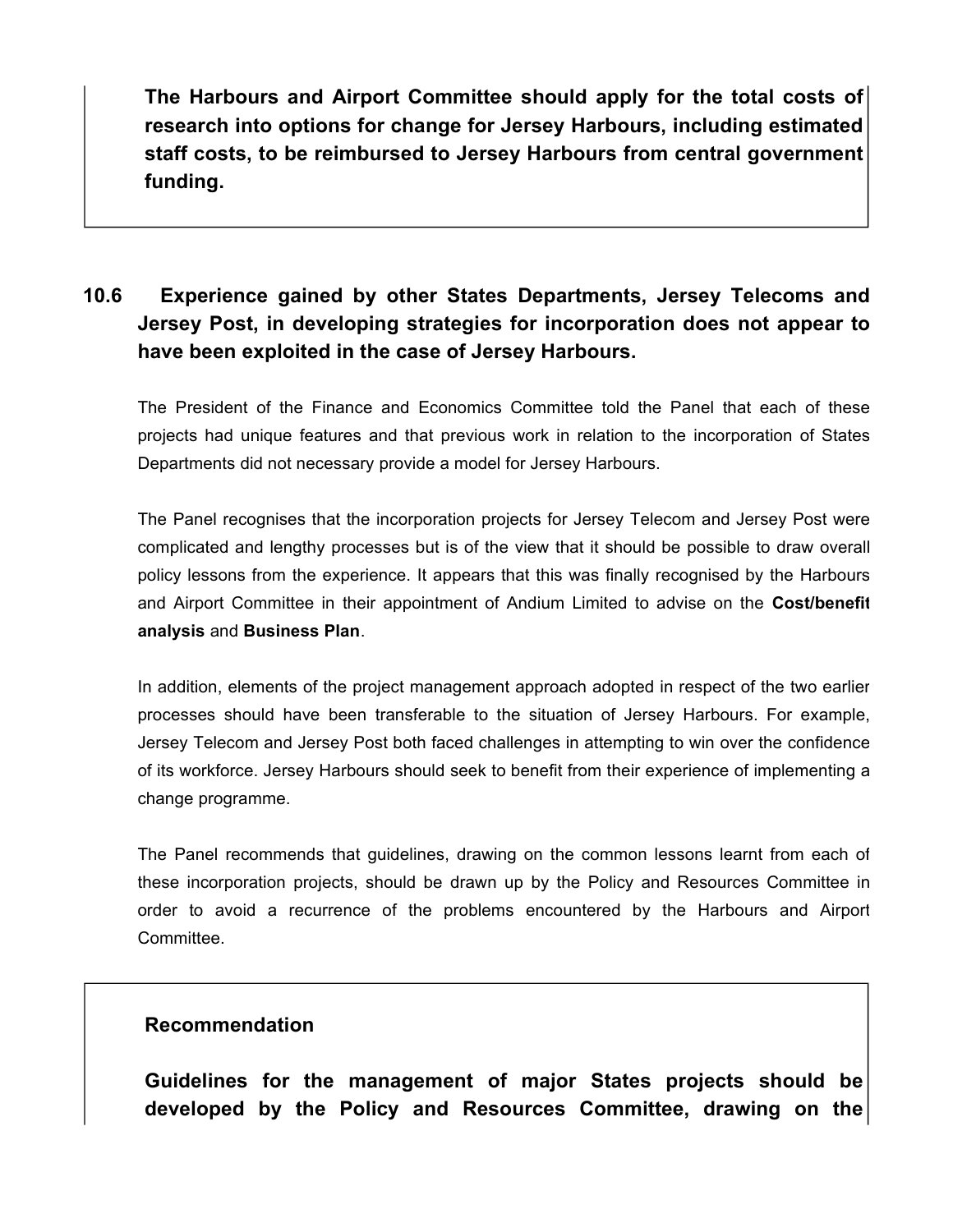**The Harbours and Airport Committee should apply for the total costs of research into options for change for Jersey Harbours, including estimated staff costs, to be reimbursed to Jersey Harbours from central government funding.**

# **10.6 Experience gained by other States Departments, Jersey Telecoms and Jersey Post, in developing strategies for incorporation does not appear to have been exploited in the case of Jersey Harbours.**

The President of the Finance and Economics Committee told the Panel that each of these projects had unique features and that previous work in relation to the incorporation of States Departments did not necessary provide a model for Jersey Harbours.

The Panel recognises that the incorporation projects for Jersey Telecom and Jersey Post were complicated and lengthy processes but is of the view that it should be possible to draw overall policy lessons from the experience. It appears that this was finally recognised by the Harbours and Airport Committee in their appointment of Andium Limited to advise on the **Cost/benefit analysis** and **Business Plan**.

In addition, elements of the project management approach adopted in respect of the two earlier processes should have been transferable to the situation of Jersey Harbours. For example, Jersey Telecom and Jersey Post both faced challenges in attempting to win over the confidence of its workforce. Jersey Harbours should seek to benefit from their experience of implementing a change programme.

The Panel recommends that guidelines, drawing on the common lessons learnt from each of these incorporation projects, should be drawn up by the Policy and Resources Committee in order to avoid a recurrence of the problems encountered by the Harbours and Airport Committee.

#### **Recommendation**

**Guidelines for the management of major States projects should be developed by the Policy and Resources Committee, drawing on the**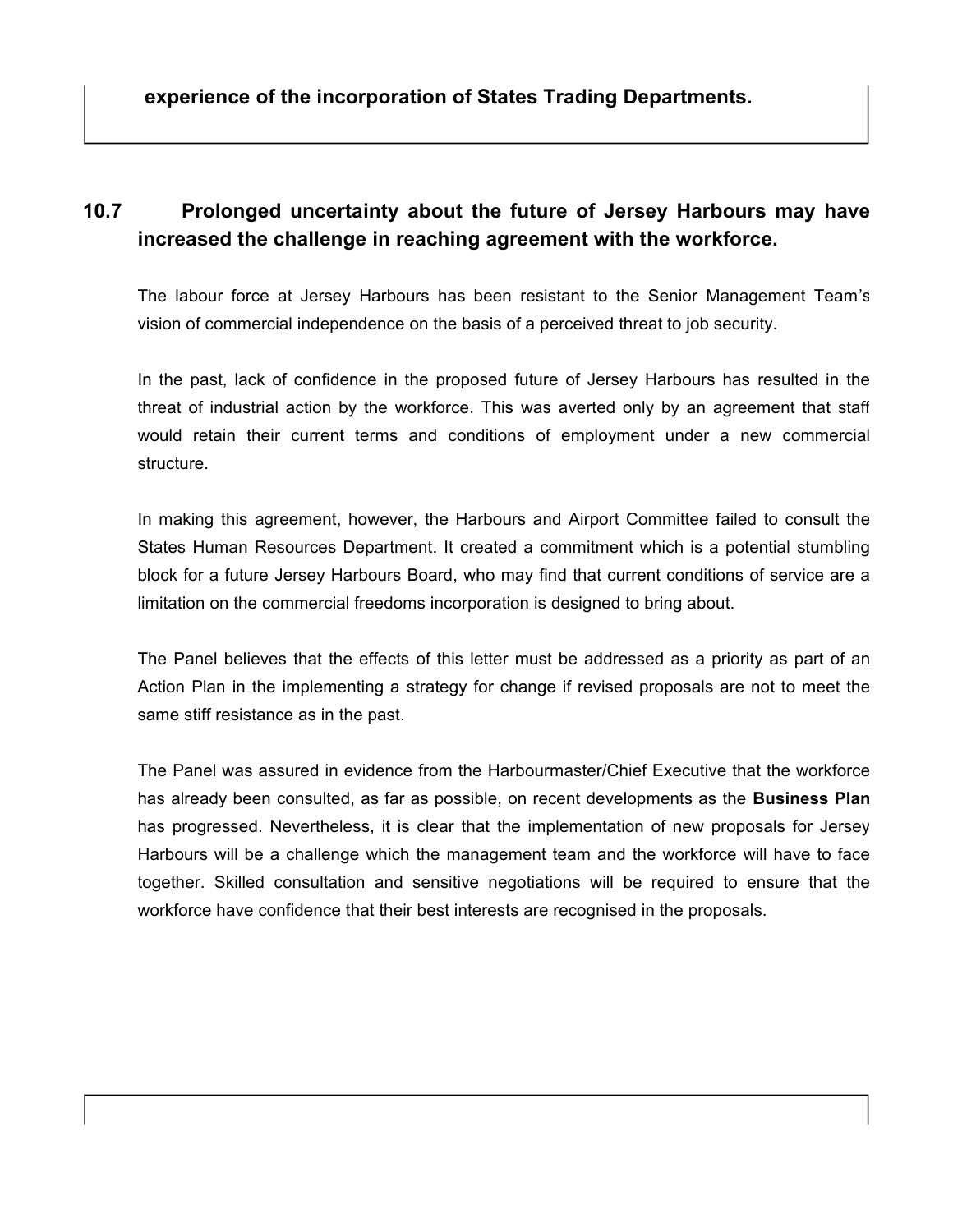# **10.7 Prolonged uncertainty about the future of Jersey Harbours may have increased the challenge in reaching agreement with the workforce.**

The labour force at Jersey Harbours has been resistant to the Senior Management Team's vision of commercial independence on the basis of a perceived threat to job security.

In the past, lack of confidence in the proposed future of Jersey Harbours has resulted in the threat of industrial action by the workforce. This was averted only by an agreement that staff would retain their current terms and conditions of employment under a new commercial structure.

In making this agreement, however, the Harbours and Airport Committee failed to consult the States Human Resources Department. It created a commitment which is a potential stumbling block for a future Jersey Harbours Board, who may find that current conditions of service are a limitation on the commercial freedoms incorporation is designed to bring about.

The Panel believes that the effects of this letter must be addressed as a priority as part of an Action Plan in the implementing a strategy for change if revised proposals are not to meet the same stiff resistance as in the past.

The Panel was assured in evidence from the Harbourmaster/Chief Executive that the workforce has already been consulted, as far as possible, on recent developments as the **Business Plan** has progressed. Nevertheless, it is clear that the implementation of new proposals for Jersey Harbours will be a challenge which the management team and the workforce will have to face together. Skilled consultation and sensitive negotiations will be required to ensure that the workforce have confidence that their best interests are recognised in the proposals.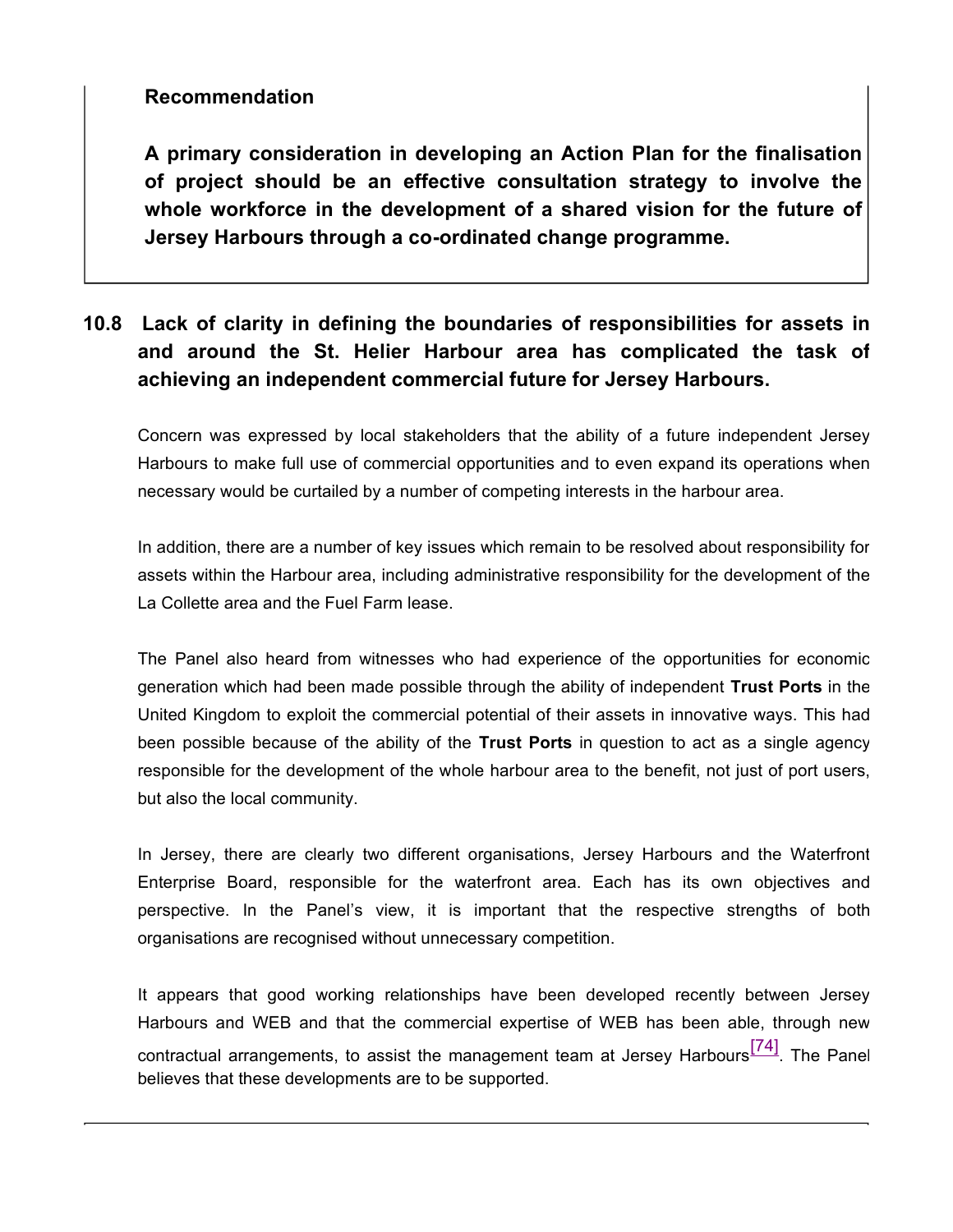## **Recommendation**

**A primary consideration in developing an Action Plan for the finalisation of project should be an effective consultation strategy to involve the whole workforce in the development of a shared vision for the future of Jersey Harbours through a co-ordinated change programme.**

# **10.8 Lack of clarity in defining the boundaries of responsibilities for assets in and around the St. Helier Harbour area has complicated the task of achieving an independent commercial future for Jersey Harbours.**

Concern was expressed by local stakeholders that the ability of a future independent Jersey Harbours to make full use of commercial opportunities and to even expand its operations when necessary would be curtailed by a number of competing interests in the harbour area.

In addition, there are a number of key issues which remain to be resolved about responsibility for assets within the Harbour area, including administrative responsibility for the development of the La Collette area and the Fuel Farm lease.

The Panel also heard from witnesses who had experience of the opportunities for economic generation which had been made possible through the ability of independent **Trust Ports** in the United Kingdom to exploit the commercial potential of their assets in innovative ways. This had been possible because of the ability of the **Trust Ports** in question to act as a single agency responsible for the development of the whole harbour area to the benefit, not just of port users, but also the local community.

In Jersey, there are clearly two different organisations, Jersey Harbours and the Waterfront Enterprise Board, responsible for the waterfront area. Each has its own objectives and perspective. In the Panel's view, it is important that the respective strengths of both organisations are recognised without unnecessary competition.

It appears that good working relationships have been developed recently between Jersey Harbours and WEB and that the commercial expertise of WEB has been able, through new contractual arrangements, to assist the management team at Jersey Harbours $\frac{[74]}{[74]}$ . The Panel believes that these developments are to be supported.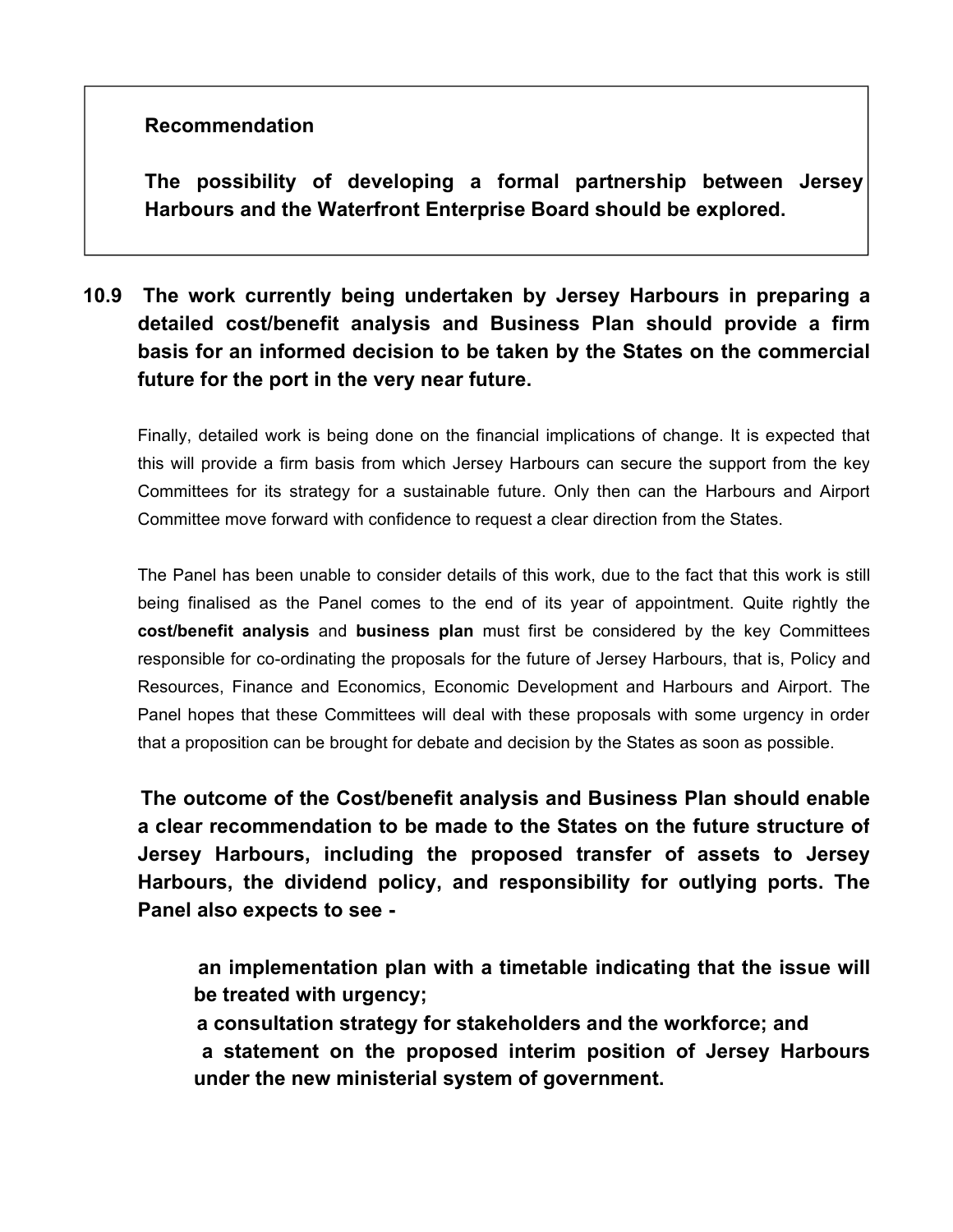## **Recommendation**

**The possibility of developing a formal partnership between Jersey Harbours and the Waterfront Enterprise Board should be explored.**

# **10.9 The work currently being undertaken by Jersey Harbours in preparing a detailed cost/benefit analysis and Business Plan should provide a firm basis for an informed decision to be taken by the States on the commercial future for the port in the very near future.**

Finally, detailed work is being done on the financial implications of change. It is expected that this will provide a firm basis from which Jersey Harbours can secure the support from the key Committees for its strategy for a sustainable future. Only then can the Harbours and Airport Committee move forward with confidence to request a clear direction from the States.

The Panel has been unable to consider details of this work, due to the fact that this work is still being finalised as the Panel comes to the end of its year of appointment. Quite rightly the **cost/benefit analysis** and **business plan** must first be considered by the key Committees responsible for co-ordinating the proposals for the future of Jersey Harbours, that is, Policy and Resources, Finance and Economics, Economic Development and Harbours and Airport. The Panel hopes that these Committees will deal with these proposals with some urgency in order that a proposition can be brought for debate and decision by the States as soon as possible.

 **The outcome of the Cost/benefit analysis and Business Plan should enable a clear recommendation to be made to the States on the future structure of Jersey Harbours, including the proposed transfer of assets to Jersey Harbours, the dividend policy, and responsibility for outlying ports. The Panel also expects to see -**

 **an implementation plan with a timetable indicating that the issue will be treated with urgency;**

 **a consultation strategy for stakeholders and the workforce; and a statement on the proposed interim position of Jersey Harbours under the new ministerial system of government.**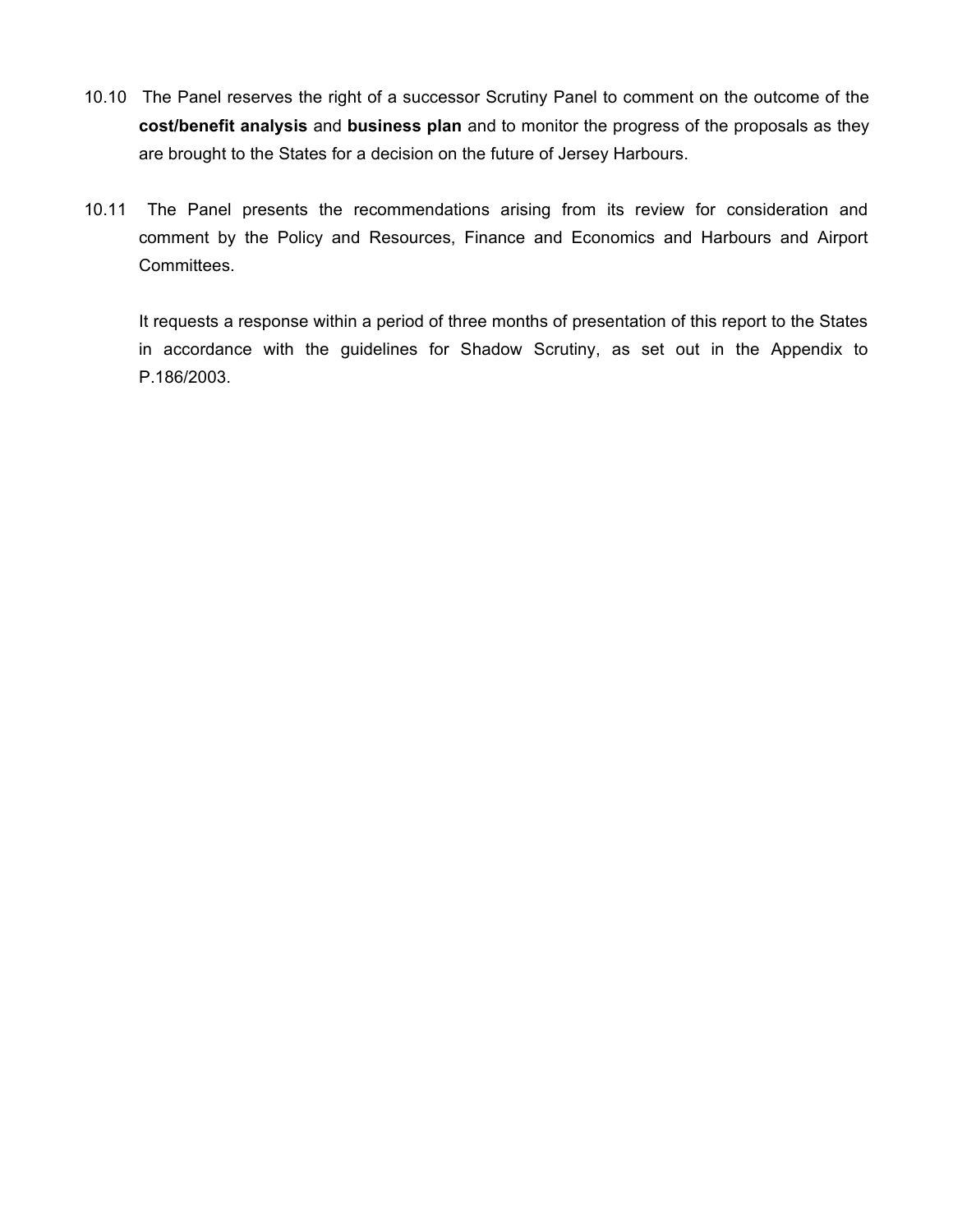- 10.10 The Panel reserves the right of a successor Scrutiny Panel to comment on the outcome of the **cost/benefit analysis** and **business plan** and to monitor the progress of the proposals as they are brought to the States for a decision on the future of Jersey Harbours.
- 10.11 The Panel presents the recommendations arising from its review for consideration and comment by the Policy and Resources, Finance and Economics and Harbours and Airport Committees.

It requests a response within a period of three months of presentation of this report to the States in accordance with the guidelines for Shadow Scrutiny, as set out in the Appendix to P.186/2003.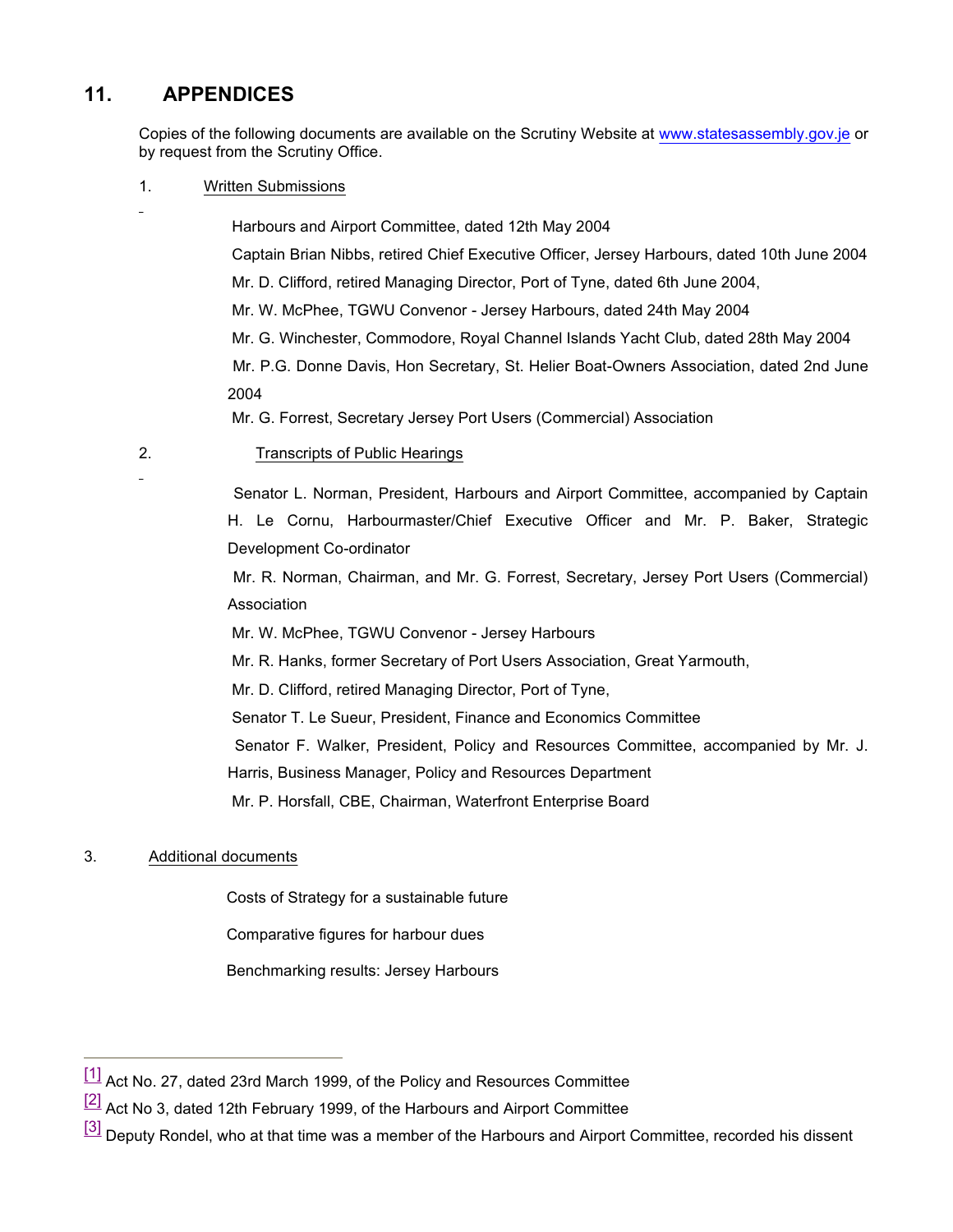## **11. APPENDICES**

Copies of the following documents are available on the Scrutiny Website at [www.statesassembly.](www.statesassembly.gov.je)gov.je or by request from the Scrutiny Office.

1. Written Submissions

 Harbours and Airport Committee, dated 12th May 2004 Captain Brian Nibbs, retired Chief Executive Officer, Jersey Harbours, dated 10th June 2004 Mr. D. Clifford, retired Managing Director, Port of Tyne, dated 6th June 2004, Mr. W. McPhee, TGWU Convenor - Jersey Harbours, dated 24th May 2004 Mr. G. Winchester, Commodore, Royal Channel Islands Yacht Club, dated 28th May 2004 Mr. P.G. Donne Davis, Hon Secretary, St. Helier Boat-Owners Association, dated 2nd June 2004

Mr. G. Forrest, Secretary Jersey Port Users (Commercial) Association

2. Transcripts of Public Hearings

 Senator L. Norman, President, Harbours and Airport Committee, accompanied by Captain H. Le Cornu, Harbourmaster/Chief Executive Officer and Mr. P. Baker, Strategic Development Co-ordinator

 Mr. R. Norman, Chairman, and Mr. G. Forrest, Secretary, Jersey Port Users (Commercial) Association

Mr. W. McPhee, TGWU Convenor - Jersey Harbours

Mr. R. Hanks, former Secretary of Port Users Association, Great Yarmouth,

Mr. D. Clifford, retired Managing Director, Port of Tyne,

Senator T. Le Sueur, President, Finance and Economics Committee

Senator F. Walker, President, Policy and Resources Committee, accompanied by Mr. J.

Harris, Business Manager, Policy and Resources Department

Mr. P. Horsfall, CBE, Chairman, Waterfront Enterprise Board

#### 3. Additional documents

Costs of Strategy for a sustainable future

Comparative figures for harbour dues

Benchmarking results: Jersey Harbours

 $\left[1\right]$  Act No. 27, dated 23rd March 1999, of the Policy and Resources Committee

 $\frac{[2]}{[2]}$  Act No 3, dated 12th February 1999, of the Harbours and Airport Committee

<sup>[3]</sup> Deputy Rondel, who at that time was a member of the Harbours and Airport Committee, recorded his dissent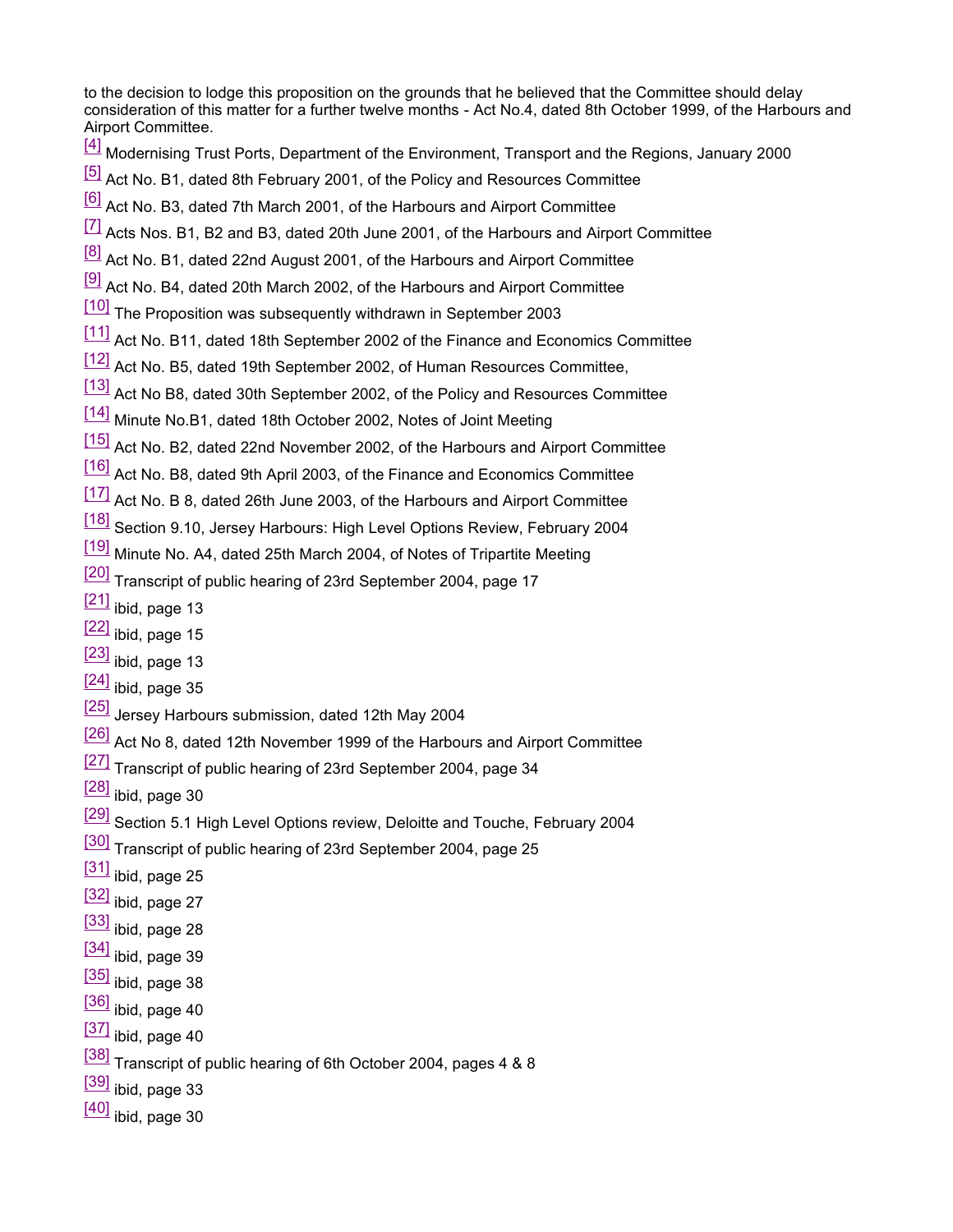to the decision to lodge this proposition on the grounds that he believed that the Committee should delay consideration of this matter for a further twelve months - Act No.4, dated 8th October 1999, of the Harbours and Airport Committee.

- [4] Modernising Trust Ports, Department of the Environment, Transport and the Regions, January 2000
- [5] Act No. B1, dated 8th February 2001, of the Policy and Resources Committee
- [6] Act No. B3, dated 7th March 2001, of the Harbours and Airport Committee
- $\left[7\right]$  Acts Nos. B1, B2 and B3, dated 20th June 2001, of the Harbours and Airport Committee
- <sup>[8]</sup> Act No. B1, dated 22nd August 2001, of the Harbours and Airport Committee
- $\frac{[9]}{[9]}$  Act No. B4, dated 20th March 2002, of the Harbours and Airport Committee
- [10] The Proposition was subsequently withdrawn in September 2003
- [11] Act No. B11, dated 18th September 2002 of the Finance and Economics Committee
- [12] Act No. B5, dated 19th September 2002, of Human Resources Committee,
- [13] Act No B8, dated 30th September 2002, of the Policy and Resources Committee
- [14] Minute No.B1, dated 18th October 2002, Notes of Joint Meeting
- [15] Act No. B2, dated 22nd November 2002, of the Harbours and Airport Committee
- [16] Act No. B8, dated 9th April 2003, of the Finance and Economics Committee
- $\frac{177}{17}$  Act No. B 8, dated 26th June 2003, of the Harbours and Airport Committee
- [18] Section 9.10, Jersey Harbours: High Level Options Review, February 2004
- [19] Minute No. A4, dated 25th March 2004, of Notes of Tripartite Meeting
- [20] Transcript of public hearing of 23rd September 2004, page 17
- $[21]$  ibid, page 13
- $[22]$  ibid, page 15
- $[23]$  ibid, page 13
- $[24]$  ibid, page 35
- [25] Jersey Harbours submission, dated 12th May 2004
- [26] Act No 8, dated 12th November 1999 of the Harbours and Airport Committee
- [27] Transcript of public hearing of 23rd September 2004, page 34
- $[28]$  ibid, page 30
- [29] Section 5.1 High Level Options review, Deloitte and Touche, February 2004
- [30] Transcript of public hearing of 23rd September 2004, page 25
- $[31]$  ibid, page 25
- $[32]$  ibid, page 27
- $[33]$  ibid, page 28
- $[34]$  ibid, page 39
- $\left[\frac{35}{10}\right]$  ibid, page 38
- $[36]$  ibid, page 40
- $[37]$  ibid, page 40
- [38] Transcript of public hearing of 6th October 2004, pages 4 & 8
- $\frac{[39]}{[100]}$  ibid, page 33
- $[40]$  ibid, page 30